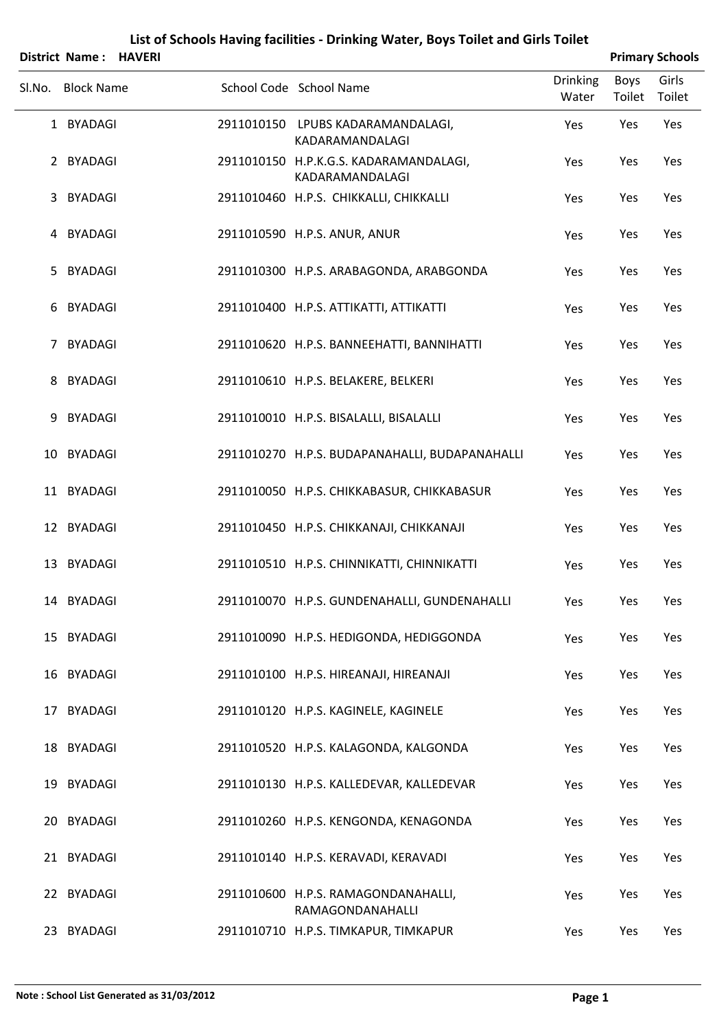|        | District Name: HAVERI |                                                           |                          |                | <b>Primary Schools</b> |
|--------|-----------------------|-----------------------------------------------------------|--------------------------|----------------|------------------------|
| Sl.No. | <b>Block Name</b>     | School Code School Name                                   | <b>Drinking</b><br>Water | Boys<br>Toilet | Girls<br>Toilet        |
|        | 1 BYADAGI             | 2911010150 LPUBS KADARAMANDALAGI,<br>KADARAMANDALAGI      | Yes                      | Yes            | Yes                    |
|        | 2 BYADAGI             | 2911010150 H.P.K.G.S. KADARAMANDALAGI,<br>KADARAMANDALAGI | Yes                      | Yes            | Yes                    |
|        | 3 BYADAGI             | 2911010460 H.P.S. CHIKKALLI, CHIKKALLI                    | Yes                      | Yes            | Yes                    |
|        | 4 BYADAGI             | 2911010590 H.P.S. ANUR, ANUR                              | Yes                      | Yes            | Yes                    |
|        | 5 BYADAGI             | 2911010300 H.P.S. ARABAGONDA, ARABGONDA                   | Yes                      | Yes            | Yes                    |
|        | 6 BYADAGI             | 2911010400 H.P.S. ATTIKATTI, ATTIKATTI                    | Yes                      | Yes            | Yes                    |
|        | 7 BYADAGI             | 2911010620 H.P.S. BANNEEHATTI, BANNIHATTI                 | Yes                      | Yes            | Yes                    |
|        | 8 BYADAGI             | 2911010610 H.P.S. BELAKERE, BELKERI                       | Yes                      | Yes            | Yes                    |
|        | 9 BYADAGI             | 2911010010 H.P.S. BISALALLI, BISALALLI                    | Yes                      | Yes            | Yes                    |
|        | 10 BYADAGI            | 2911010270 H.P.S. BUDAPANAHALLI, BUDAPANAHALLI            | Yes                      | Yes            | Yes                    |
|        | 11 BYADAGI            | 2911010050 H.P.S. CHIKKABASUR, CHIKKABASUR                | Yes                      | Yes            | Yes                    |
|        | 12 BYADAGI            | 2911010450 H.P.S. CHIKKANAJI, CHIKKANAJI                  | Yes                      | Yes            | Yes                    |
|        | 13 BYADAGI            | 2911010510 H.P.S. CHINNIKATTI, CHINNIKATTI                | Yes                      | Yes            | Yes                    |
|        | 14 BYADAGI            | 2911010070 H.P.S. GUNDENAHALLI, GUNDENAHALLI              | Yes                      | Yes            | Yes                    |
|        | 15 BYADAGI            | 2911010090 H.P.S. HEDIGONDA, HEDIGGONDA                   | Yes                      | Yes            | Yes                    |
|        | 16 BYADAGI            | 2911010100 H.P.S. HIREANAJI, HIREANAJI                    | Yes                      | Yes            | Yes                    |
|        | 17 BYADAGI            | 2911010120 H.P.S. KAGINELE, KAGINELE                      | Yes                      | Yes            | Yes                    |
|        | 18 BYADAGI            | 2911010520 H.P.S. KALAGONDA, KALGONDA                     | Yes                      | Yes            | Yes                    |
|        | 19 BYADAGI            | 2911010130 H.P.S. KALLEDEVAR, KALLEDEVAR                  | Yes                      | Yes            | Yes                    |
|        | 20 BYADAGI            | 2911010260 H.P.S. KENGONDA, KENAGONDA                     | Yes                      | Yes            | Yes                    |
|        | 21 BYADAGI            | 2911010140 H.P.S. KERAVADI, KERAVADI                      | Yes                      | Yes            | Yes                    |
|        | 22 BYADAGI            | 2911010600 H.P.S. RAMAGONDANAHALLI,<br>RAMAGONDANAHALLI   | Yes                      | Yes            | Yes                    |
|        | 23 BYADAGI            | 2911010710 H.P.S. TIMKAPUR, TIMKAPUR                      | Yes                      | Yes            | Yes                    |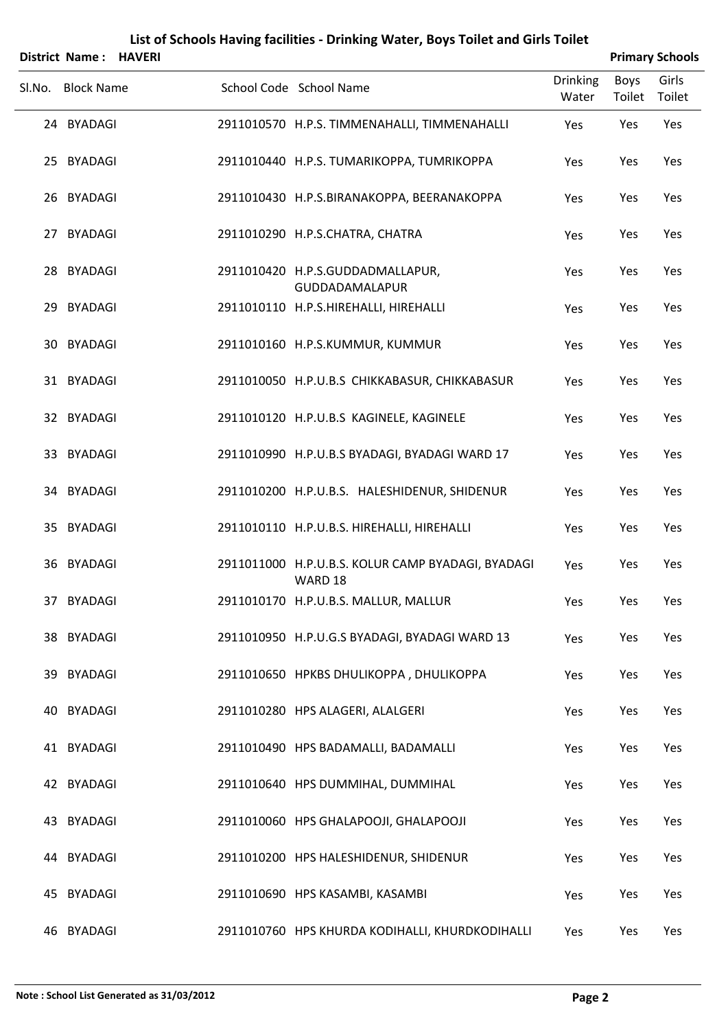|        | District Name: HAVERI |  |                                                              |                          |                | <b>Primary Schools</b> |
|--------|-----------------------|--|--------------------------------------------------------------|--------------------------|----------------|------------------------|
| Sl.No. | <b>Block Name</b>     |  | School Code School Name                                      | <b>Drinking</b><br>Water | Boys<br>Toilet | Girls<br>Toilet        |
|        | 24 BYADAGI            |  | 2911010570 H.P.S. TIMMENAHALLI, TIMMENAHALLI                 | Yes                      | Yes            | Yes                    |
|        | 25 BYADAGI            |  | 2911010440 H.P.S. TUMARIKOPPA, TUMRIKOPPA                    | Yes                      | Yes            | Yes                    |
|        | 26 BYADAGI            |  | 2911010430 H.P.S.BIRANAKOPPA, BEERANAKOPPA                   | Yes                      | Yes            | Yes                    |
|        | 27 BYADAGI            |  | 2911010290 H.P.S.CHATRA, CHATRA                              | Yes                      | Yes            | Yes                    |
|        | 28 BYADAGI            |  | 2911010420 H.P.S.GUDDADMALLAPUR,<br>GUDDADAMALAPUR           | Yes                      | Yes            | Yes                    |
|        | 29 BYADAGI            |  | 2911010110 H.P.S.HIREHALLI, HIREHALLI                        | Yes                      | Yes            | Yes                    |
|        | 30 BYADAGI            |  | 2911010160 H.P.S.KUMMUR, KUMMUR                              | Yes                      | Yes            | Yes                    |
|        | 31 BYADAGI            |  | 2911010050 H.P.U.B.S CHIKKABASUR, CHIKKABASUR                | Yes                      | Yes            | Yes                    |
|        | 32 BYADAGI            |  | 2911010120 H.P.U.B.S KAGINELE, KAGINELE                      | Yes                      | Yes            | Yes                    |
|        | 33 BYADAGI            |  | 2911010990 H.P.U.B.S BYADAGI, BYADAGI WARD 17                | Yes                      | Yes            | Yes                    |
|        | 34 BYADAGI            |  | 2911010200 H.P.U.B.S. HALESHIDENUR, SHIDENUR                 | Yes                      | Yes            | Yes                    |
|        | 35 BYADAGI            |  | 2911010110 H.P.U.B.S. HIREHALLI, HIREHALLI                   | Yes                      | Yes            | Yes                    |
|        | 36 BYADAGI            |  | 2911011000 H.P.U.B.S. KOLUR CAMP BYADAGI, BYADAGI<br>WARD 18 | Yes                      | Yes            | Yes                    |
|        | 37 BYADAGI            |  | 2911010170 H.P.U.B.S. MALLUR, MALLUR                         | Yes                      | Yes            | Yes                    |
|        | 38 BYADAGI            |  | 2911010950 H.P.U.G.S BYADAGI, BYADAGI WARD 13                | Yes                      | Yes            | Yes                    |
|        | 39 BYADAGI            |  | 2911010650 HPKBS DHULIKOPPA, DHULIKOPPA                      | Yes                      | Yes            | Yes                    |
|        | 40 BYADAGI            |  | 2911010280 HPS ALAGERI, ALALGERI                             | Yes                      | Yes            | Yes                    |
|        | 41 BYADAGI            |  | 2911010490 HPS BADAMALLI, BADAMALLI                          | Yes                      | Yes            | Yes                    |
|        | 42 BYADAGI            |  | 2911010640 HPS DUMMIHAL, DUMMIHAL                            | Yes                      | Yes            | Yes                    |
|        | 43 BYADAGI            |  | 2911010060 HPS GHALAPOOJI, GHALAPOOJI                        | Yes                      | Yes            | Yes                    |
|        | 44 BYADAGI            |  | 2911010200 HPS HALESHIDENUR, SHIDENUR                        | Yes                      | Yes            | Yes                    |
|        | 45 BYADAGI            |  | 2911010690 HPS KASAMBI, KASAMBI                              | Yes                      | Yes            | Yes                    |
|        | 46 BYADAGI            |  | 2911010760 HPS KHURDA KODIHALLI, KHURDKODIHALLI              | Yes                      | Yes            | Yes                    |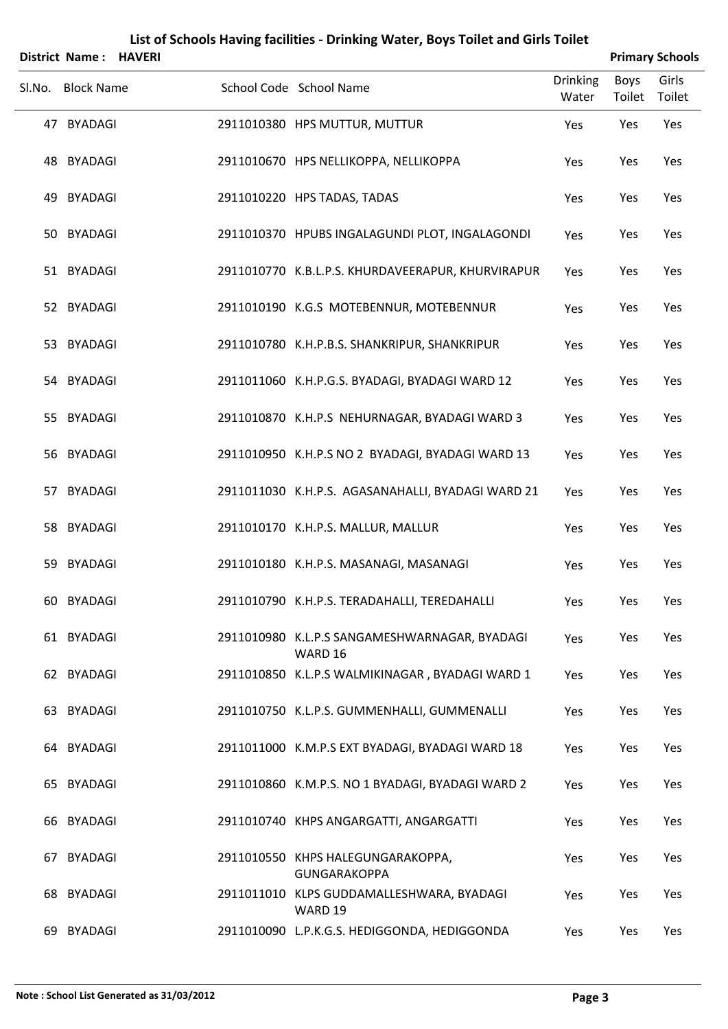|        | District Name: HAVERI |  |                                                          |                          |                | <b>Primary Schools</b> |
|--------|-----------------------|--|----------------------------------------------------------|--------------------------|----------------|------------------------|
| SI.No. | <b>Block Name</b>     |  | School Code School Name                                  | <b>Drinking</b><br>Water | Boys<br>Toilet | Girls<br>Toilet        |
|        | 47 BYADAGI            |  | 2911010380 HPS MUTTUR, MUTTUR                            | Yes                      | Yes            | Yes                    |
|        | 48 BYADAGI            |  | 2911010670 HPS NELLIKOPPA, NELLIKOPPA                    | Yes                      | Yes            | Yes                    |
|        | 49 BYADAGI            |  | 2911010220 HPS TADAS, TADAS                              | Yes                      | Yes            | Yes                    |
|        | 50 BYADAGI            |  | 2911010370 HPUBS INGALAGUNDI PLOT, INGALAGONDI           | Yes                      | Yes            | Yes                    |
|        | 51 BYADAGI            |  | 2911010770 K.B.L.P.S. KHURDAVEERAPUR, KHURVIRAPUR        | Yes                      | Yes            | Yes                    |
|        | 52 BYADAGI            |  | 2911010190 K.G.S MOTEBENNUR, MOTEBENNUR                  | Yes                      | Yes            | Yes                    |
|        | 53 BYADAGI            |  | 2911010780 K.H.P.B.S. SHANKRIPUR, SHANKRIPUR             | Yes                      | Yes            | Yes                    |
|        | 54 BYADAGI            |  | 2911011060 K.H.P.G.S. BYADAGI, BYADAGI WARD 12           | Yes                      | Yes            | Yes                    |
|        | 55 BYADAGI            |  | 2911010870 K.H.P.S NEHURNAGAR, BYADAGI WARD 3            | Yes                      | Yes            | Yes                    |
|        | 56 BYADAGI            |  | 2911010950 K.H.P.S NO 2 BYADAGI, BYADAGI WARD 13         | Yes                      | Yes            | Yes                    |
|        | 57 BYADAGI            |  | 2911011030 K.H.P.S. AGASANAHALLI, BYADAGI WARD 21        | Yes                      | Yes            | Yes                    |
|        | 58 BYADAGI            |  | 2911010170 K.H.P.S. MALLUR, MALLUR                       | Yes                      | Yes            | Yes                    |
|        | 59 BYADAGI            |  | 2911010180 K.H.P.S. MASANAGI, MASANAGI                   | Yes                      | Yes            | Yes                    |
|        | 60 BYADAGI            |  | 2911010790 K.H.P.S. TERADAHALLI, TEREDAHALLI             | Yes                      | Yes            | Yes                    |
|        | 61 BYADAGI            |  | 2911010980 K.L.P.S SANGAMESHWARNAGAR, BYADAGI<br>WARD 16 | Yes                      | Yes            | Yes                    |
|        | 62 BYADAGI            |  | 2911010850 K.L.P.S WALMIKINAGAR, BYADAGI WARD 1          | Yes                      | Yes            | Yes                    |
|        | 63 BYADAGI            |  | 2911010750 K.L.P.S. GUMMENHALLI, GUMMENALLI              | Yes                      | Yes            | Yes                    |
|        | 64 BYADAGI            |  | 2911011000 K.M.P.S EXT BYADAGI, BYADAGI WARD 18          | Yes                      | Yes            | Yes                    |
|        | 65 BYADAGI            |  | 2911010860 K.M.P.S. NO 1 BYADAGI, BYADAGI WARD 2         | Yes                      | Yes            | Yes                    |
|        | 66 BYADAGI            |  | 2911010740 KHPS ANGARGATTI, ANGARGATTI                   | Yes                      | Yes            | Yes                    |
|        | 67 BYADAGI            |  | 2911010550 KHPS HALEGUNGARAKOPPA,<br><b>GUNGARAKOPPA</b> | Yes                      | Yes            | Yes                    |
|        | 68 BYADAGI            |  | 2911011010 KLPS GUDDAMALLESHWARA, BYADAGI<br>WARD 19     | Yes                      | Yes            | Yes                    |
| 69     | BYADAGI               |  | 2911010090 L.P.K.G.S. HEDIGGONDA, HEDIGGONDA             | Yes                      | Yes            | Yes                    |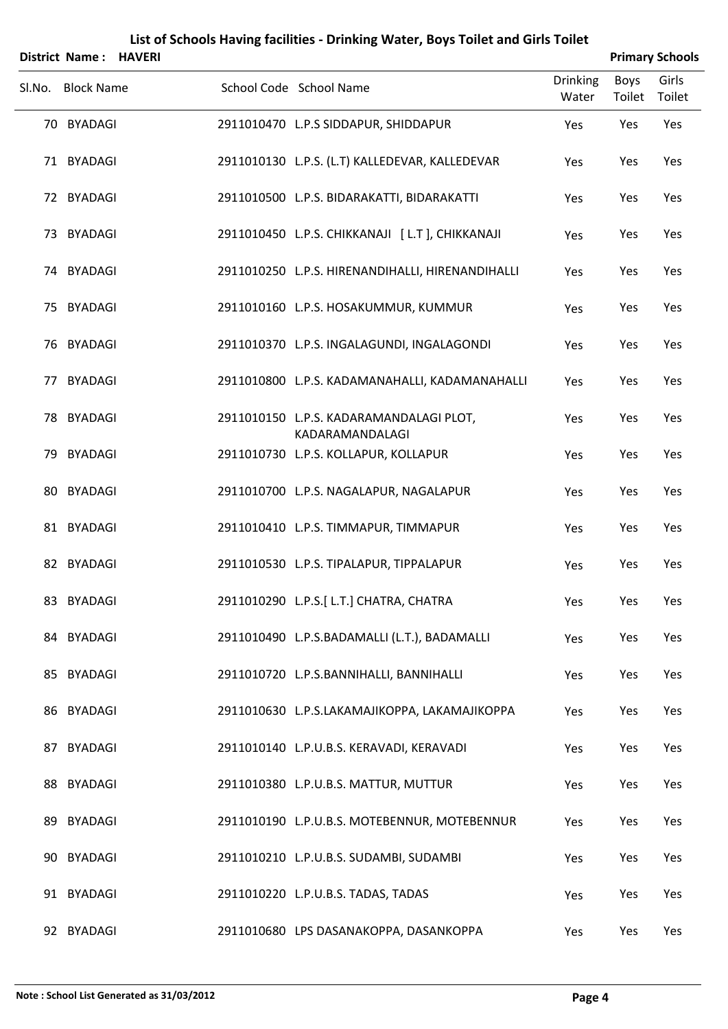|        | District Name: HAVERI |  |                                                            |                          |                | <b>Primary Schools</b> |
|--------|-----------------------|--|------------------------------------------------------------|--------------------------|----------------|------------------------|
| Sl.No. | <b>Block Name</b>     |  | School Code School Name                                    | <b>Drinking</b><br>Water | Boys<br>Toilet | Girls<br>Toilet        |
|        | 70 BYADAGI            |  | 2911010470 L.P.S SIDDAPUR, SHIDDAPUR                       | Yes                      | Yes            | Yes                    |
|        | 71 BYADAGI            |  | 2911010130 L.P.S. (L.T) KALLEDEVAR, KALLEDEVAR             | Yes                      | Yes            | Yes                    |
|        | 72 BYADAGI            |  | 2911010500 L.P.S. BIDARAKATTI, BIDARAKATTI                 | Yes                      | Yes            | Yes                    |
|        | 73 BYADAGI            |  | 2911010450 L.P.S. CHIKKANAJI [L.T], CHIKKANAJI             | Yes                      | Yes            | Yes                    |
|        | 74 BYADAGI            |  | 2911010250 L.P.S. HIRENANDIHALLI, HIRENANDIHALLI           | Yes                      | Yes            | Yes                    |
|        | 75 BYADAGI            |  | 2911010160 L.P.S. HOSAKUMMUR, KUMMUR                       | Yes                      | Yes            | Yes                    |
|        | 76 BYADAGI            |  | 2911010370 L.P.S. INGALAGUNDI, INGALAGONDI                 | Yes                      | Yes            | Yes                    |
|        | 77 BYADAGI            |  | 2911010800 L.P.S. KADAMANAHALLI, KADAMANAHALLI             | Yes                      | Yes            | Yes                    |
|        | 78 BYADAGI            |  | 2911010150 L.P.S. KADARAMANDALAGI PLOT,<br>KADARAMANDALAGI | Yes                      | Yes            | Yes                    |
|        | 79 BYADAGI            |  | 2911010730 L.P.S. KOLLAPUR, KOLLAPUR                       | Yes                      | Yes            | Yes                    |
|        | 80 BYADAGI            |  | 2911010700 L.P.S. NAGALAPUR, NAGALAPUR                     | Yes                      | Yes            | Yes                    |
|        | 81 BYADAGI            |  | 2911010410 L.P.S. TIMMAPUR, TIMMAPUR                       | Yes                      | Yes            | Yes                    |
|        | 82 BYADAGI            |  | 2911010530 L.P.S. TIPALAPUR, TIPPALAPUR                    | Yes                      | Yes            | Yes                    |
|        | 83 BYADAGI            |  | 2911010290 L.P.S.[ L.T.] CHATRA, CHATRA                    | Yes                      | Yes            | Yes                    |
|        | 84 BYADAGI            |  | 2911010490 L.P.S.BADAMALLI (L.T.), BADAMALLI               | Yes                      | Yes            | Yes                    |
|        | 85 BYADAGI            |  | 2911010720 L.P.S.BANNIHALLI, BANNIHALLI                    | Yes                      | Yes            | Yes                    |
|        | 86 BYADAGI            |  | 2911010630 L.P.S.LAKAMAJIKOPPA, LAKAMAJIKOPPA              | Yes                      | Yes            | Yes                    |
|        | 87 BYADAGI            |  | 2911010140 L.P.U.B.S. KERAVADI, KERAVADI                   | Yes                      | Yes            | Yes                    |
|        | 88 BYADAGI            |  | 2911010380 L.P.U.B.S. MATTUR, MUTTUR                       | Yes                      | Yes            | Yes                    |
|        | 89 BYADAGI            |  | 2911010190 L.P.U.B.S. MOTEBENNUR, MOTEBENNUR               | Yes                      | Yes            | Yes                    |
|        | 90 BYADAGI            |  | 2911010210 L.P.U.B.S. SUDAMBI, SUDAMBI                     | Yes                      | Yes            | Yes                    |
|        | 91 BYADAGI            |  | 2911010220 L.P.U.B.S. TADAS, TADAS                         | Yes                      | Yes            | Yes                    |
|        | 92 BYADAGI            |  | 2911010680 LPS DASANAKOPPA, DASANKOPPA                     | Yes                      | Yes            | Yes                    |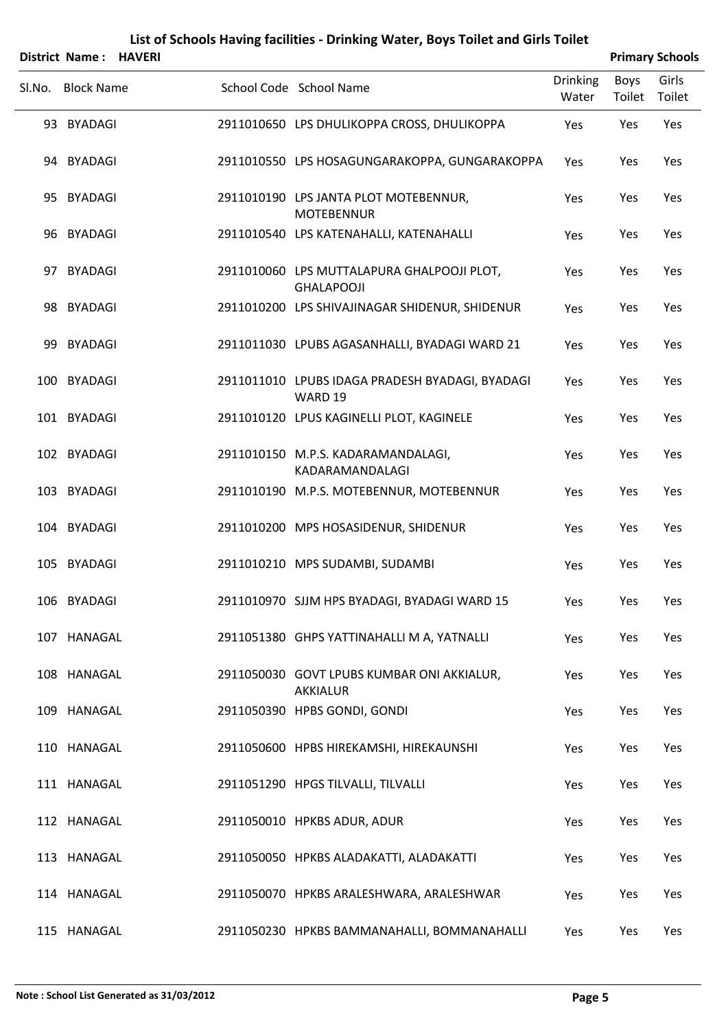|        | <b>District Name:</b> | <b>HAVERI</b> |                                                                 |                          |                | <b>Primary Schools</b> |
|--------|-----------------------|---------------|-----------------------------------------------------------------|--------------------------|----------------|------------------------|
| Sl.No. | <b>Block Name</b>     |               | School Code School Name                                         | <b>Drinking</b><br>Water | Boys<br>Toilet | Girls<br>Toilet        |
|        | 93 BYADAGI            |               | 2911010650 LPS DHULIKOPPA CROSS, DHULIKOPPA                     | Yes                      | Yes            | Yes                    |
|        | 94 BYADAGI            |               | 2911010550 LPS HOSAGUNGARAKOPPA, GUNGARAKOPPA                   | Yes                      | Yes            | Yes                    |
|        | 95 BYADAGI            |               | 2911010190 LPS JANTA PLOT MOTEBENNUR,<br><b>MOTEBENNUR</b>      | Yes                      | Yes            | Yes                    |
|        | 96 BYADAGI            |               | 2911010540 LPS KATENAHALLI, KATENAHALLI                         | Yes                      | Yes            | Yes                    |
| 97     | <b>BYADAGI</b>        |               | 2911010060 LPS MUTTALAPURA GHALPOOJI PLOT,<br><b>GHALAPOOJI</b> | Yes                      | Yes            | Yes                    |
|        | 98 BYADAGI            |               | 2911010200 LPS SHIVAJINAGAR SHIDENUR, SHIDENUR                  | Yes                      | Yes            | Yes                    |
|        | 99 BYADAGI            |               | 2911011030 LPUBS AGASANHALLI, BYADAGI WARD 21                   | Yes                      | Yes            | Yes                    |
|        | 100 BYADAGI           |               | 2911011010 LPUBS IDAGA PRADESH BYADAGI, BYADAGI<br>WARD 19      | Yes                      | Yes            | Yes                    |
|        | 101 BYADAGI           |               | 2911010120 LPUS KAGINELLI PLOT, KAGINELE                        | Yes                      | Yes            | Yes                    |
|        | 102 BYADAGI           |               | 2911010150 M.P.S. KADARAMANDALAGI,<br>KADARAMANDALAGI           | Yes                      | Yes            | Yes                    |
|        | 103 BYADAGI           |               | 2911010190 M.P.S. MOTEBENNUR, MOTEBENNUR                        | Yes                      | Yes            | Yes                    |
|        | 104 BYADAGI           |               | 2911010200 MPS HOSASIDENUR, SHIDENUR                            | Yes                      | Yes            | Yes                    |
|        | 105 BYADAGI           |               | 2911010210 MPS SUDAMBI, SUDAMBI                                 | Yes                      | Yes            | Yes                    |
|        | 106 BYADAGI           |               | 2911010970 SJJM HPS BYADAGI, BYADAGI WARD 15                    | Yes                      | Yes            | Yes                    |
|        | 107 HANAGAL           |               | 2911051380 GHPS YATTINAHALLI M A, YATNALLI                      | Yes                      | Yes            | Yes                    |
|        | 108 HANAGAL           |               | 2911050030 GOVT LPUBS KUMBAR ONI AKKIALUR,<br>AKKIALUR          | Yes                      | Yes            | Yes                    |
|        | 109 HANAGAL           |               | 2911050390 HPBS GONDI, GONDI                                    | Yes                      | Yes            | Yes                    |
|        | 110 HANAGAL           |               | 2911050600 HPBS HIREKAMSHI, HIREKAUNSHI                         | Yes                      | Yes            | Yes                    |
|        | 111 HANAGAL           |               | 2911051290 HPGS TILVALLI, TILVALLI                              | Yes                      | Yes            | Yes                    |
|        | 112 HANAGAL           |               | 2911050010 HPKBS ADUR, ADUR                                     | Yes                      | Yes            | Yes                    |
|        | 113 HANAGAL           |               | 2911050050 HPKBS ALADAKATTI, ALADAKATTI                         | Yes                      | Yes            | Yes                    |
|        | 114 HANAGAL           |               | 2911050070 HPKBS ARALESHWARA, ARALESHWAR                        | Yes                      | Yes            | Yes                    |
|        | 115 HANAGAL           |               | 2911050230 HPKBS BAMMANAHALLI, BOMMANAHALLI                     | Yes                      | Yes            | Yes                    |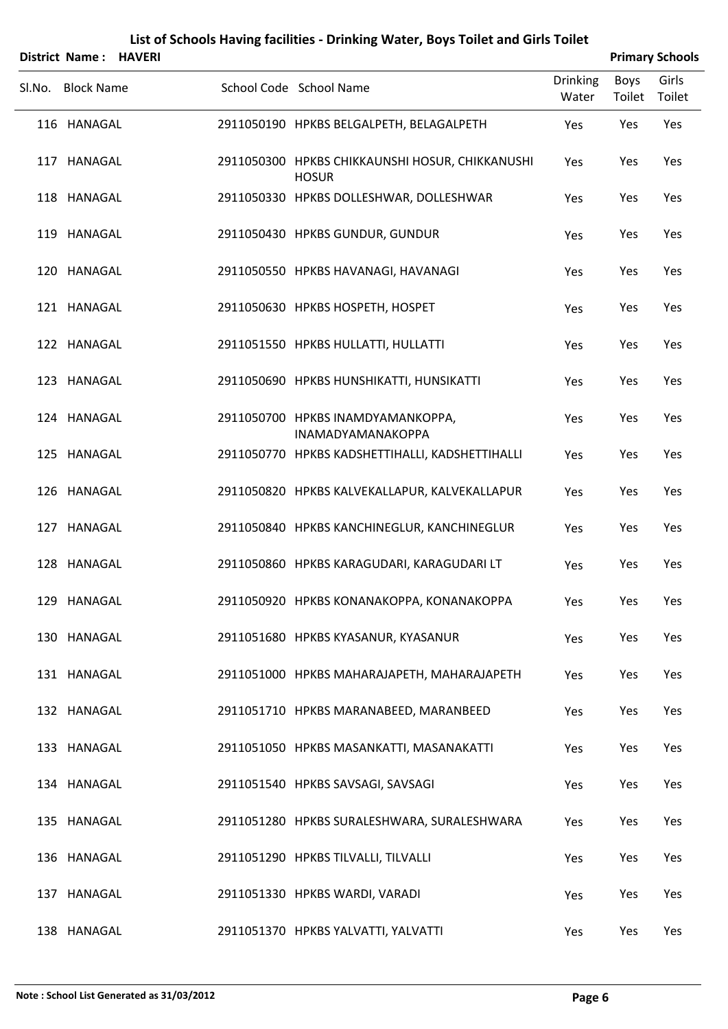| District Name: HAVERI |  |                                                                 |                          |                | <b>Primary Schools</b> |
|-----------------------|--|-----------------------------------------------------------------|--------------------------|----------------|------------------------|
| Sl.No. Block Name     |  | School Code School Name                                         | <b>Drinking</b><br>Water | Boys<br>Toilet | Girls<br>Toilet        |
| 116 HANAGAL           |  | 2911050190 HPKBS BELGALPETH, BELAGALPETH                        | Yes                      | Yes            | Yes                    |
| 117 HANAGAL           |  | 2911050300 HPKBS CHIKKAUNSHI HOSUR, CHIKKANUSHI<br><b>HOSUR</b> | Yes                      | Yes            | Yes                    |
| 118 HANAGAL           |  | 2911050330 HPKBS DOLLESHWAR, DOLLESHWAR                         | Yes                      | Yes            | Yes                    |
| 119 HANAGAL           |  | 2911050430 HPKBS GUNDUR, GUNDUR                                 | Yes                      | Yes            | Yes                    |
| 120 HANAGAL           |  | 2911050550 HPKBS HAVANAGI, HAVANAGI                             | Yes                      | Yes            | Yes                    |
| 121 HANAGAL           |  | 2911050630 HPKBS HOSPETH, HOSPET                                | Yes                      | Yes            | Yes                    |
| 122 HANAGAL           |  | 2911051550 HPKBS HULLATTI, HULLATTI                             | Yes                      | Yes            | Yes                    |
| 123 HANAGAL           |  | 2911050690 HPKBS HUNSHIKATTI, HUNSIKATTI                        | Yes                      | Yes            | Yes                    |
| 124 HANAGAL           |  | 2911050700 HPKBS INAMDYAMANKOPPA,<br><b>INAMADYAMANAKOPPA</b>   | Yes                      | Yes            | Yes                    |
| 125 HANAGAL           |  | 2911050770 HPKBS KADSHETTIHALLI, KADSHETTIHALLI                 | Yes                      | Yes            | Yes                    |
| 126 HANAGAL           |  | 2911050820 HPKBS KALVEKALLAPUR, KALVEKALLAPUR                   | Yes                      | Yes            | Yes                    |
| 127 HANAGAL           |  | 2911050840 HPKBS KANCHINEGLUR, KANCHINEGLUR                     | Yes                      | Yes            | Yes                    |
| 128 HANAGAL           |  | 2911050860 HPKBS KARAGUDARI, KARAGUDARI LT                      | Yes                      | Yes            | Yes                    |
| 129 HANAGAL           |  | 2911050920 HPKBS KONANAKOPPA, KONANAKOPPA                       | Yes                      | Yes            | Yes                    |
| 130 HANAGAL           |  | 2911051680 HPKBS KYASANUR, KYASANUR                             | Yes                      | Yes            | Yes                    |
| 131 HANAGAL           |  | 2911051000 HPKBS MAHARAJAPETH, MAHARAJAPETH                     | Yes                      | Yes            | Yes                    |
| 132 HANAGAL           |  | 2911051710 HPKBS MARANABEED, MARANBEED                          | Yes                      | Yes            | Yes                    |
| 133 HANAGAL           |  | 2911051050 HPKBS MASANKATTI, MASANAKATTI                        | Yes                      | Yes            | Yes                    |
| 134 HANAGAL           |  | 2911051540 HPKBS SAVSAGI, SAVSAGI                               | Yes                      | Yes            | Yes                    |
| 135 HANAGAL           |  | 2911051280 HPKBS SURALESHWARA, SURALESHWARA                     | Yes                      | Yes            | Yes                    |
| 136 HANAGAL           |  | 2911051290 HPKBS TILVALLI, TILVALLI                             | Yes                      | Yes            | Yes                    |
| 137 HANAGAL           |  | 2911051330 HPKBS WARDI, VARADI                                  | Yes                      | Yes            | Yes                    |
| 138 HANAGAL           |  | 2911051370 HPKBS YALVATTI, YALVATTI                             | Yes                      | Yes            | Yes                    |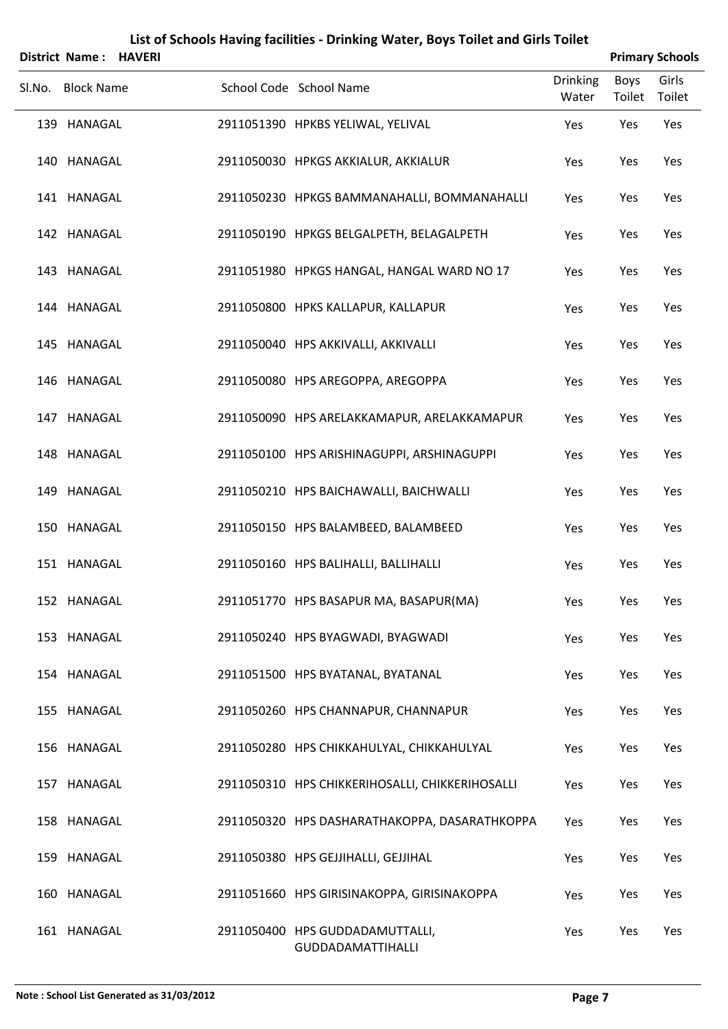| District Name: HAVERI |  |                                                             |                          |                | <b>Primary Schools</b> |
|-----------------------|--|-------------------------------------------------------------|--------------------------|----------------|------------------------|
| Sl.No. Block Name     |  | School Code School Name                                     | <b>Drinking</b><br>Water | Boys<br>Toilet | Girls<br>Toilet        |
| 139 HANAGAL           |  | 2911051390 HPKBS YELIWAL, YELIVAL                           | Yes                      | Yes            | Yes                    |
| 140 HANAGAL           |  | 2911050030 HPKGS AKKIALUR, AKKIALUR                         | Yes                      | Yes            | Yes                    |
| 141 HANAGAL           |  | 2911050230 HPKGS BAMMANAHALLI, BOMMANAHALLI                 | Yes                      | Yes            | Yes                    |
| 142 HANAGAL           |  | 2911050190 HPKGS BELGALPETH, BELAGALPETH                    | Yes                      | Yes            | Yes                    |
| 143 HANAGAL           |  | 2911051980 HPKGS HANGAL, HANGAL WARD NO 17                  | Yes                      | Yes            | Yes                    |
| 144 HANAGAL           |  | 2911050800 HPKS KALLAPUR, KALLAPUR                          | Yes                      | Yes            | Yes                    |
| 145 HANAGAL           |  | 2911050040 HPS AKKIVALLI, AKKIVALLI                         | Yes                      | Yes            | Yes                    |
| 146 HANAGAL           |  | 2911050080 HPS AREGOPPA, AREGOPPA                           | Yes                      | Yes            | Yes                    |
| 147 HANAGAL           |  | 2911050090 HPS ARELAKKAMAPUR, ARELAKKAMAPUR                 | Yes                      | Yes            | Yes                    |
| 148 HANAGAL           |  | 2911050100 HPS ARISHINAGUPPI, ARSHINAGUPPI                  | Yes                      | Yes            | Yes                    |
| 149 HANAGAL           |  | 2911050210 HPS BAICHAWALLI, BAICHWALLI                      | Yes                      | Yes            | Yes                    |
| 150 HANAGAL           |  | 2911050150 HPS BALAMBEED, BALAMBEED                         | Yes                      | Yes            | Yes                    |
| 151 HANAGAL           |  | 2911050160 HPS BALIHALLI, BALLIHALLI                        | Yes                      | Yes            | Yes                    |
| 152 HANAGAL           |  | 2911051770 HPS BASAPUR MA, BASAPUR(MA)                      | Yes                      | Yes            | Yes                    |
| 153 HANAGAL           |  | 2911050240 HPS BYAGWADI, BYAGWADI                           | Yes                      | Yes            | Yes                    |
| 154 HANAGAL           |  | 2911051500 HPS BYATANAL, BYATANAL                           | Yes                      | Yes            | Yes                    |
| 155 HANAGAL           |  | 2911050260 HPS CHANNAPUR, CHANNAPUR                         | Yes                      | Yes            | Yes                    |
| 156 HANAGAL           |  | 2911050280 HPS CHIKKAHULYAL, CHIKKAHULYAL                   | Yes                      | Yes            | Yes                    |
| 157 HANAGAL           |  | 2911050310 HPS CHIKKERIHOSALLI, CHIKKERIHOSALLI             | Yes                      | Yes            | Yes                    |
| 158 HANAGAL           |  | 2911050320 HPS DASHARATHAKOPPA, DASARATHKOPPA               | Yes                      | Yes            | Yes                    |
| 159 HANAGAL           |  | 2911050380 HPS GEJJIHALLI, GEJJIHAL                         | Yes                      | Yes            | Yes                    |
| 160 HANAGAL           |  | 2911051660 HPS GIRISINAKOPPA, GIRISINAKOPPA                 | Yes                      | Yes            | Yes                    |
| 161 HANAGAL           |  | 2911050400 HPS GUDDADAMUTTALLI,<br><b>GUDDADAMATTIHALLI</b> | Yes                      | Yes            | Yes                    |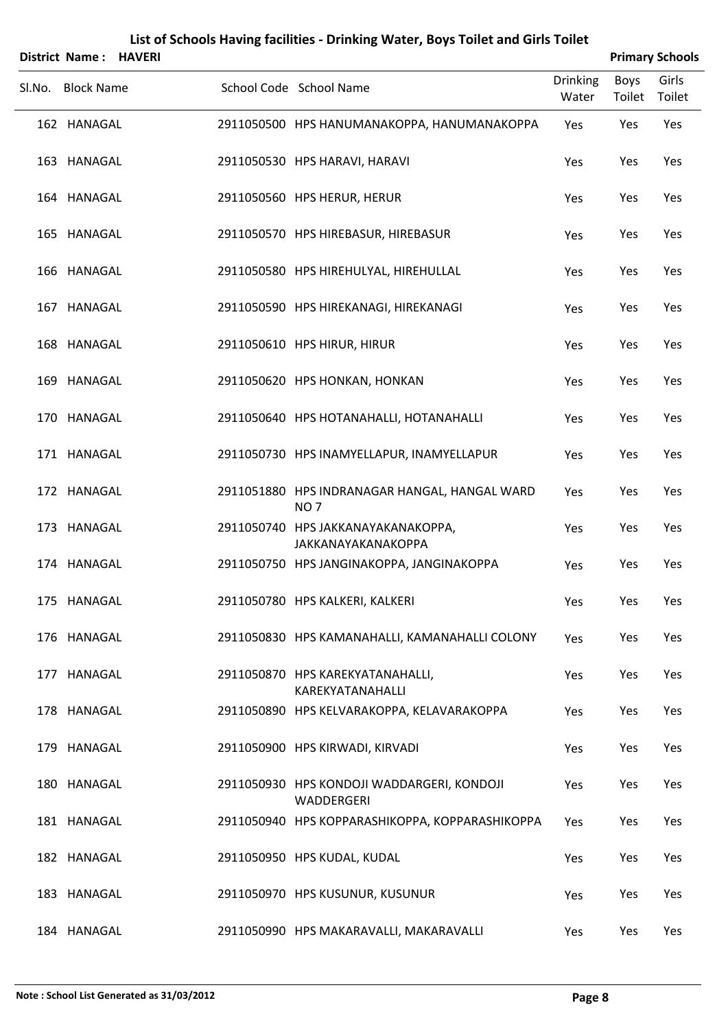| List of Schools Having facilities - Drinking Water, Boys Toilet and Girls Toilet<br><b>Primary Schools</b><br>District Name: HAVERI |  |  |                                                                  |                 |             |        |  |  |  |
|-------------------------------------------------------------------------------------------------------------------------------------|--|--|------------------------------------------------------------------|-----------------|-------------|--------|--|--|--|
|                                                                                                                                     |  |  |                                                                  | <b>Drinking</b> | <b>Boys</b> | Girls  |  |  |  |
| Sl.No. Block Name                                                                                                                   |  |  | School Code School Name                                          | Water           | Toilet      | Toilet |  |  |  |
| 162 HANAGAL                                                                                                                         |  |  | 2911050500 HPS HANUMANAKOPPA, HANUMANAKOPPA                      | Yes             | Yes         | Yes    |  |  |  |
| 163 HANAGAL                                                                                                                         |  |  | 2911050530 HPS HARAVI, HARAVI                                    | Yes             | Yes         | Yes    |  |  |  |
| 164 HANAGAL                                                                                                                         |  |  | 2911050560 HPS HERUR, HERUR                                      | Yes             | Yes         | Yes    |  |  |  |
| 165 HANAGAL                                                                                                                         |  |  | 2911050570 HPS HIREBASUR, HIREBASUR                              | Yes             | Yes         | Yes    |  |  |  |
| 166 HANAGAL                                                                                                                         |  |  | 2911050580 HPS HIREHULYAL, HIREHULLAL                            | Yes             | Yes         | Yes    |  |  |  |
| 167 HANAGAL                                                                                                                         |  |  | 2911050590 HPS HIREKANAGI, HIREKANAGI                            | Yes             | Yes         | Yes    |  |  |  |
| 168 HANAGAL                                                                                                                         |  |  | 2911050610 HPS HIRUR, HIRUR                                      | Yes             | Yes         | Yes    |  |  |  |
| 169 HANAGAL                                                                                                                         |  |  | 2911050620 HPS HONKAN, HONKAN                                    | Yes             | Yes         | Yes    |  |  |  |
| 170 HANAGAL                                                                                                                         |  |  | 2911050640 HPS HOTANAHALLI, HOTANAHALLI                          | Yes             | Yes         | Yes    |  |  |  |
| 171 HANAGAL                                                                                                                         |  |  | 2911050730 HPS INAMYELLAPUR, INAMYELLAPUR                        | Yes             | Yes         | Yes    |  |  |  |
| 172 HANAGAL                                                                                                                         |  |  | 2911051880 HPS INDRANAGAR HANGAL, HANGAL WARD<br>NO <sub>7</sub> | Yes             | Yes         | Yes    |  |  |  |
| 173 HANAGAL                                                                                                                         |  |  | 2911050740 HPS JAKKANAYAKANAKOPPA,<br>JAKKANAYAKANAKOPPA         | Yes             | Yes         | Yes    |  |  |  |
| 174 HANAGAL                                                                                                                         |  |  | 2911050750 HPS JANGINAKOPPA, JANGINAKOPPA                        | Yes             | Yes         | Yes    |  |  |  |
| 175 HANAGAL                                                                                                                         |  |  | 2911050780 HPS KALKERI, KALKERI                                  | Yes             | Yes         | Yes    |  |  |  |
| 176 HANAGAL                                                                                                                         |  |  | 2911050830 HPS KAMANAHALLI, KAMANAHALLI COLONY                   | <b>Yes</b>      | Yes         | Yes    |  |  |  |
| 177 HANAGAL                                                                                                                         |  |  | 2911050870 HPS KAREKYATANAHALLI,<br>KAREKYATANAHALLI             | Yes             | Yes         | Yes    |  |  |  |
| 178 HANAGAL                                                                                                                         |  |  | 2911050890 HPS KELVARAKOPPA, KELAVARAKOPPA                       | Yes             | Yes         | Yes    |  |  |  |
| 179 HANAGAL                                                                                                                         |  |  | 2911050900 HPS KIRWADI, KIRVADI                                  | Yes             | Yes         | Yes    |  |  |  |
| 180 HANAGAL                                                                                                                         |  |  | 2911050930 HPS KONDOJI WADDARGERI, KONDOJI<br>WADDERGERI         | Yes             | Yes         | Yes    |  |  |  |
| 181 HANAGAL                                                                                                                         |  |  | 2911050940 HPS KOPPARASHIKOPPA, KOPPARASHIKOPPA                  | Yes             | Yes         | Yes    |  |  |  |
| 182 HANAGAL                                                                                                                         |  |  | 2911050950 HPS KUDAL, KUDAL                                      | Yes             | Yes         | Yes    |  |  |  |
| 183 HANAGAL                                                                                                                         |  |  | 2911050970 HPS KUSUNUR, KUSUNUR                                  | Yes             | Yes         | Yes    |  |  |  |
| 184 HANAGAL                                                                                                                         |  |  | 2911050990 HPS MAKARAVALLI, MAKARAVALLI                          | Yes             | Yes         | Yes    |  |  |  |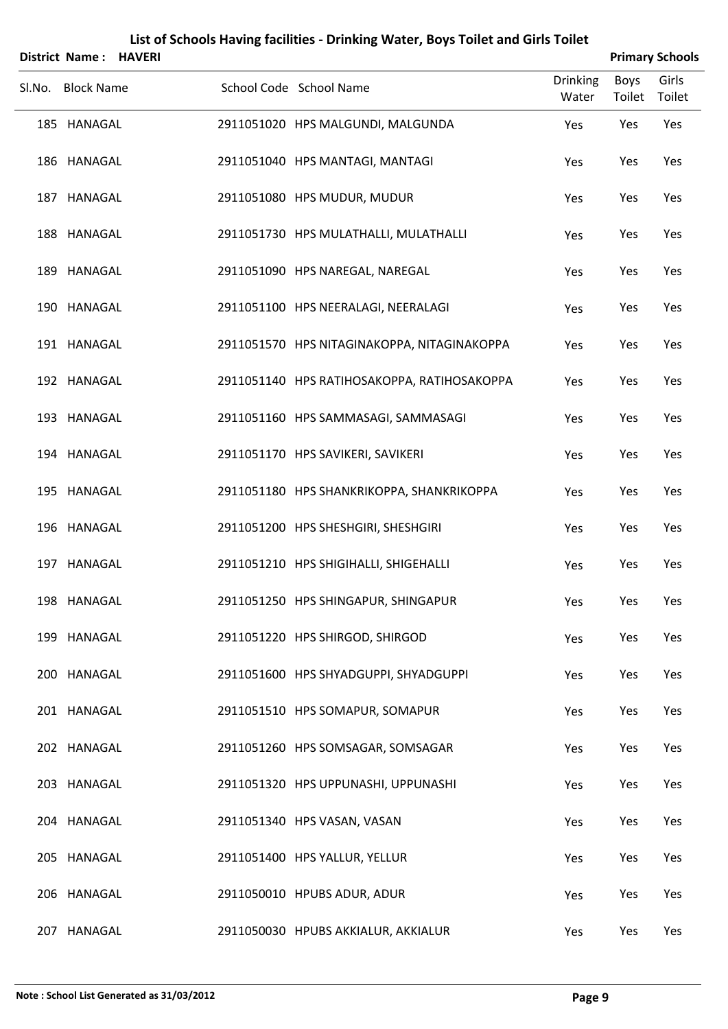| <b>District Name: HAVERI</b> |  |                                             |                          |                | <b>Primary Schools</b> |
|------------------------------|--|---------------------------------------------|--------------------------|----------------|------------------------|
| Sl.No. Block Name            |  | School Code School Name                     | <b>Drinking</b><br>Water | Boys<br>Toilet | Girls<br>Toilet        |
| 185 HANAGAL                  |  | 2911051020 HPS MALGUNDI, MALGUNDA           | Yes                      | Yes            | Yes                    |
| 186 HANAGAL                  |  | 2911051040 HPS MANTAGI, MANTAGI             | Yes                      | Yes            | Yes                    |
| 187 HANAGAL                  |  | 2911051080 HPS MUDUR, MUDUR                 | Yes                      | Yes            | Yes                    |
| 188 HANAGAL                  |  | 2911051730 HPS MULATHALLI, MULATHALLI       | Yes                      | Yes            | Yes                    |
| 189 HANAGAL                  |  | 2911051090 HPS NAREGAL, NAREGAL             | Yes                      | Yes            | Yes                    |
| 190 HANAGAL                  |  | 2911051100 HPS NEERALAGI, NEERALAGI         | Yes                      | Yes            | Yes                    |
| 191 HANAGAL                  |  | 2911051570 HPS NITAGINAKOPPA, NITAGINAKOPPA | Yes                      | Yes            | Yes                    |
| 192 HANAGAL                  |  | 2911051140 HPS RATIHOSAKOPPA, RATIHOSAKOPPA | Yes                      | Yes            | Yes                    |
| 193 HANAGAL                  |  | 2911051160 HPS SAMMASAGI, SAMMASAGI         | Yes                      | Yes            | Yes                    |
| 194 HANAGAL                  |  | 2911051170 HPS SAVIKERI, SAVIKERI           | Yes                      | Yes            | Yes                    |
| 195 HANAGAL                  |  | 2911051180 HPS SHANKRIKOPPA, SHANKRIKOPPA   | Yes                      | Yes            | Yes                    |
| 196 HANAGAL                  |  | 2911051200 HPS SHESHGIRI, SHESHGIRI         | Yes                      | Yes            | Yes                    |
| 197 HANAGAL                  |  | 2911051210 HPS SHIGIHALLI, SHIGEHALLI       | Yes                      | Yes            | Yes                    |
| 198 HANAGAL                  |  | 2911051250 HPS SHINGAPUR, SHINGAPUR         | Yes                      | Yes            | Yes                    |
| 199 HANAGAL                  |  | 2911051220 HPS SHIRGOD, SHIRGOD             | Yes                      | Yes            | Yes                    |
| 200 HANAGAL                  |  | 2911051600 HPS SHYADGUPPI, SHYADGUPPI       | Yes                      | Yes            | Yes                    |
| 201 HANAGAL                  |  | 2911051510 HPS SOMAPUR, SOMAPUR             | Yes                      | Yes            | Yes                    |
| 202 HANAGAL                  |  | 2911051260 HPS SOMSAGAR, SOMSAGAR           | Yes                      | Yes            | Yes                    |
| 203 HANAGAL                  |  | 2911051320 HPS UPPUNASHI, UPPUNASHI         | Yes                      | Yes            | Yes                    |
| 204 HANAGAL                  |  | 2911051340 HPS VASAN, VASAN                 | Yes                      | Yes            | Yes                    |
| 205 HANAGAL                  |  | 2911051400 HPS YALLUR, YELLUR               | Yes                      | Yes            | Yes                    |
| 206 HANAGAL                  |  | 2911050010 HPUBS ADUR, ADUR                 | Yes                      | Yes            | Yes                    |
| 207 HANAGAL                  |  | 2911050030 HPUBS AKKIALUR, AKKIALUR         | Yes                      | Yes            | Yes                    |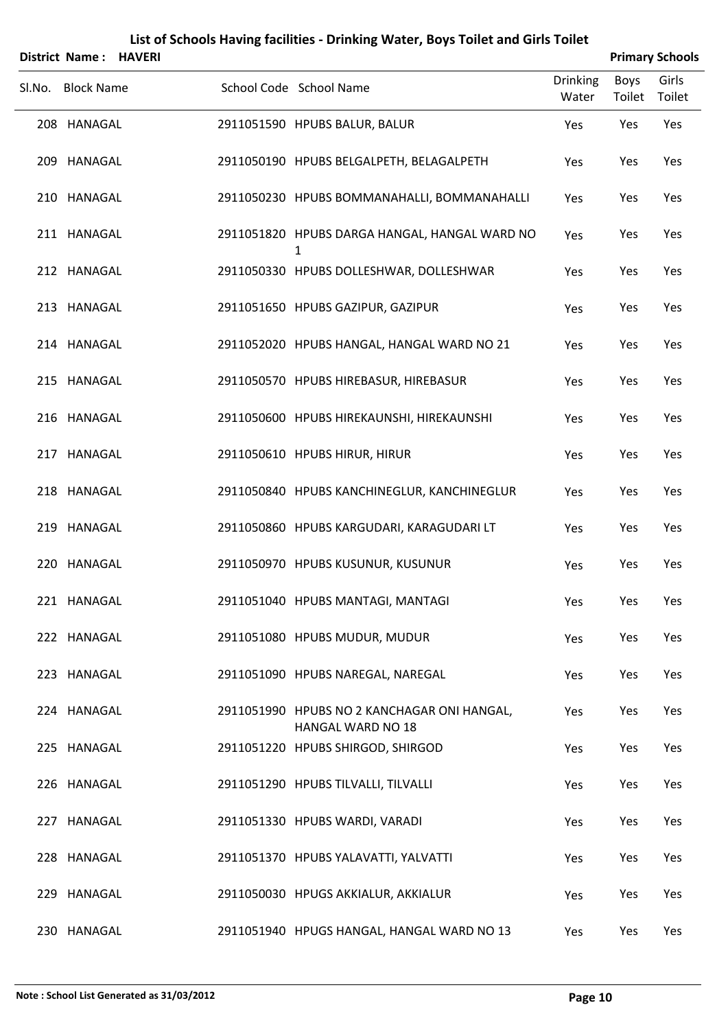|        | <b>District Name: HAVERI</b> |  |                                                                         |                          |                | <b>Primary Schools</b> |
|--------|------------------------------|--|-------------------------------------------------------------------------|--------------------------|----------------|------------------------|
| SI.No. | <b>Block Name</b>            |  | School Code School Name                                                 | <b>Drinking</b><br>Water | Boys<br>Toilet | Girls<br>Toilet        |
|        | 208 HANAGAL                  |  | 2911051590 HPUBS BALUR, BALUR                                           | Yes                      | Yes            | Yes                    |
|        | 209 HANAGAL                  |  | 2911050190 HPUBS BELGALPETH, BELAGALPETH                                | Yes                      | Yes            | Yes                    |
|        | 210 HANAGAL                  |  | 2911050230 HPUBS BOMMANAHALLI, BOMMANAHALLI                             | Yes                      | Yes            | Yes                    |
|        | 211 HANAGAL                  |  | 2911051820 HPUBS DARGA HANGAL, HANGAL WARD NO<br>1                      | Yes                      | Yes            | Yes                    |
|        | 212 HANAGAL                  |  | 2911050330 HPUBS DOLLESHWAR, DOLLESHWAR                                 | Yes                      | Yes            | Yes                    |
|        | 213 HANAGAL                  |  | 2911051650 HPUBS GAZIPUR, GAZIPUR                                       | Yes                      | Yes            | Yes                    |
|        | 214 HANAGAL                  |  | 2911052020 HPUBS HANGAL, HANGAL WARD NO 21                              | Yes                      | Yes            | Yes                    |
|        | 215 HANAGAL                  |  | 2911050570 HPUBS HIREBASUR, HIREBASUR                                   | Yes                      | Yes            | Yes                    |
|        | 216 HANAGAL                  |  | 2911050600 HPUBS HIREKAUNSHI, HIREKAUNSHI                               | Yes                      | Yes            | Yes                    |
|        | 217 HANAGAL                  |  | 2911050610 HPUBS HIRUR, HIRUR                                           | Yes                      | Yes            | Yes                    |
|        | 218 HANAGAL                  |  | 2911050840 HPUBS KANCHINEGLUR, KANCHINEGLUR                             | Yes                      | Yes            | Yes                    |
|        | 219 HANAGAL                  |  | 2911050860 HPUBS KARGUDARI, KARAGUDARI LT                               | Yes                      | Yes            | Yes                    |
|        | 220 HANAGAL                  |  | 2911050970 HPUBS KUSUNUR, KUSUNUR                                       | Yes                      | Yes            | Yes                    |
|        | 221 HANAGAL                  |  | 2911051040 HPUBS MANTAGI, MANTAGI                                       | Yes                      | Yes            | Yes                    |
|        | 222 HANAGAL                  |  | 2911051080 HPUBS MUDUR, MUDUR                                           | Yes                      | Yes            | Yes                    |
|        | 223 HANAGAL                  |  | 2911051090 HPUBS NAREGAL, NAREGAL                                       | Yes                      | Yes            | Yes                    |
|        | 224 HANAGAL                  |  | 2911051990 HPUBS NO 2 KANCHAGAR ONI HANGAL,<br><b>HANGAL WARD NO 18</b> | Yes                      | Yes            | Yes                    |
|        | 225 HANAGAL                  |  | 2911051220 HPUBS SHIRGOD, SHIRGOD                                       | Yes                      | Yes            | Yes                    |
|        | 226 HANAGAL                  |  | 2911051290 HPUBS TILVALLI, TILVALLI                                     | Yes                      | Yes            | Yes                    |
|        | 227 HANAGAL                  |  | 2911051330 HPUBS WARDI, VARADI                                          | Yes                      | Yes            | Yes                    |
|        | 228 HANAGAL                  |  | 2911051370 HPUBS YALAVATTI, YALVATTI                                    | Yes                      | Yes            | Yes                    |
|        | 229 HANAGAL                  |  | 2911050030 HPUGS AKKIALUR, AKKIALUR                                     | Yes                      | Yes            | Yes                    |
|        | 230 HANAGAL                  |  | 2911051940 HPUGS HANGAL, HANGAL WARD NO 13                              | Yes                      | Yes            | Yes                    |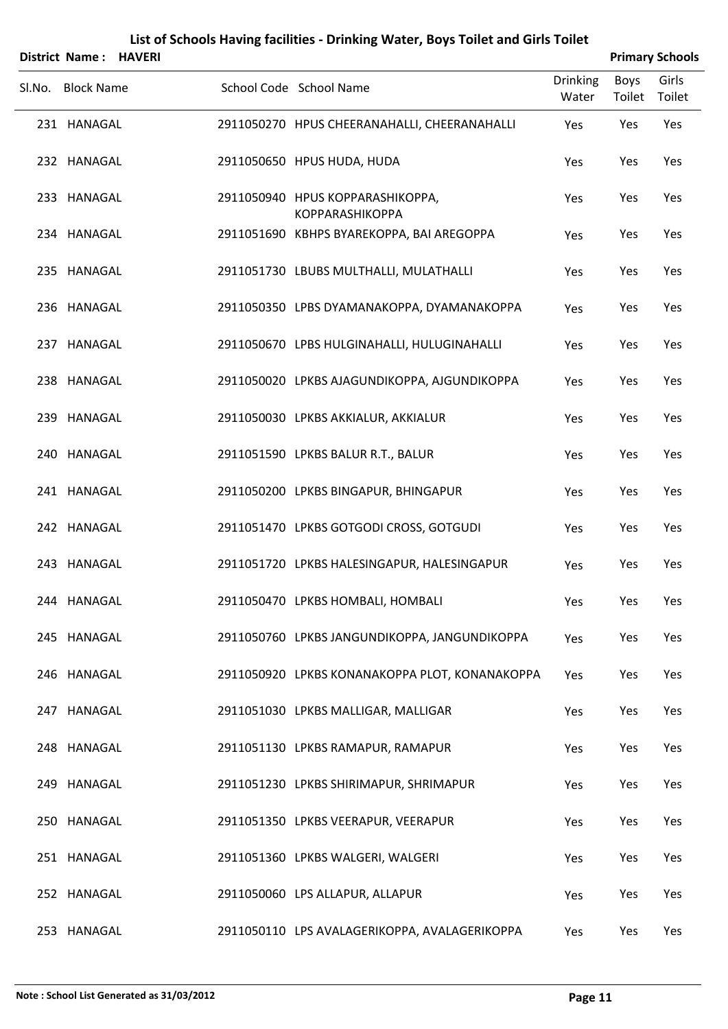| District Name: HAVERI |  |                                                            |                          |                | <b>Primary Schools</b> |
|-----------------------|--|------------------------------------------------------------|--------------------------|----------------|------------------------|
| Sl.No. Block Name     |  | School Code School Name                                    | <b>Drinking</b><br>Water | Boys<br>Toilet | Girls<br>Toilet        |
| 231 HANAGAL           |  | 2911050270 HPUS CHEERANAHALLI, CHEERANAHALLI               | Yes                      | Yes            | Yes                    |
| 232 HANAGAL           |  | 2911050650 HPUS HUDA, HUDA                                 | Yes                      | Yes            | Yes                    |
| 233 HANAGAL           |  | 2911050940 HPUS KOPPARASHIKOPPA,<br><b>KOPPARASHIKOPPA</b> | Yes                      | Yes            | Yes                    |
| 234 HANAGAL           |  | 2911051690 KBHPS BYAREKOPPA, BAI AREGOPPA                  | Yes                      | Yes            | Yes                    |
| 235 HANAGAL           |  | 2911051730 LBUBS MULTHALLI, MULATHALLI                     | Yes                      | Yes            | Yes                    |
| 236 HANAGAL           |  | 2911050350 LPBS DYAMANAKOPPA, DYAMANAKOPPA                 | Yes                      | Yes            | Yes                    |
| 237 HANAGAL           |  | 2911050670 LPBS HULGINAHALLI, HULUGINAHALLI                | Yes                      | Yes            | Yes                    |
| 238 HANAGAL           |  | 2911050020 LPKBS AJAGUNDIKOPPA, AJGUNDIKOPPA               | Yes                      | Yes            | Yes                    |
| 239 HANAGAL           |  | 2911050030 LPKBS AKKIALUR, AKKIALUR                        | Yes                      | Yes            | Yes                    |
| 240 HANAGAL           |  | 2911051590 LPKBS BALUR R.T., BALUR                         | Yes                      | Yes            | Yes                    |
| 241 HANAGAL           |  | 2911050200 LPKBS BINGAPUR, BHINGAPUR                       | Yes                      | Yes            | Yes                    |
| 242 HANAGAL           |  | 2911051470 LPKBS GOTGODI CROSS, GOTGUDI                    | Yes                      | Yes            | Yes                    |
| 243 HANAGAL           |  | 2911051720 LPKBS HALESINGAPUR, HALESINGAPUR                | Yes                      | Yes            | Yes                    |
| 244 HANAGAL           |  | 2911050470 LPKBS HOMBALI, HOMBALI                          | Yes                      | Yes            | Yes                    |
| 245 HANAGAL           |  | 2911050760 LPKBS JANGUNDIKOPPA, JANGUNDIKOPPA              | Yes                      | Yes            | Yes                    |
| 246 HANAGAL           |  | 2911050920 LPKBS KONANAKOPPA PLOT, KONANAKOPPA             | Yes                      | Yes            | Yes                    |
| 247 HANAGAL           |  | 2911051030 LPKBS MALLIGAR, MALLIGAR                        | Yes                      | Yes            | Yes                    |
| 248 HANAGAL           |  | 2911051130 LPKBS RAMAPUR, RAMAPUR                          | Yes                      | Yes            | Yes                    |
| 249 HANAGAL           |  | 2911051230 LPKBS SHIRIMAPUR, SHRIMAPUR                     | Yes                      | Yes            | Yes                    |
| 250 HANAGAL           |  | 2911051350 LPKBS VEERAPUR, VEERAPUR                        | Yes                      | Yes            | Yes                    |
| 251 HANAGAL           |  | 2911051360 LPKBS WALGERI, WALGERI                          | Yes                      | Yes            | Yes                    |
| 252 HANAGAL           |  | 2911050060 LPS ALLAPUR, ALLAPUR                            | Yes                      | Yes            | Yes                    |
| 253 HANAGAL           |  | 2911050110 LPS AVALAGERIKOPPA, AVALAGERIKOPPA              | Yes                      | Yes            | Yes                    |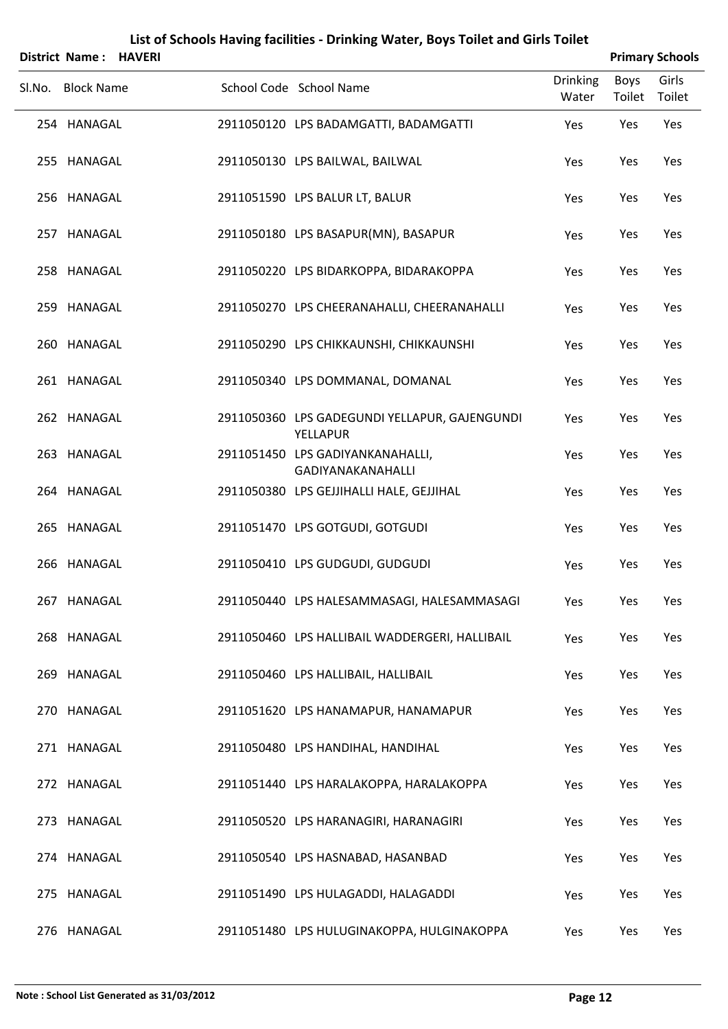|        | District Name: HAVERI |  |                                                                  |                          |                | <b>Primary Schools</b> |
|--------|-----------------------|--|------------------------------------------------------------------|--------------------------|----------------|------------------------|
| SI.No. | <b>Block Name</b>     |  | School Code School Name                                          | <b>Drinking</b><br>Water | Boys<br>Toilet | Girls<br>Toilet        |
|        | 254 HANAGAL           |  | 2911050120 LPS BADAMGATTI, BADAMGATTI                            | Yes                      | Yes            | Yes                    |
|        | 255 HANAGAL           |  | 2911050130 LPS BAILWAL, BAILWAL                                  | Yes                      | Yes            | Yes                    |
|        | 256 HANAGAL           |  | 2911051590 LPS BALUR LT, BALUR                                   | Yes                      | Yes            | Yes                    |
|        | 257 HANAGAL           |  | 2911050180 LPS BASAPUR(MN), BASAPUR                              | Yes                      | Yes            | Yes                    |
|        | 258 HANAGAL           |  | 2911050220 LPS BIDARKOPPA, BIDARAKOPPA                           | Yes                      | Yes            | Yes                    |
|        | 259 HANAGAL           |  | 2911050270 LPS CHEERANAHALLI, CHEERANAHALLI                      | Yes                      | Yes            | Yes                    |
|        | 260 HANAGAL           |  | 2911050290 LPS CHIKKAUNSHI, CHIKKAUNSHI                          | Yes                      | Yes            | Yes                    |
|        | 261 HANAGAL           |  | 2911050340 LPS DOMMANAL, DOMANAL                                 | Yes                      | Yes            | Yes                    |
|        | 262 HANAGAL           |  | 2911050360 LPS GADEGUNDI YELLAPUR, GAJENGUNDI<br><b>YELLAPUR</b> | Yes                      | Yes            | Yes                    |
|        | 263 HANAGAL           |  | 2911051450 LPS GADIYANKANAHALLI,<br><b>GADIYANAKANAHALLI</b>     | Yes                      | Yes            | Yes                    |
|        | 264 HANAGAL           |  | 2911050380 LPS GEJJIHALLI HALE, GEJJIHAL                         | Yes                      | Yes            | Yes                    |
|        | 265 HANAGAL           |  | 2911051470 LPS GOTGUDI, GOTGUDI                                  | Yes                      | Yes            | Yes                    |
|        | 266 HANAGAL           |  | 2911050410 LPS GUDGUDI, GUDGUDI                                  | Yes                      | Yes            | Yes                    |
|        | 267 HANAGAL           |  | 2911050440 LPS HALESAMMASAGI, HALESAMMASAGI                      | Yes                      | Yes            | Yes                    |
|        | 268 HANAGAL           |  | 2911050460 LPS HALLIBAIL WADDERGERI, HALLIBAIL                   | Yes                      | Yes            | Yes                    |
|        | 269 HANAGAL           |  | 2911050460 LPS HALLIBAIL, HALLIBAIL                              | Yes                      | Yes            | Yes                    |
|        | 270 HANAGAL           |  | 2911051620 LPS HANAMAPUR, HANAMAPUR                              | Yes                      | Yes            | Yes                    |
|        | 271 HANAGAL           |  | 2911050480 LPS HANDIHAL, HANDIHAL                                | Yes                      | Yes            | Yes                    |
|        | 272 HANAGAL           |  | 2911051440 LPS HARALAKOPPA, HARALAKOPPA                          | Yes                      | Yes            | Yes                    |
|        | 273 HANAGAL           |  | 2911050520 LPS HARANAGIRI, HARANAGIRI                            | Yes                      | Yes            | Yes                    |
|        | 274 HANAGAL           |  | 2911050540 LPS HASNABAD, HASANBAD                                | Yes                      | Yes            | Yes                    |
|        | 275 HANAGAL           |  | 2911051490 LPS HULAGADDI, HALAGADDI                              | Yes                      | Yes            | Yes                    |
|        | 276 HANAGAL           |  | 2911051480 LPS HULUGINAKOPPA, HULGINAKOPPA                       | Yes                      | Yes            | Yes                    |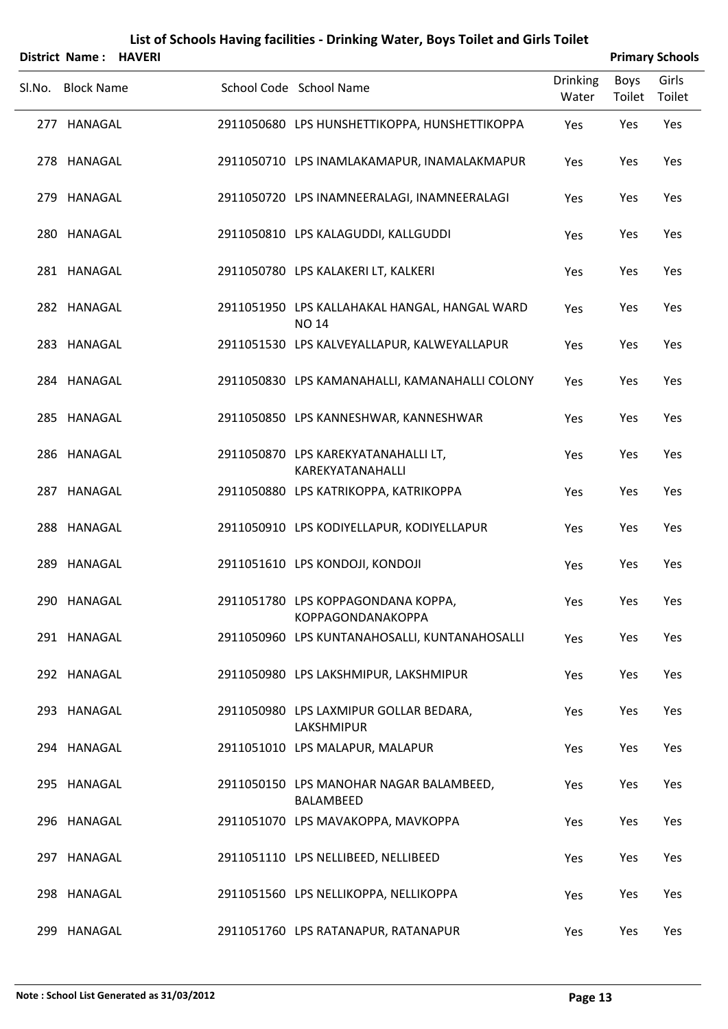|        | <b>District Name:</b> | <b>HAVERI</b> |                                                               |                          |                | <b>Primary Schools</b> |
|--------|-----------------------|---------------|---------------------------------------------------------------|--------------------------|----------------|------------------------|
| Sl.No. | <b>Block Name</b>     |               | School Code School Name                                       | <b>Drinking</b><br>Water | Boys<br>Toilet | Girls<br>Toilet        |
|        | 277 HANAGAL           |               | 2911050680 LPS HUNSHETTIKOPPA, HUNSHETTIKOPPA                 | Yes                      | Yes            | Yes                    |
|        | 278 HANAGAL           |               | 2911050710 LPS INAMLAKAMAPUR, INAMALAKMAPUR                   | Yes                      | Yes            | Yes                    |
|        | 279 HANAGAL           |               | 2911050720 LPS INAMNEERALAGI, INAMNEERALAGI                   | Yes                      | Yes            | Yes                    |
|        | 280 HANAGAL           |               | 2911050810 LPS KALAGUDDI, KALLGUDDI                           | Yes                      | Yes            | Yes                    |
|        | 281 HANAGAL           |               | 2911050780 LPS KALAKERI LT, KALKERI                           | Yes                      | Yes            | Yes                    |
|        | 282 HANAGAL           |               | 2911051950 LPS KALLAHAKAL HANGAL, HANGAL WARD<br><b>NO 14</b> | Yes                      | Yes            | Yes                    |
|        | 283 HANAGAL           |               | 2911051530 LPS KALVEYALLAPUR, KALWEYALLAPUR                   | Yes                      | Yes            | Yes                    |
|        | 284 HANAGAL           |               | 2911050830 LPS KAMANAHALLI, KAMANAHALLI COLONY                | Yes                      | Yes            | Yes                    |
|        | 285 HANAGAL           |               | 2911050850 LPS KANNESHWAR, KANNESHWAR                         | Yes                      | Yes            | Yes                    |
|        | 286 HANAGAL           |               | 2911050870 LPS KAREKYATANAHALLI LT,<br>KAREKYATANAHALLI       | Yes                      | Yes            | Yes                    |
|        | 287 HANAGAL           |               | 2911050880 LPS KATRIKOPPA, KATRIKOPPA                         | Yes                      | Yes            | Yes                    |
|        | 288 HANAGAL           |               | 2911050910 LPS KODIYELLAPUR, KODIYELLAPUR                     | Yes                      | Yes            | Yes                    |
|        | 289 HANAGAL           |               | 2911051610 LPS KONDOJI, KONDOJI                               | Yes                      | Yes            | Yes                    |
|        | 290 HANAGAL           |               | 2911051780 LPS KOPPAGONDANA KOPPA,<br>KOPPAGONDANAKOPPA       | Yes                      | Yes            | Yes                    |
|        | 291 HANAGAL           |               | 2911050960 LPS KUNTANAHOSALLI, KUNTANAHOSALLI                 | Yes                      | Yes            | Yes                    |
|        | 292 HANAGAL           |               | 2911050980 LPS LAKSHMIPUR, LAKSHMIPUR                         | Yes                      | Yes            | Yes                    |
|        | 293 HANAGAL           |               | 2911050980 LPS LAXMIPUR GOLLAR BEDARA,<br>LAKSHMIPUR          | Yes                      | Yes            | Yes                    |
|        | 294 HANAGAL           |               | 2911051010 LPS MALAPUR, MALAPUR                               | Yes                      | Yes            | Yes                    |
|        | 295 HANAGAL           |               | 2911050150 LPS MANOHAR NAGAR BALAMBEED,<br>BALAMBEED          | Yes                      | Yes            | Yes                    |
|        | 296 HANAGAL           |               | 2911051070 LPS MAVAKOPPA, MAVKOPPA                            | Yes                      | Yes            | Yes                    |
|        | 297 HANAGAL           |               | 2911051110 LPS NELLIBEED, NELLIBEED                           | Yes                      | Yes            | Yes                    |
|        | 298 HANAGAL           |               | 2911051560 LPS NELLIKOPPA, NELLIKOPPA                         | Yes                      | Yes            | Yes                    |
|        | 299 HANAGAL           |               | 2911051760 LPS RATANAPUR, RATANAPUR                           | Yes                      | Yes            | Yes                    |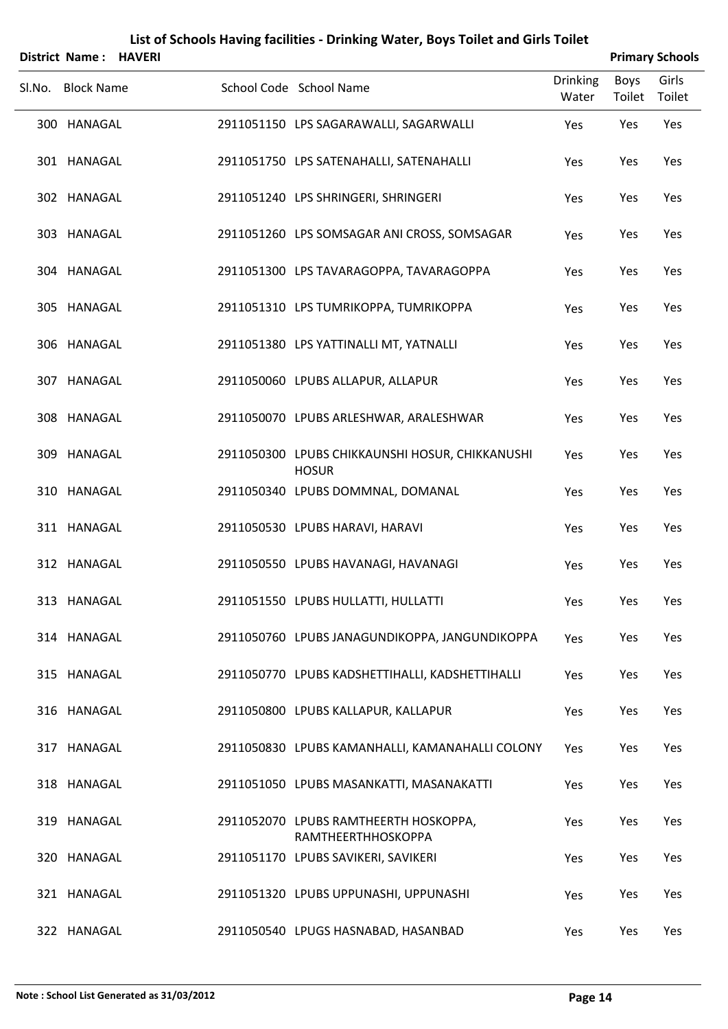|        | <b>District Name: HAVERI</b> |  |                                                                 |                          |                | <b>Primary Schools</b> |
|--------|------------------------------|--|-----------------------------------------------------------------|--------------------------|----------------|------------------------|
| Sl.No. | <b>Block Name</b>            |  | School Code School Name                                         | <b>Drinking</b><br>Water | Boys<br>Toilet | Girls<br>Toilet        |
|        | 300 HANAGAL                  |  | 2911051150 LPS SAGARAWALLI, SAGARWALLI                          | Yes                      | Yes            | Yes                    |
|        | 301 HANAGAL                  |  | 2911051750 LPS SATENAHALLI, SATENAHALLI                         | Yes                      | Yes            | Yes                    |
|        | 302 HANAGAL                  |  | 2911051240 LPS SHRINGERI, SHRINGERI                             | Yes                      | Yes            | Yes                    |
|        | 303 HANAGAL                  |  | 2911051260 LPS SOMSAGAR ANI CROSS, SOMSAGAR                     | Yes                      | Yes            | Yes                    |
|        | 304 HANAGAL                  |  | 2911051300 LPS TAVARAGOPPA, TAVARAGOPPA                         | Yes                      | Yes            | Yes                    |
|        | 305 HANAGAL                  |  | 2911051310 LPS TUMRIKOPPA, TUMRIKOPPA                           | Yes                      | Yes            | Yes                    |
|        | 306 HANAGAL                  |  | 2911051380 LPS YATTINALLI MT, YATNALLI                          | Yes                      | Yes            | Yes                    |
|        | 307 HANAGAL                  |  | 2911050060 LPUBS ALLAPUR, ALLAPUR                               | Yes                      | Yes            | Yes                    |
|        | 308 HANAGAL                  |  | 2911050070 LPUBS ARLESHWAR, ARALESHWAR                          | Yes                      | Yes            | Yes                    |
|        | 309 HANAGAL                  |  | 2911050300 LPUBS CHIKKAUNSHI HOSUR, CHIKKANUSHI<br><b>HOSUR</b> | Yes                      | Yes            | Yes                    |
|        | 310 HANAGAL                  |  | 2911050340 LPUBS DOMMNAL, DOMANAL                               | Yes                      | Yes            | Yes                    |
|        | 311 HANAGAL                  |  | 2911050530 LPUBS HARAVI, HARAVI                                 | Yes                      | Yes            | Yes                    |
|        | 312 HANAGAL                  |  | 2911050550 LPUBS HAVANAGI, HAVANAGI                             | Yes                      | Yes            | Yes                    |
|        | 313 HANAGAL                  |  | 2911051550 LPUBS HULLATTI, HULLATTI                             | Yes                      | Yes            | Yes                    |
|        | 314 HANAGAL                  |  | 2911050760 LPUBS JANAGUNDIKOPPA, JANGUNDIKOPPA                  | Yes                      | Yes            | Yes                    |
|        | 315 HANAGAL                  |  | 2911050770 LPUBS KADSHETTIHALLI, KADSHETTIHALLI                 | Yes                      | Yes            | Yes                    |
|        | 316 HANAGAL                  |  | 2911050800 LPUBS KALLAPUR, KALLAPUR                             | Yes                      | Yes            | Yes                    |
|        | 317 HANAGAL                  |  | 2911050830 LPUBS KAMANHALLI, KAMANAHALLI COLONY                 | Yes                      | Yes            | Yes                    |
|        | 318 HANAGAL                  |  | 2911051050 LPUBS MASANKATTI, MASANAKATTI                        | Yes                      | Yes            | Yes                    |
|        | 319 HANAGAL                  |  | 2911052070 LPUBS RAMTHEERTH HOSKOPPA,<br>RAMTHEERTHHOSKOPPA     | Yes                      | Yes            | Yes                    |
|        | 320 HANAGAL                  |  | 2911051170 LPUBS SAVIKERI, SAVIKERI                             | Yes                      | Yes            | Yes                    |
|        | 321 HANAGAL                  |  | 2911051320 LPUBS UPPUNASHI, UPPUNASHI                           | Yes                      | Yes            | Yes                    |
|        | 322 HANAGAL                  |  | 2911050540 LPUGS HASNABAD, HASANBAD                             | Yes                      | Yes            | Yes                    |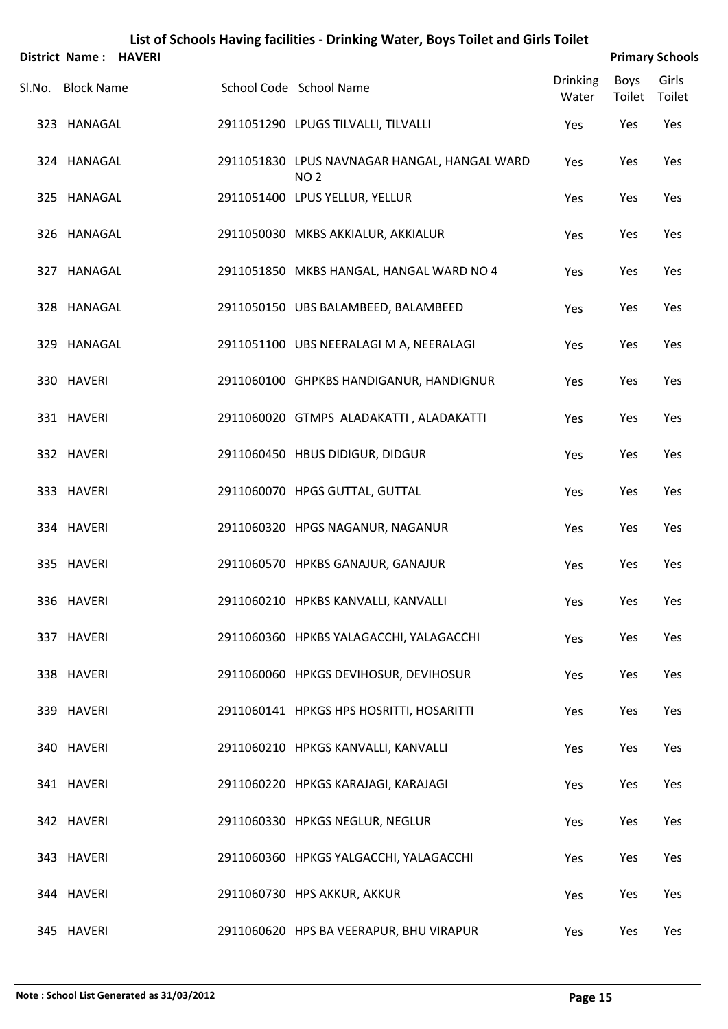| <b>District Name: HAVERI</b> |  |                                                                 |                          |                | <b>Primary Schools</b> |
|------------------------------|--|-----------------------------------------------------------------|--------------------------|----------------|------------------------|
| Sl.No. Block Name            |  | School Code School Name                                         | <b>Drinking</b><br>Water | Boys<br>Toilet | Girls<br>Toilet        |
| 323 HANAGAL                  |  | 2911051290 LPUGS TILVALLI, TILVALLI                             | Yes                      | Yes            | Yes                    |
| 324 HANAGAL                  |  | 2911051830 LPUS NAVNAGAR HANGAL, HANGAL WARD<br>NO <sub>2</sub> | Yes                      | Yes            | Yes                    |
| 325 HANAGAL                  |  | 2911051400 LPUS YELLUR, YELLUR                                  | Yes                      | Yes            | Yes                    |
| 326 HANAGAL                  |  | 2911050030 MKBS AKKIALUR, AKKIALUR                              | Yes                      | Yes            | Yes                    |
| 327 HANAGAL                  |  | 2911051850 MKBS HANGAL, HANGAL WARD NO 4                        | Yes                      | Yes            | Yes                    |
| 328 HANAGAL                  |  | 2911050150 UBS BALAMBEED, BALAMBEED                             | Yes                      | Yes            | Yes                    |
| 329 HANAGAL                  |  | 2911051100 UBS NEERALAGI M A, NEERALAGI                         | Yes                      | Yes            | Yes                    |
| 330 HAVERI                   |  | 2911060100 GHPKBS HANDIGANUR, HANDIGNUR                         | Yes                      | Yes            | Yes                    |
| 331 HAVERI                   |  | 2911060020 GTMPS ALADAKATTI, ALADAKATTI                         | Yes                      | Yes            | Yes                    |
| 332 HAVERI                   |  | 2911060450 HBUS DIDIGUR, DIDGUR                                 | Yes                      | Yes            | Yes                    |
| 333 HAVERI                   |  | 2911060070 HPGS GUTTAL, GUTTAL                                  | Yes                      | Yes            | Yes                    |
| 334 HAVERI                   |  | 2911060320 HPGS NAGANUR, NAGANUR                                | Yes                      | Yes            | Yes                    |
| 335 HAVERI                   |  | 2911060570 HPKBS GANAJUR, GANAJUR                               | Yes                      | Yes            | Yes                    |
| 336 HAVERI                   |  | 2911060210 HPKBS KANVALLI, KANVALLI                             | Yes                      | Yes            | Yes                    |
| 337 HAVERI                   |  | 2911060360 HPKBS YALAGACCHI, YALAGACCHI                         | Yes                      | Yes            | Yes                    |
| 338 HAVERI                   |  | 2911060060 HPKGS DEVIHOSUR, DEVIHOSUR                           | Yes                      | Yes            | Yes                    |
| 339 HAVERI                   |  | 2911060141 HPKGS HPS HOSRITTI, HOSARITTI                        | Yes                      | Yes            | Yes                    |
| 340 HAVERI                   |  | 2911060210 HPKGS KANVALLI, KANVALLI                             | Yes                      | Yes            | Yes                    |
| 341 HAVERI                   |  | 2911060220 HPKGS KARAJAGI, KARAJAGI                             | Yes                      | Yes            | Yes                    |
| 342 HAVERI                   |  | 2911060330 HPKGS NEGLUR, NEGLUR                                 | Yes                      | Yes            | Yes                    |
| 343 HAVERI                   |  | 2911060360 HPKGS YALGACCHI, YALAGACCHI                          | Yes                      | Yes            | Yes                    |
| 344 HAVERI                   |  | 2911060730 HPS AKKUR, AKKUR                                     | Yes                      | Yes            | Yes                    |
| 345 HAVERI                   |  | 2911060620 HPS BA VEERAPUR, BHU VIRAPUR                         | Yes                      | Yes            | Yes                    |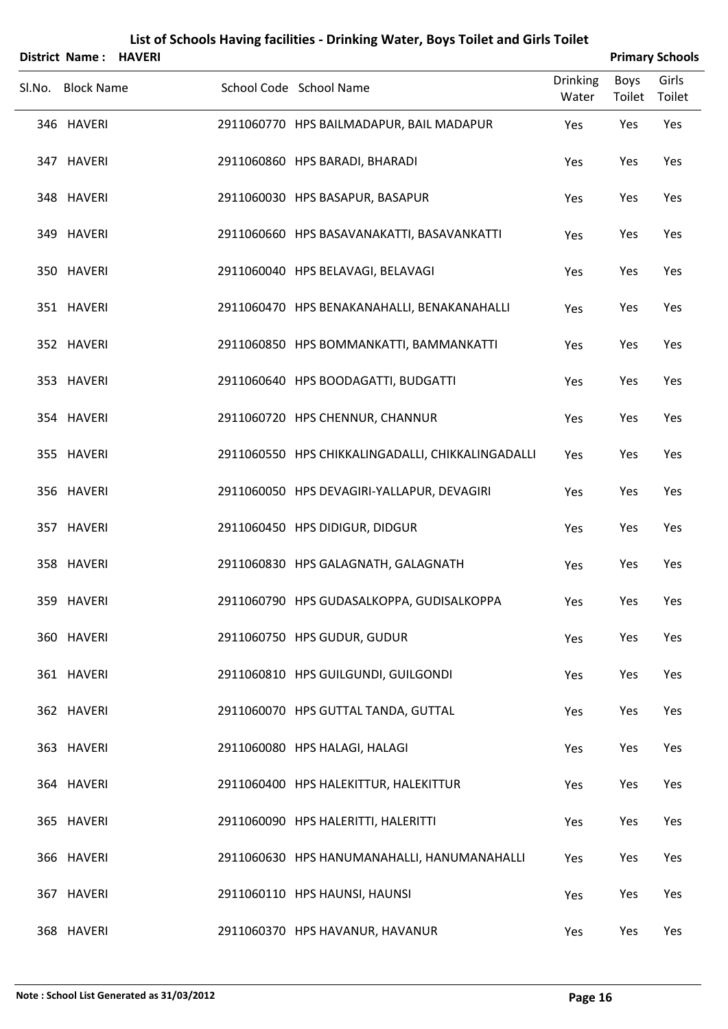| <b>District Name: HAVERI</b> |  |                                                   |                          |                | <b>Primary Schools</b> |
|------------------------------|--|---------------------------------------------------|--------------------------|----------------|------------------------|
| Sl.No. Block Name            |  | School Code School Name                           | <b>Drinking</b><br>Water | Boys<br>Toilet | Girls<br>Toilet        |
| 346 HAVERI                   |  | 2911060770 HPS BAILMADAPUR, BAIL MADAPUR          | Yes                      | Yes            | Yes                    |
| 347 HAVERI                   |  | 2911060860 HPS BARADI, BHARADI                    | Yes                      | Yes            | Yes                    |
| 348 HAVERI                   |  | 2911060030 HPS BASAPUR, BASAPUR                   | Yes                      | Yes            | Yes                    |
| 349 HAVERI                   |  | 2911060660 HPS BASAVANAKATTI, BASAVANKATTI        | Yes                      | Yes            | Yes                    |
| 350 HAVERI                   |  | 2911060040 HPS BELAVAGI, BELAVAGI                 | Yes                      | Yes            | Yes                    |
| 351 HAVERI                   |  | 2911060470 HPS BENAKANAHALLI, BENAKANAHALLI       | Yes                      | Yes            | Yes                    |
| 352 HAVERI                   |  | 2911060850 HPS BOMMANKATTI, BAMMANKATTI           | Yes                      | Yes            | Yes                    |
| 353 HAVERI                   |  | 2911060640 HPS BOODAGATTI, BUDGATTI               | Yes                      | Yes            | Yes                    |
| 354 HAVERI                   |  | 2911060720 HPS CHENNUR, CHANNUR                   | Yes                      | Yes            | Yes                    |
| 355 HAVERI                   |  | 2911060550 HPS CHIKKALINGADALLI, CHIKKALINGADALLI | Yes                      | Yes            | Yes                    |
| 356 HAVERI                   |  | 2911060050 HPS DEVAGIRI-YALLAPUR, DEVAGIRI        | Yes                      | Yes            | Yes                    |
| 357 HAVERI                   |  | 2911060450 HPS DIDIGUR, DIDGUR                    | Yes                      | Yes            | Yes                    |
| 358 HAVERI                   |  | 2911060830 HPS GALAGNATH, GALAGNATH               | Yes                      | Yes            | Yes                    |
| 359 HAVERI                   |  | 2911060790 HPS GUDASALKOPPA, GUDISALKOPPA         | Yes                      | Yes            | Yes                    |
| 360 HAVERI                   |  | 2911060750 HPS GUDUR, GUDUR                       | Yes                      | Yes            | Yes                    |
| 361 HAVERI                   |  | 2911060810 HPS GUILGUNDI, GUILGONDI               | Yes                      | Yes            | Yes                    |
| 362 HAVERI                   |  | 2911060070 HPS GUTTAL TANDA, GUTTAL               | Yes                      | Yes            | Yes                    |
| 363 HAVERI                   |  | 2911060080 HPS HALAGI, HALAGI                     | Yes                      | Yes            | Yes                    |
| 364 HAVERI                   |  | 2911060400 HPS HALEKITTUR, HALEKITTUR             | Yes                      | Yes            | Yes                    |
| 365 HAVERI                   |  | 2911060090 HPS HALERITTI, HALERITTI               | Yes                      | Yes            | Yes                    |
| 366 HAVERI                   |  | 2911060630 HPS HANUMANAHALLI, HANUMANAHALLI       | Yes                      | Yes            | Yes                    |
| 367 HAVERI                   |  | 2911060110 HPS HAUNSI, HAUNSI                     | Yes                      | Yes            | Yes                    |
| 368 HAVERI                   |  | 2911060370 HPS HAVANUR, HAVANUR                   | Yes                      | Yes            | Yes                    |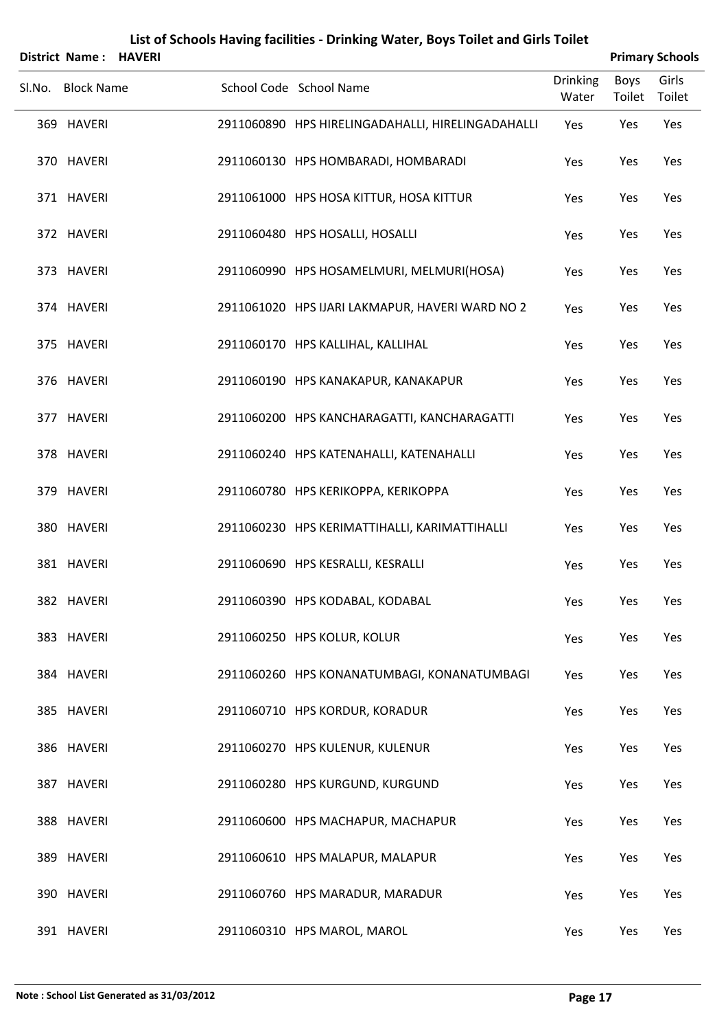|                   | District Name: HAVERI |                                                   |                          |                | <b>Primary Schools</b> |
|-------------------|-----------------------|---------------------------------------------------|--------------------------|----------------|------------------------|
| Sl.No. Block Name |                       | School Code School Name                           | <b>Drinking</b><br>Water | Boys<br>Toilet | Girls<br>Toilet        |
| 369 HAVERI        |                       | 2911060890 HPS HIRELINGADAHALLI, HIRELINGADAHALLI | Yes                      | Yes            | Yes                    |
| 370 HAVERI        |                       | 2911060130 HPS HOMBARADI, HOMBARADI               | Yes                      | Yes            | Yes                    |
| 371 HAVERI        |                       | 2911061000 HPS HOSA KITTUR, HOSA KITTUR           | Yes                      | Yes            | Yes                    |
| 372 HAVERI        |                       | 2911060480 HPS HOSALLI, HOSALLI                   | Yes                      | Yes            | Yes                    |
| 373 HAVERI        |                       | 2911060990 HPS HOSAMELMURI, MELMURI(HOSA)         | Yes                      | Yes            | Yes                    |
| 374 HAVERI        |                       | 2911061020 HPS IJARI LAKMAPUR, HAVERI WARD NO 2   | Yes                      | Yes            | Yes                    |
| 375 HAVERI        |                       | 2911060170 HPS KALLIHAL, KALLIHAL                 | Yes                      | Yes            | Yes                    |
| 376 HAVERI        |                       | 2911060190 HPS KANAKAPUR, KANAKAPUR               | Yes                      | Yes            | Yes                    |
| 377 HAVERI        |                       | 2911060200 HPS KANCHARAGATTI, KANCHARAGATTI       | Yes                      | Yes            | Yes                    |
| 378 HAVERI        |                       | 2911060240 HPS KATENAHALLI, KATENAHALLI           | Yes                      | Yes            | Yes                    |
| 379 HAVERI        |                       | 2911060780 HPS KERIKOPPA, KERIKOPPA               | Yes                      | Yes            | Yes                    |
| 380 HAVERI        |                       | 2911060230 HPS KERIMATTIHALLI, KARIMATTIHALLI     | Yes                      | Yes            | Yes                    |
| 381 HAVERI        |                       | 2911060690 HPS KESRALLI, KESRALLI                 | Yes                      | Yes            | Yes                    |
| 382 HAVERI        |                       | 2911060390 HPS KODABAL, KODABAL                   | Yes                      | Yes            | Yes                    |
| 383 HAVERI        |                       | 2911060250 HPS KOLUR, KOLUR                       | Yes                      | Yes            | Yes                    |
| 384 HAVERI        |                       | 2911060260 HPS KONANATUMBAGI, KONANATUMBAGI       | Yes                      | Yes            | Yes                    |
| 385 HAVERI        |                       | 2911060710 HPS KORDUR, KORADUR                    | Yes                      | Yes            | Yes                    |
| 386 HAVERI        |                       | 2911060270 HPS KULENUR, KULENUR                   | Yes                      | Yes            | Yes                    |
| 387 HAVERI        |                       | 2911060280 HPS KURGUND, KURGUND                   | Yes                      | Yes            | Yes                    |
| 388 HAVERI        |                       | 2911060600 HPS MACHAPUR, MACHAPUR                 | Yes                      | Yes            | Yes                    |
| 389 HAVERI        |                       | 2911060610 HPS MALAPUR, MALAPUR                   | Yes                      | Yes            | Yes                    |
| 390 HAVERI        |                       | 2911060760 HPS MARADUR, MARADUR                   | Yes                      | Yes            | Yes                    |
| 391 HAVERI        |                       | 2911060310 HPS MAROL, MAROL                       | Yes                      | Yes            | Yes                    |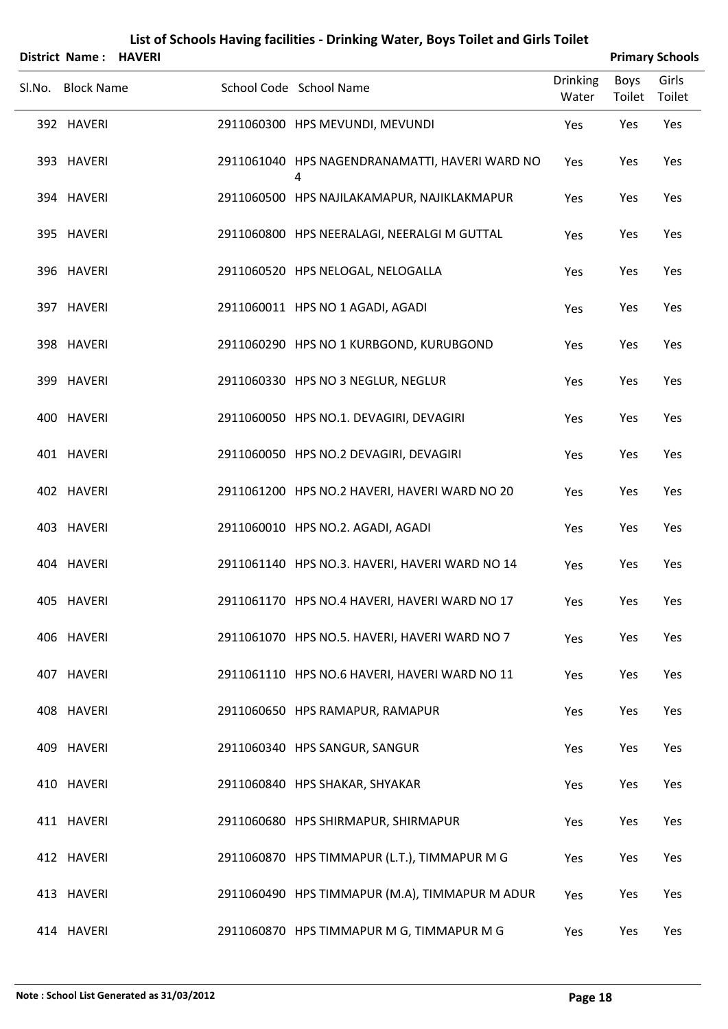| <b>District Name: HAVERI</b> |  |                                                     |                          |                | <b>Primary Schools</b> |
|------------------------------|--|-----------------------------------------------------|--------------------------|----------------|------------------------|
| Sl.No. Block Name            |  | School Code School Name                             | <b>Drinking</b><br>Water | Boys<br>Toilet | Girls<br>Toilet        |
| 392 HAVERI                   |  | 2911060300 HPS MEVUNDI, MEVUNDI                     | Yes                      | Yes            | Yes                    |
| 393 HAVERI                   |  | 2911061040 HPS NAGENDRANAMATTI, HAVERI WARD NO<br>4 | Yes                      | Yes            | Yes                    |
| 394 HAVERI                   |  | 2911060500 HPS NAJILAKAMAPUR, NAJIKLAKMAPUR         | Yes                      | Yes            | Yes                    |
| 395 HAVERI                   |  | 2911060800 HPS NEERALAGI, NEERALGI M GUTTAL         | Yes                      | Yes            | Yes                    |
| 396 HAVERI                   |  | 2911060520 HPS NELOGAL, NELOGALLA                   | Yes                      | Yes            | Yes                    |
| 397 HAVERI                   |  | 2911060011 HPS NO 1 AGADI, AGADI                    | Yes                      | Yes            | Yes                    |
| 398 HAVERI                   |  | 2911060290 HPS NO 1 KURBGOND, KURUBGOND             | Yes                      | Yes            | Yes                    |
| 399 HAVERI                   |  | 2911060330 HPS NO 3 NEGLUR, NEGLUR                  | Yes                      | Yes            | Yes                    |
| 400 HAVERI                   |  | 2911060050 HPS NO.1. DEVAGIRI, DEVAGIRI             | Yes                      | Yes            | Yes                    |
| 401 HAVERI                   |  | 2911060050 HPS NO.2 DEVAGIRI, DEVAGIRI              | Yes                      | Yes            | Yes                    |
| 402 HAVERI                   |  | 2911061200 HPS NO.2 HAVERI, HAVERI WARD NO 20       | Yes                      | Yes            | Yes                    |
| 403 HAVERI                   |  | 2911060010 HPS NO.2. AGADI, AGADI                   | Yes                      | Yes            | Yes                    |
| 404 HAVERI                   |  | 2911061140 HPS NO.3. HAVERI, HAVERI WARD NO 14      | Yes                      | Yes            | Yes                    |
| 405 HAVERI                   |  | 2911061170 HPS NO.4 HAVERI, HAVERI WARD NO 17       | Yes                      | Yes            | Yes                    |
| 406 HAVERI                   |  | 2911061070 HPS NO.5. HAVERI, HAVERI WARD NO 7       | Yes                      | Yes            | Yes                    |
| 407 HAVERI                   |  | 2911061110 HPS NO.6 HAVERI, HAVERI WARD NO 11       | Yes                      | Yes            | Yes                    |
| 408 HAVERI                   |  | 2911060650 HPS RAMAPUR, RAMAPUR                     | Yes                      | Yes            | Yes                    |
| 409 HAVERI                   |  | 2911060340 HPS SANGUR, SANGUR                       | Yes                      | Yes            | Yes                    |
| 410 HAVERI                   |  | 2911060840 HPS SHAKAR, SHYAKAR                      | Yes                      | Yes            | Yes                    |
| 411 HAVERI                   |  | 2911060680 HPS SHIRMAPUR, SHIRMAPUR                 | Yes                      | Yes            | Yes                    |
| 412 HAVERI                   |  | 2911060870 HPS TIMMAPUR (L.T.), TIMMAPUR M G        | Yes                      | Yes            | Yes                    |
| 413 HAVERI                   |  | 2911060490 HPS TIMMAPUR (M.A), TIMMAPUR M ADUR      | Yes                      | Yes            | Yes                    |
| 414 HAVERI                   |  | 2911060870 HPS TIMMAPUR M G, TIMMAPUR M G           | Yes                      | Yes            | Yes                    |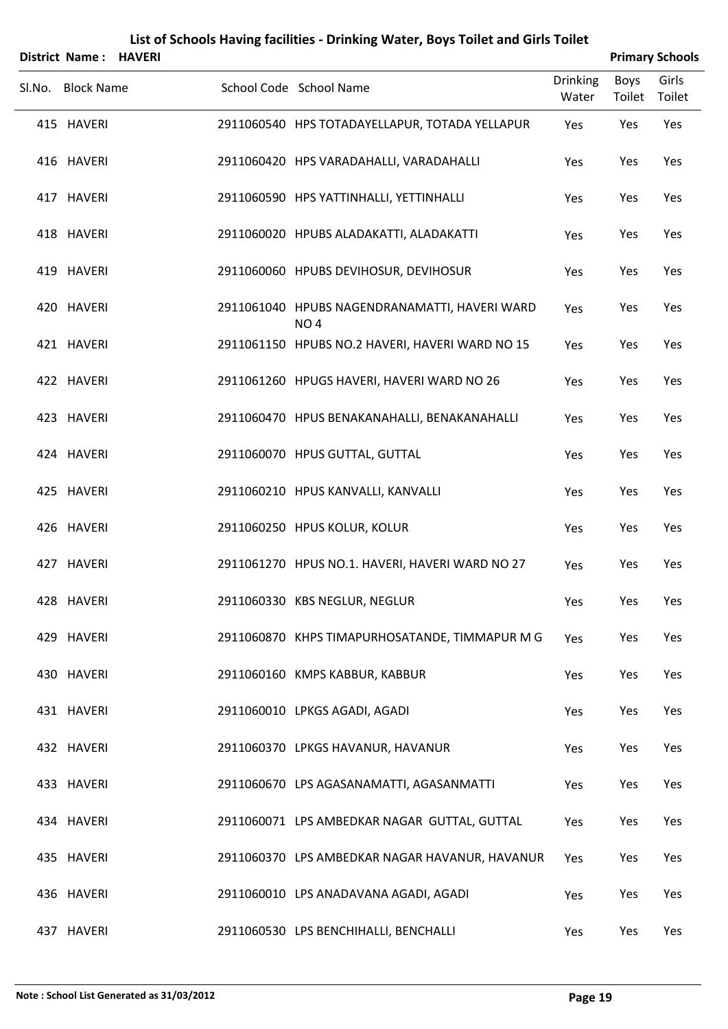|        | District Name: HAVERI |  |                                                                  |                          |                       | <b>Primary Schools</b> |
|--------|-----------------------|--|------------------------------------------------------------------|--------------------------|-----------------------|------------------------|
| SI.No. | <b>Block Name</b>     |  | School Code School Name                                          | <b>Drinking</b><br>Water | <b>Boys</b><br>Toilet | Girls<br>Toilet        |
|        | 415 HAVERI            |  | 2911060540 HPS TOTADAYELLAPUR, TOTADA YELLAPUR                   | Yes                      | Yes                   | Yes                    |
|        | 416 HAVERI            |  | 2911060420 HPS VARADAHALLI, VARADAHALLI                          | Yes                      | Yes                   | Yes                    |
|        | 417 HAVERI            |  | 2911060590 HPS YATTINHALLI, YETTINHALLI                          | Yes                      | Yes                   | Yes                    |
|        | 418 HAVERI            |  | 2911060020 HPUBS ALADAKATTI, ALADAKATTI                          | Yes                      | Yes                   | Yes                    |
|        | 419 HAVERI            |  | 2911060060 HPUBS DEVIHOSUR, DEVIHOSUR                            | Yes                      | Yes                   | Yes                    |
|        | 420 HAVERI            |  | 2911061040 HPUBS NAGENDRANAMATTI, HAVERI WARD<br>NO <sub>4</sub> | Yes                      | Yes                   | Yes                    |
|        | 421 HAVERI            |  | 2911061150 HPUBS NO.2 HAVERI, HAVERI WARD NO 15                  | Yes                      | Yes                   | Yes                    |
|        | 422 HAVERI            |  | 2911061260 HPUGS HAVERI, HAVERI WARD NO 26                       | Yes                      | Yes                   | Yes                    |
|        | 423 HAVERI            |  | 2911060470 HPUS BENAKANAHALLI, BENAKANAHALLI                     | Yes                      | Yes                   | Yes                    |
|        | 424 HAVERI            |  | 2911060070 HPUS GUTTAL, GUTTAL                                   | Yes                      | Yes                   | Yes                    |
|        | 425 HAVERI            |  | 2911060210 HPUS KANVALLI, KANVALLI                               | Yes                      | Yes                   | Yes                    |
|        | 426 HAVERI            |  | 2911060250 HPUS KOLUR, KOLUR                                     | Yes                      | Yes                   | Yes                    |
|        | 427 HAVERI            |  | 2911061270 HPUS NO.1. HAVERI, HAVERI WARD NO 27                  | Yes                      | Yes                   | Yes                    |
|        | 428 HAVERI            |  | 2911060330 KBS NEGLUR, NEGLUR                                    | Yes                      | Yes                   | Yes                    |
|        | 429 HAVERI            |  | 2911060870 KHPS TIMAPURHOSATANDE, TIMMAPUR M G                   | Yes                      | Yes                   | Yes                    |
|        | 430 HAVERI            |  | 2911060160 KMPS KABBUR, KABBUR                                   | Yes                      | Yes                   | Yes                    |
|        | 431 HAVERI            |  | 2911060010 LPKGS AGADI, AGADI                                    | Yes                      | Yes                   | Yes                    |
|        | 432 HAVERI            |  | 2911060370 LPKGS HAVANUR, HAVANUR                                | Yes                      | Yes                   | Yes                    |
|        | 433 HAVERI            |  | 2911060670 LPS AGASANAMATTI, AGASANMATTI                         | Yes                      | Yes                   | Yes                    |
|        | 434 HAVERI            |  | 2911060071 LPS AMBEDKAR NAGAR GUTTAL, GUTTAL                     | Yes                      | Yes                   | Yes                    |
|        | 435 HAVERI            |  | 2911060370 LPS AMBEDKAR NAGAR HAVANUR, HAVANUR                   | Yes                      | Yes                   | Yes                    |
|        | 436 HAVERI            |  | 2911060010 LPS ANADAVANA AGADI, AGADI                            | Yes                      | Yes                   | Yes                    |
|        | 437 HAVERI            |  | 2911060530 LPS BENCHIHALLI, BENCHALLI                            | Yes                      | Yes                   | Yes                    |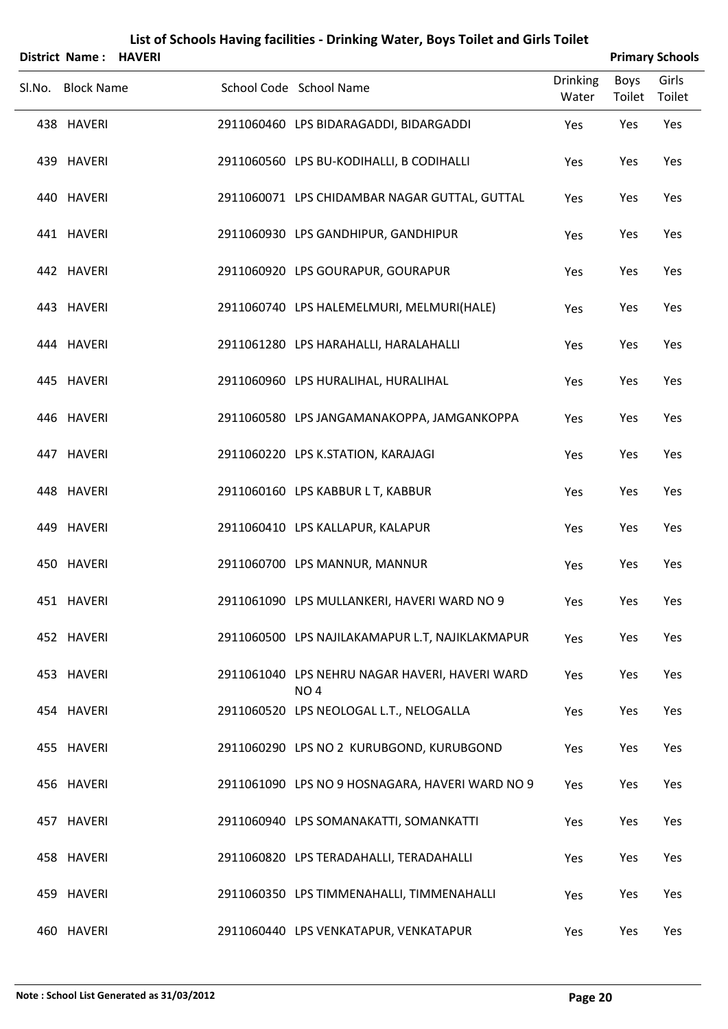| <b>District Name: HAVERI</b> |  |                                                                   |                          |                | <b>Primary Schools</b> |
|------------------------------|--|-------------------------------------------------------------------|--------------------------|----------------|------------------------|
| Sl.No. Block Name            |  | School Code School Name                                           | <b>Drinking</b><br>Water | Boys<br>Toilet | Girls<br>Toilet        |
| 438 HAVERI                   |  | 2911060460 LPS BIDARAGADDI, BIDARGADDI                            | Yes                      | Yes            | Yes                    |
| 439 HAVERI                   |  | 2911060560 LPS BU-KODIHALLI, B CODIHALLI                          | Yes                      | Yes            | Yes                    |
| 440 HAVERI                   |  | 2911060071 LPS CHIDAMBAR NAGAR GUTTAL, GUTTAL                     | Yes                      | Yes            | Yes                    |
| 441 HAVERI                   |  | 2911060930 LPS GANDHIPUR, GANDHIPUR                               | Yes                      | Yes            | Yes                    |
| 442 HAVERI                   |  | 2911060920 LPS GOURAPUR, GOURAPUR                                 | Yes                      | Yes            | Yes                    |
| 443 HAVERI                   |  | 2911060740 LPS HALEMELMURI, MELMURI(HALE)                         | Yes                      | Yes            | Yes                    |
| 444 HAVERI                   |  | 2911061280 LPS HARAHALLI, HARALAHALLI                             | Yes                      | Yes            | Yes                    |
| 445 HAVERI                   |  | 2911060960 LPS HURALIHAL, HURALIHAL                               | Yes                      | Yes            | Yes                    |
| 446 HAVERI                   |  | 2911060580 LPS JANGAMANAKOPPA, JAMGANKOPPA                        | Yes                      | Yes            | Yes                    |
| 447 HAVERI                   |  | 2911060220 LPS K.STATION, KARAJAGI                                | Yes                      | Yes            | Yes                    |
| 448 HAVERI                   |  | 2911060160 LPS KABBUR L T, KABBUR                                 | Yes                      | Yes            | Yes                    |
| 449 HAVERI                   |  | 2911060410 LPS KALLAPUR, KALAPUR                                  | Yes                      | Yes            | Yes                    |
| 450 HAVERI                   |  | 2911060700 LPS MANNUR, MANNUR                                     | Yes                      | Yes            | Yes                    |
| 451 HAVERI                   |  | 2911061090 LPS MULLANKERI, HAVERI WARD NO 9                       | Yes                      | Yes            | Yes                    |
| 452 HAVERI                   |  | 2911060500 LPS NAJILAKAMAPUR L.T, NAJIKLAKMAPUR                   | Yes                      | Yes            | Yes                    |
| 453 HAVERI                   |  | 2911061040 LPS NEHRU NAGAR HAVERI, HAVERI WARD<br>NO <sub>4</sub> | Yes                      | Yes            | Yes                    |
| 454 HAVERI                   |  | 2911060520 LPS NEOLOGAL L.T., NELOGALLA                           | Yes                      | Yes            | Yes                    |
| 455 HAVERI                   |  | 2911060290 LPS NO 2 KURUBGOND, KURUBGOND                          | Yes                      | Yes            | Yes                    |
| 456 HAVERI                   |  | 2911061090 LPS NO 9 HOSNAGARA, HAVERI WARD NO 9                   | Yes                      | Yes            | Yes                    |
| 457 HAVERI                   |  | 2911060940 LPS SOMANAKATTI, SOMANKATTI                            | Yes                      | Yes            | Yes                    |
| 458 HAVERI                   |  | 2911060820 LPS TERADAHALLI, TERADAHALLI                           | Yes                      | Yes            | Yes                    |
| 459 HAVERI                   |  | 2911060350 LPS TIMMENAHALLI, TIMMENAHALLI                         | Yes                      | Yes            | Yes                    |
| 460 HAVERI                   |  | 2911060440 LPS VENKATAPUR, VENKATAPUR                             | Yes                      | Yes            | Yes                    |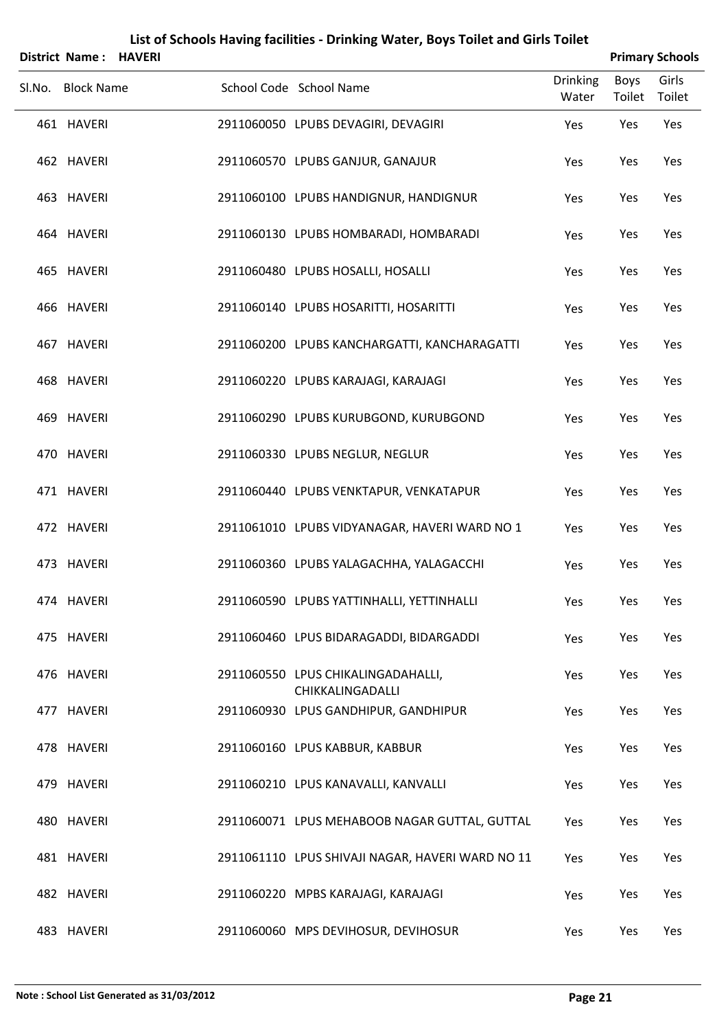| District Name: HAVERI | List of Schools Having facilities - Drinking Water, Boys Toilet and Girls Toilet |                | <b>Primary Schools</b> |
|-----------------------|----------------------------------------------------------------------------------|----------------|------------------------|
| Sl.No. Block Name     | <b>Drinking</b><br>School Code School Name<br>Water                              | Boys<br>Toilet | Girls<br>Toilet        |
| 461 HAVERI            | 2911060050 LPUBS DEVAGIRI, DEVAGIRI<br>Yes                                       | Yes            | Yes                    |
| 462 HAVERI            | 2911060570 LPUBS GANJUR, GANAJUR<br>Yes                                          | Yes            | Yes                    |
| 463 HAVERI            | 2911060100 LPUBS HANDIGNUR, HANDIGNUR<br>Yes                                     | Yes            | Yes                    |
| 464 HAVERI            | 2911060130 LPUBS HOMBARADI, HOMBARADI<br>Yes                                     | Yes            | Yes                    |
| 465 HAVERI            | 2911060480 LPUBS HOSALLI, HOSALLI<br>Yes                                         | Yes            | Yes                    |
| 466 HAVERI            | 2911060140 LPUBS HOSARITTI, HOSARITTI<br>Yes                                     | Yes            | Yes                    |
| 467 HAVERI            | 2911060200 LPUBS KANCHARGATTI, KANCHARAGATTI<br>Yes                              | Yes            | Yes                    |
| 468 HAVERI            | 2911060220 LPUBS KARAJAGI, KARAJAGI<br>Yes                                       | Yes            | Yes                    |
| 469 HAVERI            | 2911060290 LPUBS KURUBGOND, KURUBGOND<br>Yes                                     | Yes            | Yes                    |
| 470 HAVERI            | 2911060330 LPUBS NEGLUR, NEGLUR<br>Yes                                           | Yes            | Yes                    |
| 471 HAVERI            | 2911060440 LPUBS VENKTAPUR, VENKATAPUR<br>Yes                                    | Yes            | Yes                    |
| 472 HAVERI            | 2911061010 LPUBS VIDYANAGAR, HAVERI WARD NO 1<br>Yes                             | Yes            | Yes                    |
| 473 HAVERI            | 2911060360 LPUBS YALAGACHHA, YALAGACCHI<br>Yes                                   | Yes            | Yes                    |
| 474 HAVERI            | 2911060590 LPUBS YATTINHALLI, YETTINHALLI<br>Yes                                 | Yes            | Yes                    |
| 475 HAVERI            | 2911060460 LPUS BIDARAGADDI, BIDARGADDI<br>Yes                                   | Yes            | Yes                    |
| 476 HAVERI            | 2911060550 LPUS CHIKALINGADAHALLI,<br>Yes<br>CHIKKALINGADALLI                    | Yes            | Yes                    |
| 477 HAVERI            | 2911060930 LPUS GANDHIPUR, GANDHIPUR<br>Yes                                      | Yes            | Yes                    |
| 478 HAVERI            | 2911060160 LPUS KABBUR, KABBUR<br>Yes                                            | Yes            | Yes                    |
| 479 HAVERI            | 2911060210 LPUS KANAVALLI, KANVALLI<br>Yes                                       | Yes            | Yes                    |
| 480 HAVERI            | 2911060071 LPUS MEHABOOB NAGAR GUTTAL, GUTTAL<br>Yes                             | Yes            | Yes                    |
| 481 HAVERI            | 2911061110 LPUS SHIVAJI NAGAR, HAVERI WARD NO 11<br>Yes                          | Yes            | Yes                    |
| 482 HAVERI            | 2911060220 MPBS KARAJAGI, KARAJAGI<br>Yes                                        | Yes            | Yes                    |
| 483 HAVERI            | 2911060060 MPS DEVIHOSUR, DEVIHOSUR<br>Yes                                       | Yes            | Yes                    |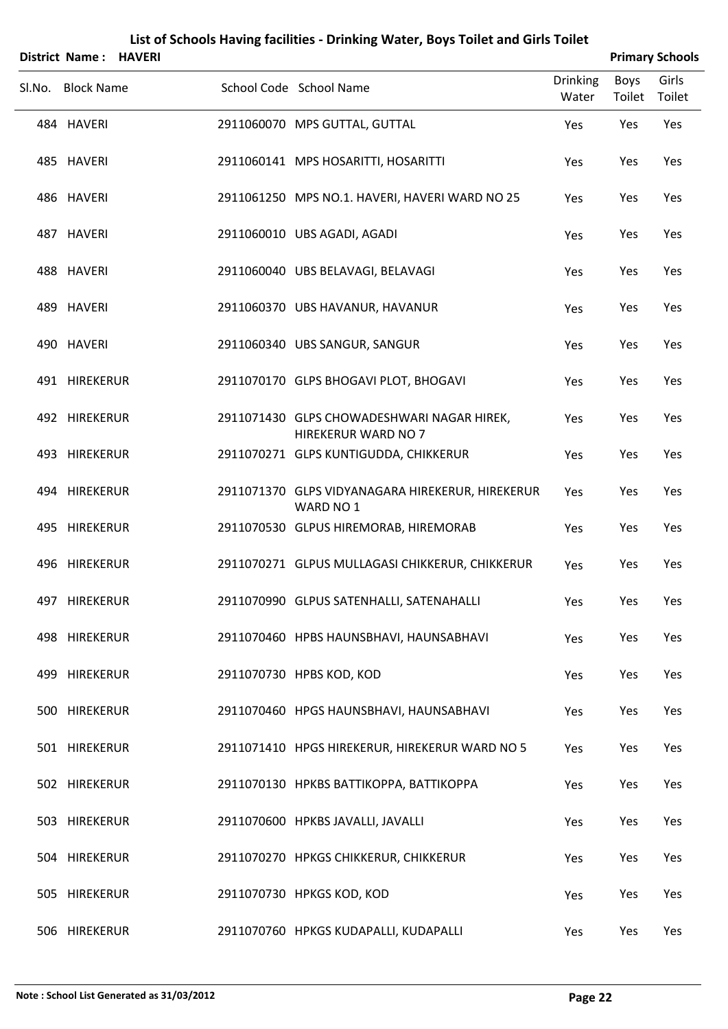| <b>District Name: HAVERI</b> |  |                                                                   |                          |                | <b>Primary Schools</b> |
|------------------------------|--|-------------------------------------------------------------------|--------------------------|----------------|------------------------|
| Sl.No. Block Name            |  | School Code School Name                                           | <b>Drinking</b><br>Water | Boys<br>Toilet | Girls<br>Toilet        |
| 484 HAVERI                   |  | 2911060070 MPS GUTTAL, GUTTAL                                     | Yes                      | Yes            | Yes                    |
| 485 HAVERI                   |  | 2911060141 MPS HOSARITTI, HOSARITTI                               | Yes                      | Yes            | Yes                    |
| 486 HAVERI                   |  | 2911061250 MPS NO.1. HAVERI, HAVERI WARD NO 25                    | Yes                      | Yes            | Yes                    |
| 487 HAVERI                   |  | 2911060010 UBS AGADI, AGADI                                       | Yes                      | Yes            | Yes                    |
| 488 HAVERI                   |  | 2911060040 UBS BELAVAGI, BELAVAGI                                 | Yes                      | Yes            | Yes                    |
| 489 HAVERI                   |  | 2911060370 UBS HAVANUR, HAVANUR                                   | Yes                      | Yes            | Yes                    |
| 490 HAVERI                   |  | 2911060340 UBS SANGUR, SANGUR                                     | Yes                      | Yes            | Yes                    |
| 491 HIREKERUR                |  | 2911070170 GLPS BHOGAVI PLOT, BHOGAVI                             | Yes                      | Yes            | Yes                    |
| 492 HIREKERUR                |  | 2911071430 GLPS CHOWADESHWARI NAGAR HIREK,<br>HIREKERUR WARD NO 7 | Yes                      | Yes            | Yes                    |
| 493 HIREKERUR                |  | 2911070271 GLPS KUNTIGUDDA, CHIKKERUR                             | Yes                      | Yes            | Yes                    |
| 494 HIREKERUR                |  | 2911071370 GLPS VIDYANAGARA HIREKERUR, HIREKERUR<br>WARD NO 1     | Yes                      | Yes            | Yes                    |
| 495 HIREKERUR                |  | 2911070530 GLPUS HIREMORAB, HIREMORAB                             | Yes                      | Yes            | Yes                    |
| 496 HIREKERUR                |  | 2911070271 GLPUS MULLAGASI CHIKKERUR, CHIKKERUR                   | Yes                      | Yes            | Yes                    |
| 497 HIREKERUR                |  | 2911070990 GLPUS SATENHALLI, SATENAHALLI                          | Yes                      | Yes            | Yes                    |
| 498 HIREKERUR                |  | 2911070460 HPBS HAUNSBHAVI, HAUNSABHAVI                           | Yes                      | Yes            | Yes                    |
| 499 HIREKERUR                |  | 2911070730 HPBS KOD, KOD                                          | Yes                      | Yes            | Yes                    |
| 500 HIREKERUR                |  | 2911070460 HPGS HAUNSBHAVI, HAUNSABHAVI                           | Yes                      | Yes            | Yes                    |
| 501 HIREKERUR                |  | 2911071410 HPGS HIREKERUR, HIREKERUR WARD NO 5                    | Yes                      | Yes            | Yes                    |
| 502 HIREKERUR                |  | 2911070130 HPKBS BATTIKOPPA, BATTIKOPPA                           | Yes                      | Yes            | Yes                    |
| 503 HIREKERUR                |  | 2911070600 HPKBS JAVALLI, JAVALLI                                 | Yes                      | Yes            | Yes                    |
| 504 HIREKERUR                |  | 2911070270 HPKGS CHIKKERUR, CHIKKERUR                             | Yes                      | Yes            | Yes                    |
| 505 HIREKERUR                |  | 2911070730 HPKGS KOD, KOD                                         | Yes                      | Yes            | Yes                    |
| 506 HIREKERUR                |  | 2911070760 HPKGS KUDAPALLI, KUDAPALLI                             | Yes                      | Yes            | Yes                    |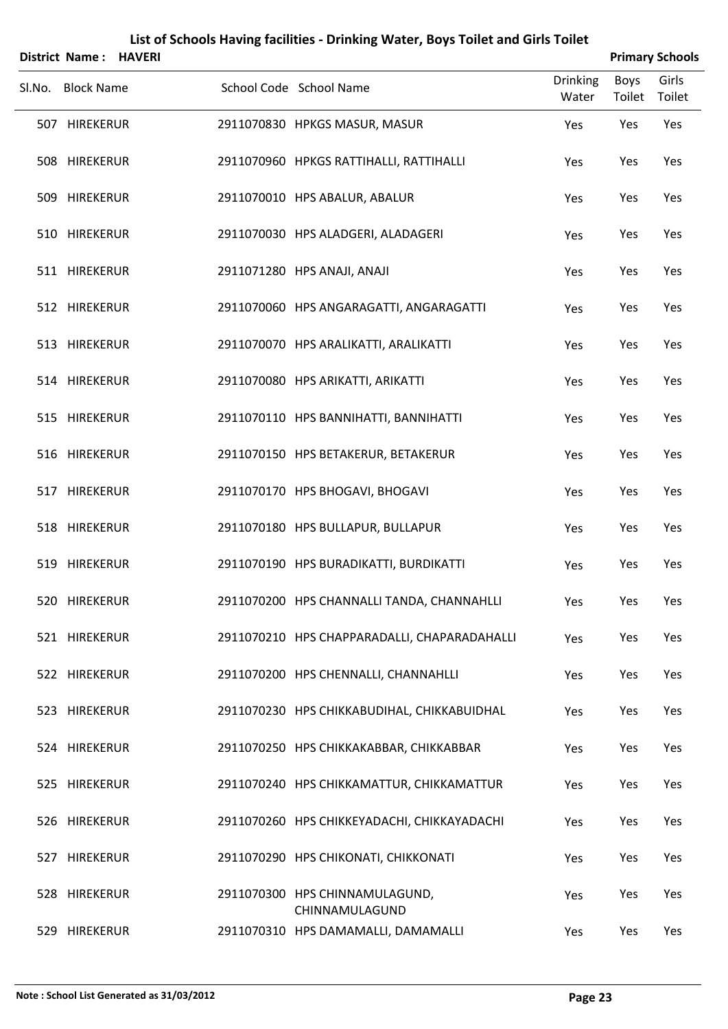| District Name: HAVERI |  |                                                  |                          | <b>Primary Schools</b> |                 |
|-----------------------|--|--------------------------------------------------|--------------------------|------------------------|-----------------|
| Sl.No. Block Name     |  | School Code School Name                          | <b>Drinking</b><br>Water | Boys<br>Toilet         | Girls<br>Toilet |
| 507 HIREKERUR         |  | 2911070830 HPKGS MASUR, MASUR                    | Yes                      | Yes                    | Yes             |
| 508 HIREKERUR         |  | 2911070960 HPKGS RATTIHALLI, RATTIHALLI          | Yes                      | Yes                    | Yes             |
| 509 HIREKERUR         |  | 2911070010 HPS ABALUR, ABALUR                    | Yes                      | Yes                    | Yes             |
| 510 HIREKERUR         |  | 2911070030 HPS ALADGERI, ALADAGERI               | Yes                      | Yes                    | Yes             |
| 511 HIREKERUR         |  | 2911071280 HPS ANAJI, ANAJI                      | Yes                      | Yes                    | Yes             |
| 512 HIREKERUR         |  | 2911070060 HPS ANGARAGATTI, ANGARAGATTI          | Yes                      | Yes                    | Yes             |
| 513 HIREKERUR         |  | 2911070070 HPS ARALIKATTI, ARALIKATTI            | Yes                      | Yes                    | Yes             |
| 514 HIREKERUR         |  | 2911070080 HPS ARIKATTI, ARIKATTI                | Yes                      | Yes                    | Yes             |
| 515 HIREKERUR         |  | 2911070110 HPS BANNIHATTI, BANNIHATTI            | Yes                      | Yes                    | Yes             |
| 516 HIREKERUR         |  | 2911070150 HPS BETAKERUR, BETAKERUR              | Yes                      | Yes                    | Yes             |
| 517 HIREKERUR         |  | 2911070170 HPS BHOGAVI, BHOGAVI                  | Yes                      | Yes                    | Yes             |
| 518 HIREKERUR         |  | 2911070180 HPS BULLAPUR, BULLAPUR                | Yes                      | Yes                    | Yes             |
| 519 HIREKERUR         |  | 2911070190 HPS BURADIKATTI, BURDIKATTI           | Yes                      | Yes                    | Yes             |
| 520 HIREKERUR         |  | 2911070200 HPS CHANNALLI TANDA, CHANNAHLLI       | Yes                      | Yes                    | Yes             |
| 521 HIREKERUR         |  | 2911070210 HPS CHAPPARADALLI, CHAPARADAHALLI     | Yes                      | Yes                    | Yes             |
| 522 HIREKERUR         |  | 2911070200 HPS CHENNALLI, CHANNAHLLI             | Yes                      | Yes                    | Yes             |
| 523 HIREKERUR         |  | 2911070230 HPS CHIKKABUDIHAL, CHIKKABUIDHAL      | Yes                      | Yes                    | Yes             |
| 524 HIREKERUR         |  | 2911070250 HPS CHIKKAKABBAR, CHIKKABBAR          | Yes                      | Yes                    | Yes             |
| 525 HIREKERUR         |  | 2911070240 HPS CHIKKAMATTUR, CHIKKAMATTUR        | Yes                      | Yes                    | Yes             |
| 526 HIREKERUR         |  | 2911070260 HPS CHIKKEYADACHI, CHIKKAYADACHI      | Yes                      | Yes                    | Yes             |
| 527 HIREKERUR         |  | 2911070290 HPS CHIKONATI, CHIKKONATI             | Yes                      | Yes                    | Yes             |
| 528 HIREKERUR         |  | 2911070300 HPS CHINNAMULAGUND,<br>CHINNAMULAGUND | Yes                      | Yes                    | Yes             |
| 529 HIREKERUR         |  | 2911070310 HPS DAMAMALLI, DAMAMALLI              | Yes                      | Yes                    | Yes             |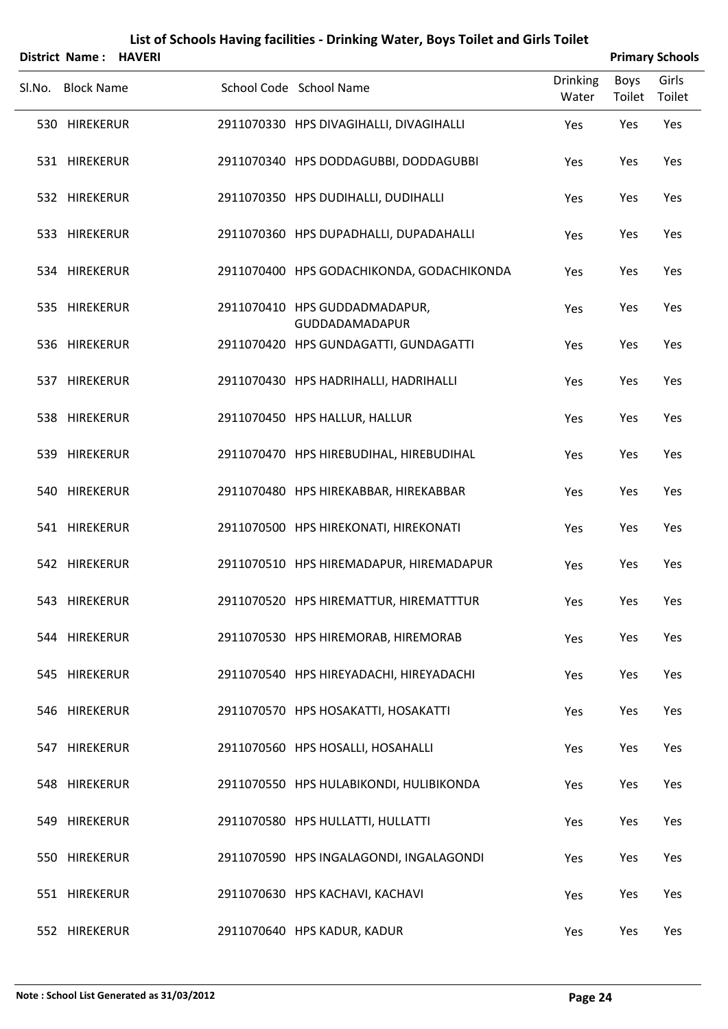|        | District Name: HAVERI |  |                                                 |                          |                       | <b>Primary Schools</b> |
|--------|-----------------------|--|-------------------------------------------------|--------------------------|-----------------------|------------------------|
| SI.No. | <b>Block Name</b>     |  | School Code School Name                         | <b>Drinking</b><br>Water | <b>Boys</b><br>Toilet | Girls<br>Toilet        |
|        | 530 HIREKERUR         |  | 2911070330 HPS DIVAGIHALLI, DIVAGIHALLI         | Yes                      | Yes                   | Yes                    |
|        | 531 HIREKERUR         |  | 2911070340 HPS DODDAGUBBI, DODDAGUBBI           | Yes                      | Yes                   | Yes                    |
|        | 532 HIREKERUR         |  | 2911070350 HPS DUDIHALLI, DUDIHALLI             | Yes                      | Yes                   | Yes                    |
|        | 533 HIREKERUR         |  | 2911070360 HPS DUPADHALLI, DUPADAHALLI          | Yes                      | Yes                   | Yes                    |
|        | 534 HIREKERUR         |  | 2911070400 HPS GODACHIKONDA, GODACHIKONDA       | Yes                      | Yes                   | Yes                    |
|        | 535 HIREKERUR         |  | 2911070410 HPS GUDDADMADAPUR,<br>GUDDADAMADAPUR | Yes                      | Yes                   | Yes                    |
|        | 536 HIREKERUR         |  | 2911070420 HPS GUNDAGATTI, GUNDAGATTI           | Yes                      | Yes                   | Yes                    |
|        | 537 HIREKERUR         |  | 2911070430 HPS HADRIHALLI, HADRIHALLI           | Yes                      | Yes                   | Yes                    |
|        | 538 HIREKERUR         |  | 2911070450 HPS HALLUR, HALLUR                   | Yes                      | Yes                   | Yes                    |
|        | 539 HIREKERUR         |  | 2911070470 HPS HIREBUDIHAL, HIREBUDIHAL         | Yes                      | Yes                   | Yes                    |
|        | 540 HIREKERUR         |  | 2911070480 HPS HIREKABBAR, HIREKABBAR           | Yes                      | Yes                   | Yes                    |
|        | 541 HIREKERUR         |  | 2911070500 HPS HIREKONATI, HIREKONATI           | Yes                      | Yes                   | Yes                    |
|        | 542 HIREKERUR         |  | 2911070510 HPS HIREMADAPUR, HIREMADAPUR         | Yes                      | Yes                   | Yes                    |
|        | 543 HIREKERUR         |  | 2911070520 HPS HIREMATTUR, HIREMATTTUR          | Yes                      | Yes                   | Yes                    |
|        | 544 HIREKERUR         |  | 2911070530 HPS HIREMORAB, HIREMORAB             | Yes                      | Yes                   | Yes                    |
|        | 545 HIREKERUR         |  | 2911070540 HPS HIREYADACHI, HIREYADACHI         | Yes                      | Yes                   | Yes                    |
|        | 546 HIREKERUR         |  | 2911070570 HPS HOSAKATTI, HOSAKATTI             | Yes                      | Yes                   | Yes                    |
|        | 547 HIREKERUR         |  | 2911070560 HPS HOSALLI, HOSAHALLI               | Yes                      | Yes                   | Yes                    |
|        | 548 HIREKERUR         |  | 2911070550 HPS HULABIKONDI, HULIBIKONDA         | Yes                      | Yes                   | Yes                    |
|        | 549 HIREKERUR         |  | 2911070580 HPS HULLATTI, HULLATTI               | Yes                      | Yes                   | Yes                    |
|        | 550 HIREKERUR         |  | 2911070590 HPS INGALAGONDI, INGALAGONDI         | Yes                      | Yes                   | Yes                    |
|        | 551 HIREKERUR         |  | 2911070630 HPS KACHAVI, KACHAVI                 | Yes                      | Yes                   | Yes                    |
|        | 552 HIREKERUR         |  | 2911070640 HPS KADUR, KADUR                     | Yes                      | Yes                   | Yes                    |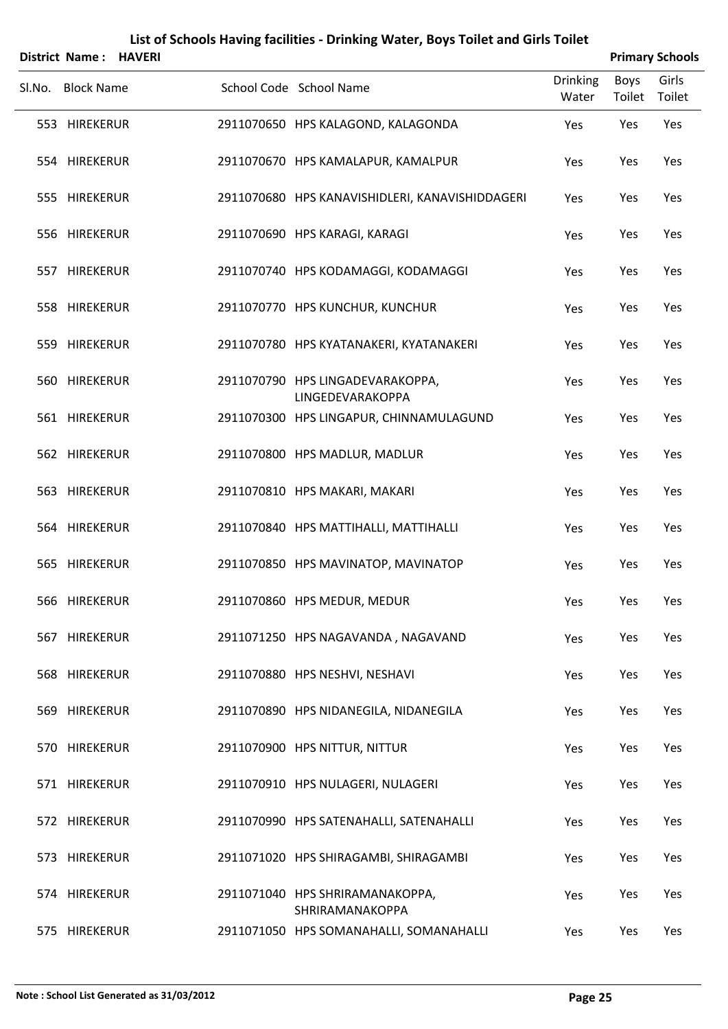|        | <b>District Name: HAVERI</b> |  |                                                      |                   |                | <b>Primary Schools</b> |
|--------|------------------------------|--|------------------------------------------------------|-------------------|----------------|------------------------|
| Sl.No. | <b>Block Name</b>            |  | School Code School Name                              | Drinking<br>Water | Boys<br>Toilet | Girls<br>Toilet        |
|        | 553 HIREKERUR                |  | 2911070650 HPS KALAGOND, KALAGONDA                   | Yes               | Yes            | Yes                    |
|        | 554 HIREKERUR                |  | 2911070670 HPS KAMALAPUR, KAMALPUR                   | Yes               | Yes            | Yes                    |
|        | 555 HIREKERUR                |  | 2911070680 HPS KANAVISHIDLERI, KANAVISHIDDAGERI      | Yes               | Yes            | Yes                    |
|        | 556 HIREKERUR                |  | 2911070690 HPS KARAGI, KARAGI                        | Yes               | Yes            | Yes                    |
|        | 557 HIREKERUR                |  | 2911070740 HPS KODAMAGGI, KODAMAGGI                  | Yes               | Yes            | Yes                    |
|        | 558 HIREKERUR                |  | 2911070770 HPS KUNCHUR, KUNCHUR                      | Yes               | Yes            | Yes                    |
|        | 559 HIREKERUR                |  | 2911070780 HPS KYATANAKERI, KYATANAKERI              | Yes               | Yes            | Yes                    |
|        | 560 HIREKERUR                |  | 2911070790 HPS LINGADEVARAKOPPA,<br>LINGEDEVARAKOPPA | Yes               | Yes            | Yes                    |
|        | 561 HIREKERUR                |  | 2911070300 HPS LINGAPUR, CHINNAMULAGUND              | Yes               | Yes            | Yes                    |
|        | 562 HIREKERUR                |  | 2911070800 HPS MADLUR, MADLUR                        | Yes               | Yes            | Yes                    |
|        | 563 HIREKERUR                |  | 2911070810 HPS MAKARI, MAKARI                        | Yes               | Yes            | Yes                    |
|        | 564 HIREKERUR                |  | 2911070840 HPS MATTIHALLI, MATTIHALLI                | Yes               | Yes            | Yes                    |
|        | 565 HIREKERUR                |  | 2911070850 HPS MAVINATOP, MAVINATOP                  | Yes               | Yes            | Yes                    |
|        | 566 HIREKERUR                |  | 2911070860 HPS MEDUR, MEDUR                          | Yes               | Yes            | Yes                    |
|        | 567 HIREKERUR                |  | 2911071250 HPS NAGAVANDA, NAGAVAND                   | Yes               | Yes            | Yes                    |
|        | 568 HIREKERUR                |  | 2911070880 HPS NESHVI, NESHAVI                       | Yes               | Yes            | Yes                    |
|        | 569 HIREKERUR                |  | 2911070890 HPS NIDANEGILA, NIDANEGILA                | Yes               | Yes            | Yes                    |
|        | 570 HIREKERUR                |  | 2911070900 HPS NITTUR, NITTUR                        | Yes               | Yes            | Yes                    |
|        | 571 HIREKERUR                |  | 2911070910 HPS NULAGERI, NULAGERI                    | Yes               | Yes            | Yes                    |
|        | 572 HIREKERUR                |  | 2911070990 HPS SATENAHALLI, SATENAHALLI              | Yes               | Yes            | Yes                    |
|        | 573 HIREKERUR                |  | 2911071020 HPS SHIRAGAMBI, SHIRAGAMBI                | Yes               | Yes            | Yes                    |
|        | 574 HIREKERUR                |  | 2911071040 HPS SHRIRAMANAKOPPA,<br>SHRIRAMANAKOPPA   | Yes               | Yes            | Yes                    |
|        | 575 HIREKERUR                |  | 2911071050 HPS SOMANAHALLI, SOMANAHALLI              | Yes               | Yes            | Yes                    |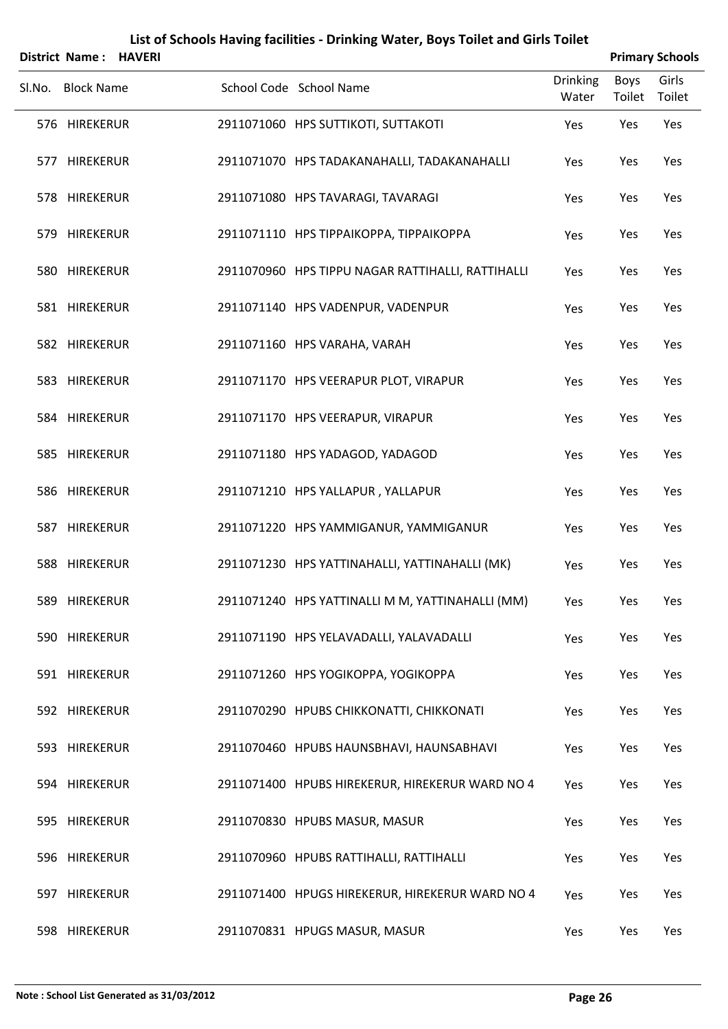|        | District Name: HAVERI |  |                                                   |                          |                       | <b>Primary Schools</b> |
|--------|-----------------------|--|---------------------------------------------------|--------------------------|-----------------------|------------------------|
| Sl.No. | <b>Block Name</b>     |  | School Code School Name                           | <b>Drinking</b><br>Water | <b>Boys</b><br>Toilet | Girls<br>Toilet        |
|        | 576 HIREKERUR         |  | 2911071060 HPS SUTTIKOTI, SUTTAKOTI               | Yes                      | Yes                   | Yes                    |
|        | 577 HIREKERUR         |  | 2911071070 HPS TADAKANAHALLI, TADAKANAHALLI       | Yes                      | Yes                   | Yes                    |
|        | 578 HIREKERUR         |  | 2911071080 HPS TAVARAGI, TAVARAGI                 | Yes                      | Yes                   | Yes                    |
|        | 579 HIREKERUR         |  | 2911071110 HPS TIPPAIKOPPA, TIPPAIKOPPA           | Yes                      | Yes                   | Yes                    |
|        | 580 HIREKERUR         |  | 2911070960 HPS TIPPU NAGAR RATTIHALLI, RATTIHALLI | Yes                      | Yes                   | Yes                    |
|        | 581 HIREKERUR         |  | 2911071140 HPS VADENPUR, VADENPUR                 | Yes                      | Yes                   | Yes                    |
|        | 582 HIREKERUR         |  | 2911071160 HPS VARAHA, VARAH                      | Yes                      | Yes                   | Yes                    |
|        | 583 HIREKERUR         |  | 2911071170 HPS VEERAPUR PLOT, VIRAPUR             | Yes                      | Yes                   | Yes                    |
|        | 584 HIREKERUR         |  | 2911071170 HPS VEERAPUR, VIRAPUR                  | Yes                      | Yes                   | Yes                    |
|        | 585 HIREKERUR         |  | 2911071180 HPS YADAGOD, YADAGOD                   | Yes                      | Yes                   | Yes                    |
|        | 586 HIREKERUR         |  | 2911071210 HPS YALLAPUR, YALLAPUR                 | Yes                      | Yes                   | Yes                    |
|        | 587 HIREKERUR         |  | 2911071220 HPS YAMMIGANUR, YAMMIGANUR             | Yes                      | Yes                   | Yes                    |
|        | 588 HIREKERUR         |  | 2911071230 HPS YATTINAHALLI, YATTINAHALLI (MK)    | Yes                      | Yes                   | Yes                    |
|        | 589 HIREKERUR         |  | 2911071240 HPS YATTINALLI M M, YATTINAHALLI (MM)  | Yes                      | Yes                   | Yes                    |
|        | 590 HIREKERUR         |  | 2911071190 HPS YELAVADALLI, YALAVADALLI           | Yes                      | Yes                   | Yes                    |
|        | 591 HIREKERUR         |  | 2911071260 HPS YOGIKOPPA, YOGIKOPPA               | Yes                      | Yes                   | Yes                    |
|        | 592 HIREKERUR         |  | 2911070290 HPUBS CHIKKONATTI, CHIKKONATI          | Yes                      | Yes                   | Yes                    |
|        | 593 HIREKERUR         |  | 2911070460 HPUBS HAUNSBHAVI, HAUNSABHAVI          | Yes                      | Yes                   | Yes                    |
|        | 594 HIREKERUR         |  | 2911071400 HPUBS HIREKERUR, HIREKERUR WARD NO 4   | Yes                      | Yes                   | Yes                    |
|        | 595 HIREKERUR         |  | 2911070830 HPUBS MASUR, MASUR                     | Yes                      | Yes                   | Yes                    |
|        | 596 HIREKERUR         |  | 2911070960 HPUBS RATTIHALLI, RATTIHALLI           | Yes                      | Yes                   | Yes                    |
|        | 597 HIREKERUR         |  | 2911071400 HPUGS HIREKERUR, HIREKERUR WARD NO 4   | Yes                      | Yes                   | Yes                    |
|        | 598 HIREKERUR         |  | 2911070831 HPUGS MASUR, MASUR                     | Yes                      | Yes                   | Yes                    |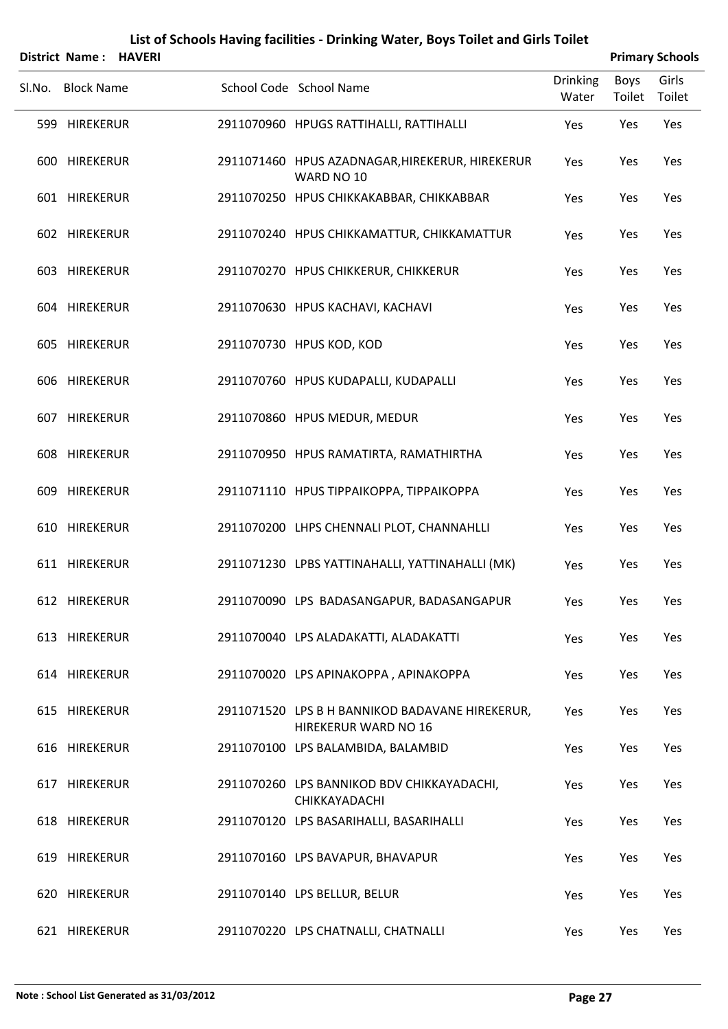|        | <b>District Name: HAVERI</b> |  |                                                                                |                          |                | <b>Primary Schools</b> |
|--------|------------------------------|--|--------------------------------------------------------------------------------|--------------------------|----------------|------------------------|
| Sl.No. | <b>Block Name</b>            |  | School Code School Name                                                        | <b>Drinking</b><br>Water | Boys<br>Toilet | Girls<br>Toilet        |
|        | 599 HIREKERUR                |  | 2911070960 HPUGS RATTIHALLI, RATTIHALLI                                        | Yes                      | Yes            | Yes                    |
|        | 600 HIREKERUR                |  | 2911071460 HPUS AZADNAGAR, HIREKERUR, HIREKERUR<br>WARD NO 10                  | Yes                      | Yes            | Yes                    |
|        | 601 HIREKERUR                |  | 2911070250 HPUS CHIKKAKABBAR, CHIKKABBAR                                       | Yes                      | Yes            | Yes                    |
|        | 602 HIREKERUR                |  | 2911070240 HPUS CHIKKAMATTUR, CHIKKAMATTUR                                     | Yes                      | Yes            | Yes                    |
|        | 603 HIREKERUR                |  | 2911070270 HPUS CHIKKERUR, CHIKKERUR                                           | Yes                      | Yes            | Yes                    |
|        | 604 HIREKERUR                |  | 2911070630 HPUS KACHAVI, KACHAVI                                               | Yes                      | Yes            | Yes                    |
|        | 605 HIREKERUR                |  | 2911070730 HPUS KOD, KOD                                                       | Yes                      | Yes            | Yes                    |
|        | 606 HIREKERUR                |  | 2911070760 HPUS KUDAPALLI, KUDAPALLI                                           | Yes                      | Yes            | Yes                    |
|        | 607 HIREKERUR                |  | 2911070860 HPUS MEDUR, MEDUR                                                   | Yes                      | Yes            | Yes                    |
|        | 608 HIREKERUR                |  | 2911070950 HPUS RAMATIRTA, RAMATHIRTHA                                         | Yes                      | Yes            | Yes                    |
|        | 609 HIREKERUR                |  | 2911071110 HPUS TIPPAIKOPPA, TIPPAIKOPPA                                       | Yes                      | Yes            | Yes                    |
|        | 610 HIREKERUR                |  | 2911070200 LHPS CHENNALI PLOT, CHANNAHLLI                                      | Yes                      | Yes            | Yes                    |
|        | 611 HIREKERUR                |  | 2911071230 LPBS YATTINAHALLI, YATTINAHALLI (MK)                                | Yes                      | Yes            | Yes                    |
|        | 612 HIREKERUR                |  | 2911070090 LPS BADASANGAPUR, BADASANGAPUR                                      | Yes                      | Yes            | Yes                    |
|        | 613 HIREKERUR                |  | 2911070040 LPS ALADAKATTI, ALADAKATTI                                          | Yes                      | Yes            | Yes                    |
|        | 614 HIREKERUR                |  | 2911070020 LPS APINAKOPPA, APINAKOPPA                                          | Yes                      | Yes            | Yes                    |
|        | 615 HIREKERUR                |  | 2911071520 LPS B H BANNIKOD BADAVANE HIREKERUR,<br><b>HIREKERUR WARD NO 16</b> | Yes                      | Yes            | Yes                    |
|        | 616 HIREKERUR                |  | 2911070100 LPS BALAMBIDA, BALAMBID                                             | Yes                      | Yes            | Yes                    |
|        | 617 HIREKERUR                |  | 2911070260 LPS BANNIKOD BDV CHIKKAYADACHI,<br>CHIKKAYADACHI                    | Yes                      | Yes            | Yes                    |
|        | 618 HIREKERUR                |  | 2911070120 LPS BASARIHALLI, BASARIHALLI                                        | Yes                      | Yes            | Yes                    |
|        | 619 HIREKERUR                |  | 2911070160 LPS BAVAPUR, BHAVAPUR                                               | Yes                      | Yes            | Yes                    |
|        | 620 HIREKERUR                |  | 2911070140 LPS BELLUR, BELUR                                                   | Yes                      | Yes            | Yes                    |
|        | 621 HIREKERUR                |  | 2911070220 LPS CHATNALLI, CHATNALLI                                            | Yes                      | Yes            | Yes                    |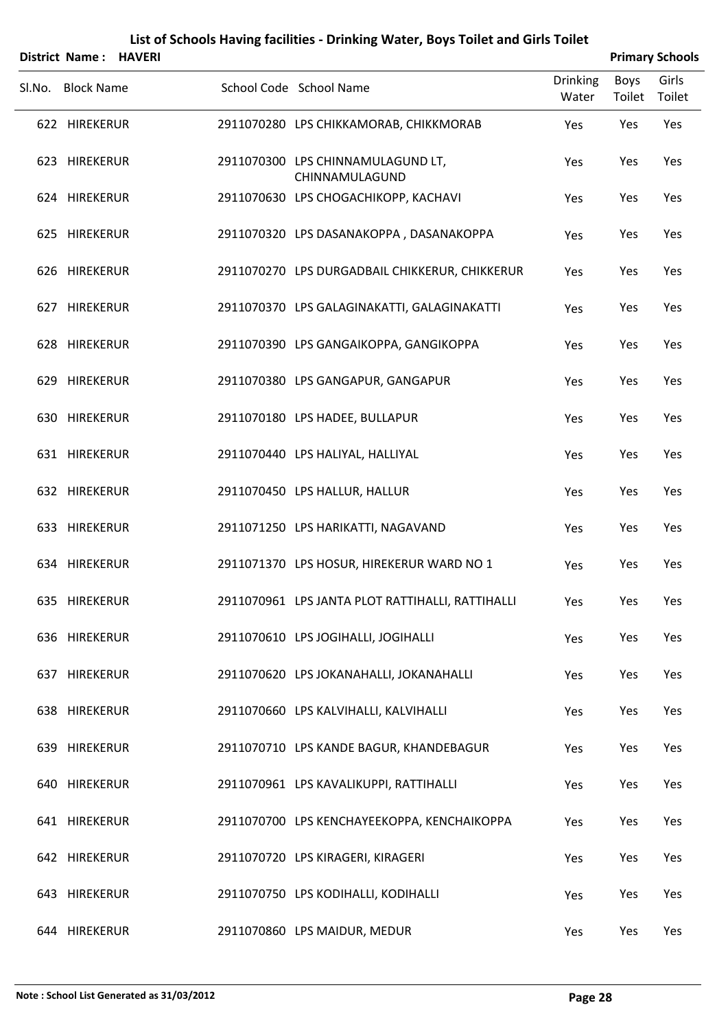|        | <b>District Name: HAVERI</b> |  |                                                     |                          | <b>Primary Schools</b> |                 |
|--------|------------------------------|--|-----------------------------------------------------|--------------------------|------------------------|-----------------|
| Sl.No. | <b>Block Name</b>            |  | School Code School Name                             | <b>Drinking</b><br>Water | Boys<br>Toilet         | Girls<br>Toilet |
|        | 622 HIREKERUR                |  | 2911070280 LPS CHIKKAMORAB, CHIKKMORAB              | Yes                      | Yes                    | Yes             |
|        | 623 HIREKERUR                |  | 2911070300 LPS CHINNAMULAGUND LT,<br>CHINNAMULAGUND | Yes                      | Yes                    | Yes             |
|        | 624 HIREKERUR                |  | 2911070630 LPS CHOGACHIKOPP, KACHAVI                | Yes                      | Yes                    | Yes             |
|        | 625 HIREKERUR                |  | 2911070320 LPS DASANAKOPPA, DASANAKOPPA             | Yes                      | Yes                    | Yes             |
|        | 626 HIREKERUR                |  | 2911070270 LPS DURGADBAIL CHIKKERUR, CHIKKERUR      | Yes                      | Yes                    | Yes             |
|        | 627 HIREKERUR                |  | 2911070370 LPS GALAGINAKATTI, GALAGINAKATTI         | Yes                      | Yes                    | Yes             |
|        | 628 HIREKERUR                |  | 2911070390 LPS GANGAIKOPPA, GANGIKOPPA              | Yes                      | Yes                    | Yes             |
|        | 629 HIREKERUR                |  | 2911070380 LPS GANGAPUR, GANGAPUR                   | Yes                      | Yes                    | Yes             |
|        | 630 HIREKERUR                |  | 2911070180 LPS HADEE, BULLAPUR                      | Yes                      | Yes                    | Yes             |
|        | 631 HIREKERUR                |  | 2911070440 LPS HALIYAL, HALLIYAL                    | Yes                      | Yes                    | Yes             |
|        | 632 HIREKERUR                |  | 2911070450 LPS HALLUR, HALLUR                       | Yes                      | Yes                    | Yes             |
|        | 633 HIREKERUR                |  | 2911071250 LPS HARIKATTI, NAGAVAND                  | Yes                      | Yes                    | Yes             |
|        | 634 HIREKERUR                |  | 2911071370 LPS HOSUR, HIREKERUR WARD NO 1           | Yes                      | Yes                    | Yes             |
|        | 635 HIREKERUR                |  | 2911070961 LPS JANTA PLOT RATTIHALLI, RATTIHALLI    | Yes                      | Yes                    | Yes             |
|        | 636 HIREKERUR                |  | 2911070610 LPS JOGIHALLI, JOGIHALLI                 | Yes                      | Yes                    | Yes             |
|        | 637 HIREKERUR                |  | 2911070620 LPS JOKANAHALLI, JOKANAHALLI             | Yes                      | Yes                    | Yes             |
|        | 638 HIREKERUR                |  | 2911070660 LPS KALVIHALLI, KALVIHALLI               | Yes                      | Yes                    | Yes             |
|        | 639 HIREKERUR                |  | 2911070710 LPS KANDE BAGUR, KHANDEBAGUR             | Yes                      | Yes                    | Yes             |
|        | 640 HIREKERUR                |  | 2911070961 LPS KAVALIKUPPI, RATTIHALLI              | Yes                      | Yes                    | Yes             |
|        | 641 HIREKERUR                |  | 2911070700 LPS KENCHAYEEKOPPA, KENCHAIKOPPA         | Yes                      | Yes                    | Yes             |
|        | 642 HIREKERUR                |  | 2911070720 LPS KIRAGERI, KIRAGERI                   | Yes                      | Yes                    | Yes             |
|        | 643 HIREKERUR                |  | 2911070750 LPS KODIHALLI, KODIHALLI                 | Yes                      | Yes                    | Yes             |
|        | 644 HIREKERUR                |  | 2911070860 LPS MAIDUR, MEDUR                        | Yes                      | Yes                    | Yes             |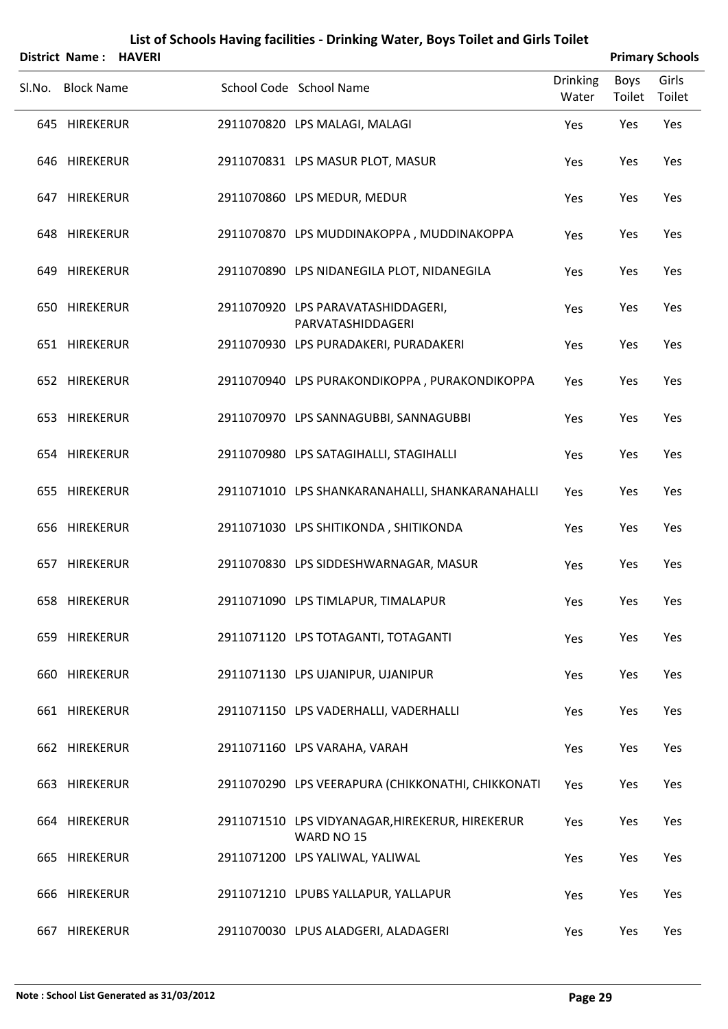|        | <b>District Name: HAVERI</b> |  |                                                               |                          |                | <b>Primary Schools</b> |
|--------|------------------------------|--|---------------------------------------------------------------|--------------------------|----------------|------------------------|
| SI.No. | <b>Block Name</b>            |  | School Code School Name                                       | <b>Drinking</b><br>Water | Boys<br>Toilet | Girls<br>Toilet        |
|        | 645 HIREKERUR                |  | 2911070820 LPS MALAGI, MALAGI                                 | Yes                      | Yes            | Yes                    |
|        | 646 HIREKERUR                |  | 2911070831 LPS MASUR PLOT, MASUR                              | Yes                      | Yes            | Yes                    |
|        | 647 HIREKERUR                |  | 2911070860 LPS MEDUR, MEDUR                                   | Yes                      | Yes            | Yes                    |
|        | 648 HIREKERUR                |  | 2911070870 LPS MUDDINAKOPPA, MUDDINAKOPPA                     | Yes                      | Yes            | Yes                    |
|        | 649 HIREKERUR                |  | 2911070890 LPS NIDANEGILA PLOT, NIDANEGILA                    | Yes                      | Yes            | Yes                    |
|        | 650 HIREKERUR                |  | 2911070920 LPS PARAVATASHIDDAGERI,<br>PARVATASHIDDAGERI       | Yes                      | Yes            | Yes                    |
|        | 651 HIREKERUR                |  | 2911070930 LPS PURADAKERI, PURADAKERI                         | Yes                      | Yes            | Yes                    |
|        | 652 HIREKERUR                |  | 2911070940 LPS PURAKONDIKOPPA, PURAKONDIKOPPA                 | Yes                      | Yes            | Yes                    |
|        | 653 HIREKERUR                |  | 2911070970 LPS SANNAGUBBI, SANNAGUBBI                         | Yes                      | Yes            | Yes                    |
|        | 654 HIREKERUR                |  | 2911070980 LPS SATAGIHALLI, STAGIHALLI                        | Yes                      | Yes            | Yes                    |
|        | 655 HIREKERUR                |  | 2911071010 LPS SHANKARANAHALLI, SHANKARANAHALLI               | Yes                      | Yes            | Yes                    |
|        | 656 HIREKERUR                |  | 2911071030 LPS SHITIKONDA, SHITIKONDA                         | Yes                      | Yes            | Yes                    |
|        | 657 HIREKERUR                |  | 2911070830 LPS SIDDESHWARNAGAR, MASUR                         | Yes                      | Yes            | Yes                    |
|        | 658 HIREKERUR                |  | 2911071090 LPS TIMLAPUR, TIMALAPUR                            | Yes                      | Yes            | Yes                    |
|        | 659 HIREKERUR                |  | 2911071120 LPS TOTAGANTI, TOTAGANTI                           | Yes                      | Yes            | Yes                    |
|        | 660 HIREKERUR                |  | 2911071130 LPS UJANIPUR, UJANIPUR                             | Yes                      | Yes            | Yes                    |
|        | 661 HIREKERUR                |  | 2911071150 LPS VADERHALLI, VADERHALLI                         | Yes                      | Yes            | Yes                    |
|        | 662 HIREKERUR                |  | 2911071160 LPS VARAHA, VARAH                                  | Yes                      | Yes            | Yes                    |
|        | 663 HIREKERUR                |  | 2911070290 LPS VEERAPURA (CHIKKONATHI, CHIKKONATI             | Yes                      | Yes            | Yes                    |
|        | 664 HIREKERUR                |  | 2911071510 LPS VIDYANAGAR, HIREKERUR, HIREKERUR<br>WARD NO 15 | Yes                      | Yes            | Yes                    |
|        | 665 HIREKERUR                |  | 2911071200 LPS YALIWAL, YALIWAL                               | Yes                      | Yes            | Yes                    |
|        | 666 HIREKERUR                |  | 2911071210 LPUBS YALLAPUR, YALLAPUR                           | Yes                      | Yes            | Yes                    |
|        | 667 HIREKERUR                |  | 2911070030 LPUS ALADGERI, ALADAGERI                           | Yes                      | Yes            | Yes                    |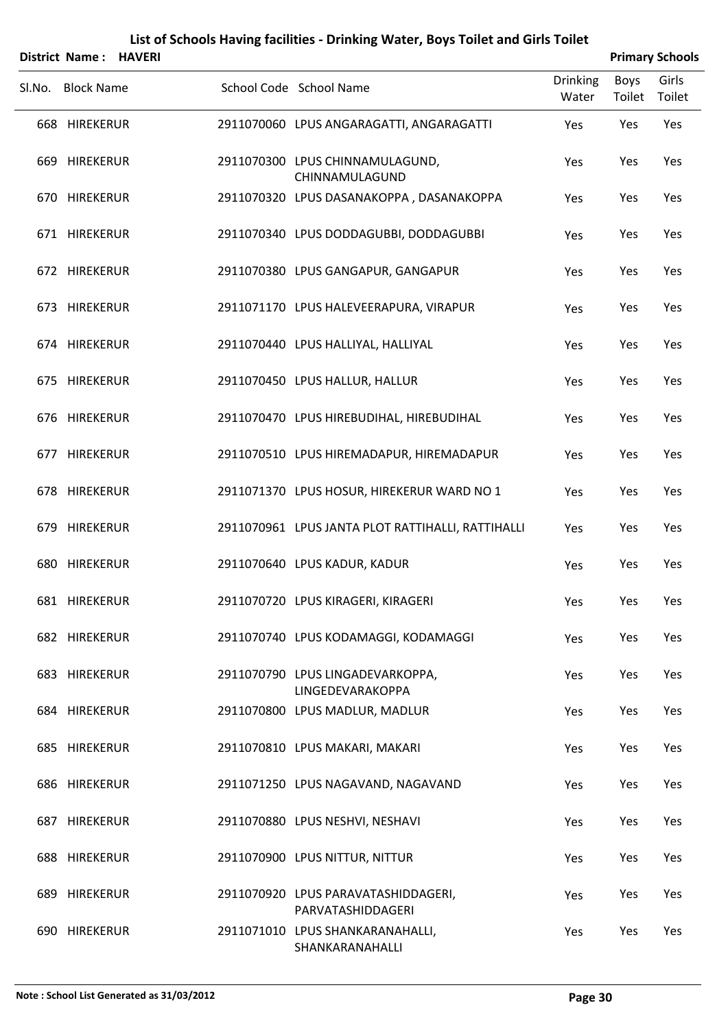|        | District Name: HAVERI |  |                                                          |                          |                | <b>Primary Schools</b> |
|--------|-----------------------|--|----------------------------------------------------------|--------------------------|----------------|------------------------|
| SI.No. | <b>Block Name</b>     |  | School Code School Name                                  | <b>Drinking</b><br>Water | Boys<br>Toilet | Girls<br>Toilet        |
|        | 668 HIREKERUR         |  | 2911070060 LPUS ANGARAGATTI, ANGARAGATTI                 | Yes                      | Yes            | Yes                    |
|        | 669 HIREKERUR         |  | 2911070300 LPUS CHINNAMULAGUND,<br>CHINNAMULAGUND        | Yes                      | Yes            | Yes                    |
|        | 670 HIREKERUR         |  | 2911070320 LPUS DASANAKOPPA, DASANAKOPPA                 | Yes                      | Yes            | Yes                    |
|        | 671 HIREKERUR         |  | 2911070340 LPUS DODDAGUBBI, DODDAGUBBI                   | Yes                      | Yes            | Yes                    |
|        | 672 HIREKERUR         |  | 2911070380 LPUS GANGAPUR, GANGAPUR                       | Yes                      | Yes            | Yes                    |
|        | 673 HIREKERUR         |  | 2911071170 LPUS HALEVEERAPURA, VIRAPUR                   | Yes                      | Yes            | Yes                    |
|        | 674 HIREKERUR         |  | 2911070440 LPUS HALLIYAL, HALLIYAL                       | Yes                      | Yes            | Yes                    |
|        | 675 HIREKERUR         |  | 2911070450 LPUS HALLUR, HALLUR                           | Yes                      | Yes            | Yes                    |
|        | 676 HIREKERUR         |  | 2911070470 LPUS HIREBUDIHAL, HIREBUDIHAL                 | Yes                      | Yes            | Yes                    |
|        | 677 HIREKERUR         |  | 2911070510 LPUS HIREMADAPUR, HIREMADAPUR                 | Yes                      | Yes            | Yes                    |
|        | 678 HIREKERUR         |  | 2911071370 LPUS HOSUR, HIREKERUR WARD NO 1               | Yes                      | Yes            | Yes                    |
|        | 679 HIREKERUR         |  | 2911070961 LPUS JANTA PLOT RATTIHALLI, RATTIHALLI        | Yes                      | Yes            | Yes                    |
|        | 680 HIREKERUR         |  | 2911070640 LPUS KADUR, KADUR                             | Yes                      | Yes            | Yes                    |
|        | 681 HIREKERUR         |  | 2911070720 LPUS KIRAGERI, KIRAGERI                       | Yes                      | Yes            | Yes                    |
|        | 682 HIREKERUR         |  | 2911070740 LPUS KODAMAGGI, KODAMAGGI                     | Yes                      | Yes            | Yes                    |
|        | 683 HIREKERUR         |  | 2911070790 LPUS LINGADEVARKOPPA,<br>LINGEDEVARAKOPPA     | Yes                      | Yes            | Yes                    |
|        | 684 HIREKERUR         |  | 2911070800 LPUS MADLUR, MADLUR                           | Yes                      | Yes            | Yes                    |
|        | 685 HIREKERUR         |  | 2911070810 LPUS MAKARI, MAKARI                           | Yes                      | Yes            | Yes                    |
|        | 686 HIREKERUR         |  | 2911071250 LPUS NAGAVAND, NAGAVAND                       | Yes                      | Yes            | Yes                    |
|        | 687 HIREKERUR         |  | 2911070880 LPUS NESHVI, NESHAVI                          | Yes                      | Yes            | Yes                    |
|        | 688 HIREKERUR         |  | 2911070900 LPUS NITTUR, NITTUR                           | Yes                      | Yes            | Yes                    |
|        | 689 HIREKERUR         |  | 2911070920 LPUS PARAVATASHIDDAGERI,<br>PARVATASHIDDAGERI | Yes                      | Yes            | Yes                    |
|        | 690 HIREKERUR         |  | 2911071010 LPUS SHANKARANAHALLI,<br>SHANKARANAHALLI      | Yes                      | Yes            | Yes                    |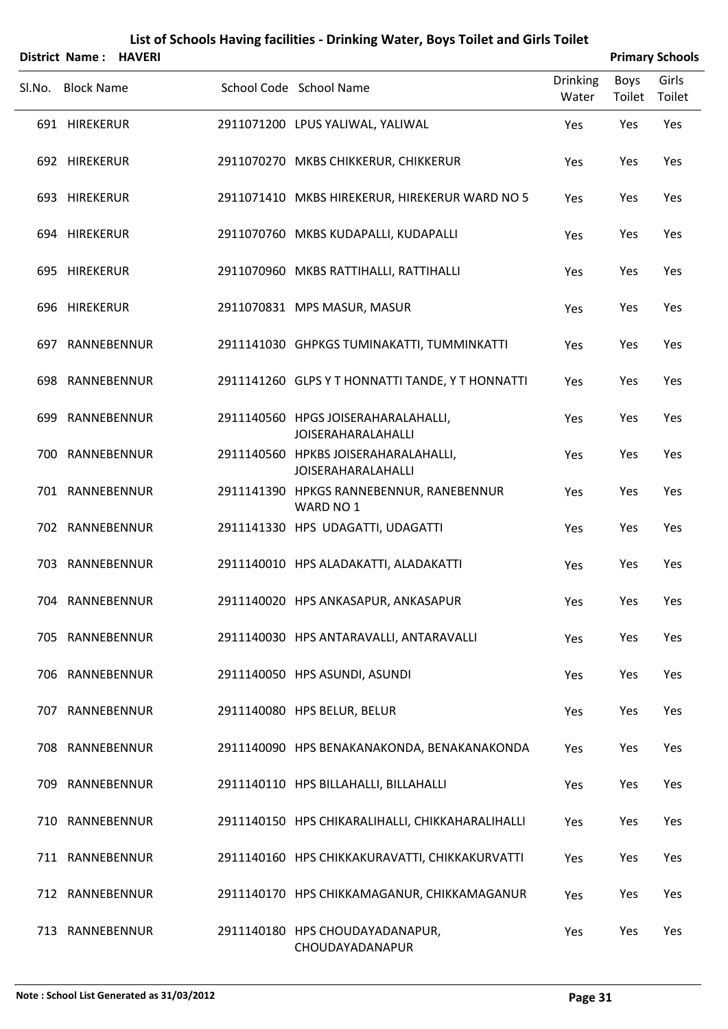|     | <b>District Name: HAVERI</b> |  |                                                                   |                          |                | <b>Primary Schools</b> |
|-----|------------------------------|--|-------------------------------------------------------------------|--------------------------|----------------|------------------------|
|     | Sl.No. Block Name            |  | School Code School Name                                           | <b>Drinking</b><br>Water | Boys<br>Toilet | Girls<br>Toilet        |
|     | 691 HIREKERUR                |  | 2911071200 LPUS YALIWAL, YALIWAL                                  | Yes                      | Yes            | Yes                    |
|     | 692 HIREKERUR                |  | 2911070270 MKBS CHIKKERUR, CHIKKERUR                              | Yes                      | Yes            | Yes                    |
|     | 693 HIREKERUR                |  | 2911071410 MKBS HIREKERUR, HIREKERUR WARD NO 5                    | Yes                      | Yes            | Yes                    |
|     | 694 HIREKERUR                |  | 2911070760 MKBS KUDAPALLI, KUDAPALLI                              | Yes                      | Yes            | Yes                    |
|     | 695 HIREKERUR                |  | 2911070960 MKBS RATTIHALLI, RATTIHALLI                            | Yes                      | Yes            | Yes                    |
|     | 696 HIREKERUR                |  | 2911070831 MPS MASUR, MASUR                                       | Yes                      | Yes            | Yes                    |
|     | 697 RANNEBENNUR              |  | 2911141030 GHPKGS TUMINAKATTI, TUMMINKATTI                        | Yes                      | Yes            | Yes                    |
|     | 698 RANNEBENNUR              |  | 2911141260 GLPS Y T HONNATTI TANDE, Y T HONNATTI                  | Yes                      | Yes            | Yes                    |
|     | 699 RANNEBENNUR              |  | 2911140560 HPGS JOISERAHARALAHALLI,<br><b>JOISERAHARALAHALLI</b>  | Yes                      | Yes            | Yes                    |
|     | 700 RANNEBENNUR              |  | 2911140560 HPKBS JOISERAHARALAHALLI,<br><b>JOISERAHARALAHALLI</b> | Yes                      | Yes            | Yes                    |
|     | 701 RANNEBENNUR              |  | 2911141390 HPKGS RANNEBENNUR, RANEBENNUR<br>WARD NO 1             | Yes                      | Yes            | Yes                    |
|     | 702 RANNEBENNUR              |  | 2911141330 HPS UDAGATTI, UDAGATTI                                 | Yes                      | Yes            | Yes                    |
|     | 703 RANNEBENNUR              |  | 2911140010 HPS ALADAKATTI, ALADAKATTI                             | Yes                      | Yes            | Yes                    |
|     | 704 RANNEBENNUR              |  | 2911140020 HPS ANKASAPUR, ANKASAPUR                               | Yes                      | Yes            | Yes                    |
|     | 705 RANNEBENNUR              |  | 2911140030 HPS ANTARAVALLI, ANTARAVALLI                           | Yes                      | Yes            | Yes                    |
|     | 706 RANNEBENNUR              |  | 2911140050 HPS ASUNDI, ASUNDI                                     | Yes                      | Yes            | Yes                    |
|     | 707 RANNEBENNUR              |  | 2911140080 HPS BELUR, BELUR                                       | Yes                      | Yes            | Yes                    |
|     | 708 RANNEBENNUR              |  | 2911140090 HPS BENAKANAKONDA, BENAKANAKONDA                       | Yes                      | Yes            | Yes                    |
|     | 709 RANNEBENNUR              |  | 2911140110 HPS BILLAHALLI, BILLAHALLI                             | Yes                      | Yes            | Yes                    |
| 710 | RANNEBENNUR                  |  | 2911140150 HPS CHIKARALIHALLI, CHIKKAHARALIHALLI                  | Yes                      | Yes            | Yes                    |
|     | 711 RANNEBENNUR              |  | 2911140160 HPS CHIKKAKURAVATTI, CHIKKAKURVATTI                    | Yes                      | Yes            | Yes                    |
|     | 712 RANNEBENNUR              |  | 2911140170 HPS CHIKKAMAGANUR, CHIKKAMAGANUR                       | Yes                      | Yes            | Yes                    |
|     | 713 RANNEBENNUR              |  | 2911140180 HPS CHOUDAYADANAPUR,<br>CHOUDAYADANAPUR                | Yes                      | Yes            | Yes                    |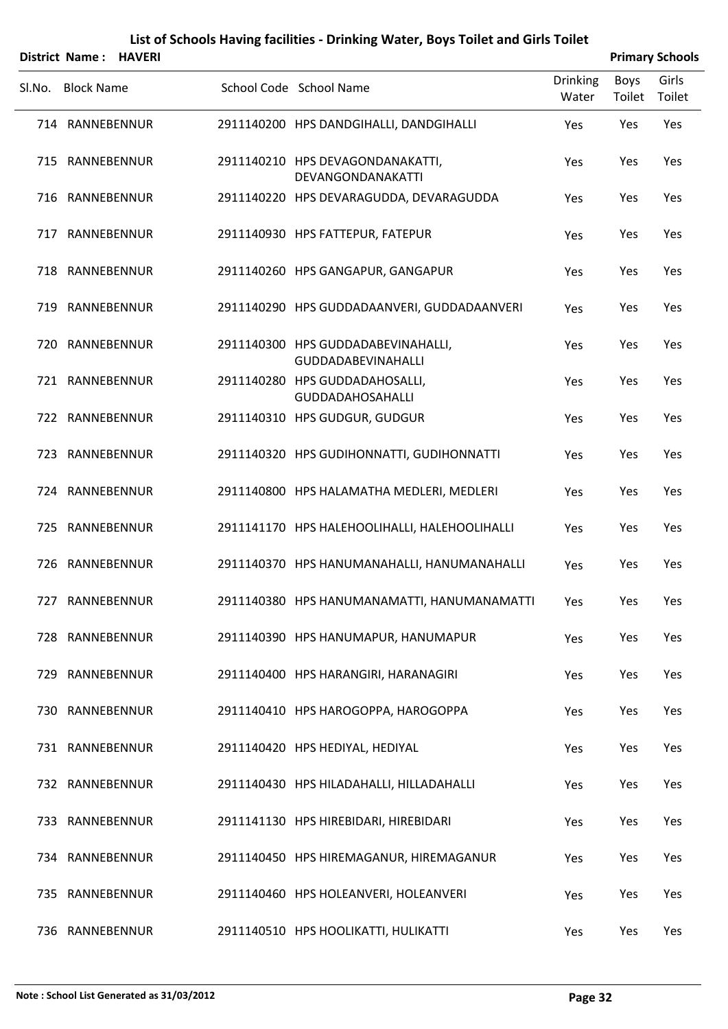|        | <b>District Name: HAVERI</b> |  |                                                                 |                          |                | <b>Primary Schools</b> |
|--------|------------------------------|--|-----------------------------------------------------------------|--------------------------|----------------|------------------------|
| Sl.No. | <b>Block Name</b>            |  | School Code School Name                                         | <b>Drinking</b><br>Water | Boys<br>Toilet | Girls<br>Toilet        |
|        | 714 RANNEBENNUR              |  | 2911140200 HPS DANDGIHALLI, DANDGIHALLI                         | Yes                      | Yes            | Yes                    |
|        | 715 RANNEBENNUR              |  | 2911140210 HPS DEVAGONDANAKATTI,<br>DEVANGONDANAKATTI           | Yes                      | Yes            | Yes                    |
|        | 716 RANNEBENNUR              |  | 2911140220 HPS DEVARAGUDDA, DEVARAGUDDA                         | Yes                      | Yes            | Yes                    |
|        | 717 RANNEBENNUR              |  | 2911140930 HPS FATTEPUR, FATEPUR                                | Yes                      | Yes            | Yes                    |
|        | 718 RANNEBENNUR              |  | 2911140260 HPS GANGAPUR, GANGAPUR                               | Yes                      | Yes            | Yes                    |
|        | 719 RANNEBENNUR              |  | 2911140290 HPS GUDDADAANVERI, GUDDADAANVERI                     | Yes                      | Yes            | Yes                    |
|        | 720 RANNEBENNUR              |  | 2911140300 HPS GUDDADABEVINAHALLI,<br><b>GUDDADABEVINAHALLI</b> | Yes                      | Yes            | Yes                    |
|        | 721 RANNEBENNUR              |  | 2911140280 HPS GUDDADAHOSALLI,<br><b>GUDDADAHOSAHALLI</b>       | Yes                      | Yes            | Yes                    |
|        | 722 RANNEBENNUR              |  | 2911140310 HPS GUDGUR, GUDGUR                                   | Yes                      | Yes            | Yes                    |
|        | 723 RANNEBENNUR              |  | 2911140320 HPS GUDIHONNATTI, GUDIHONNATTI                       | Yes                      | Yes            | Yes                    |
|        | 724 RANNEBENNUR              |  | 2911140800 HPS HALAMATHA MEDLERI, MEDLERI                       | Yes                      | Yes            | Yes                    |
|        | 725 RANNEBENNUR              |  | 2911141170 HPS HALEHOOLIHALLI, HALEHOOLIHALLI                   | Yes                      | Yes            | Yes                    |
|        | 726 RANNEBENNUR              |  | 2911140370 HPS HANUMANAHALLI, HANUMANAHALLI                     | Yes                      | Yes            | Yes                    |
|        | 727 RANNEBENNUR              |  | 2911140380 HPS HANUMANAMATTI, HANUMANAMATTI                     | Yes                      | Yes            | Yes                    |
|        | 728 RANNEBENNUR              |  | 2911140390 HPS HANUMAPUR, HANUMAPUR                             | Yes                      | Yes            | Yes                    |
|        | 729 RANNEBENNUR              |  | 2911140400 HPS HARANGIRI, HARANAGIRI                            | Yes                      | Yes            | Yes                    |
|        | 730 RANNEBENNUR              |  | 2911140410 HPS HAROGOPPA, HAROGOPPA                             | Yes                      | Yes            | Yes                    |
|        | 731 RANNEBENNUR              |  | 2911140420 HPS HEDIYAL, HEDIYAL                                 | Yes                      | Yes            | Yes                    |
|        | 732 RANNEBENNUR              |  | 2911140430 HPS HILADAHALLI, HILLADAHALLI                        | Yes                      | Yes            | Yes                    |
|        | 733 RANNEBENNUR              |  | 2911141130 HPS HIREBIDARI, HIREBIDARI                           | Yes                      | Yes            | Yes                    |
|        | 734 RANNEBENNUR              |  | 2911140450 HPS HIREMAGANUR, HIREMAGANUR                         | Yes                      | Yes            | Yes                    |
|        | 735 RANNEBENNUR              |  | 2911140460 HPS HOLEANVERI, HOLEANVERI                           | Yes                      | Yes            | Yes                    |
|        | 736 RANNEBENNUR              |  | 2911140510 HPS HOOLIKATTI, HULIKATTI                            | Yes                      | Yes            | Yes                    |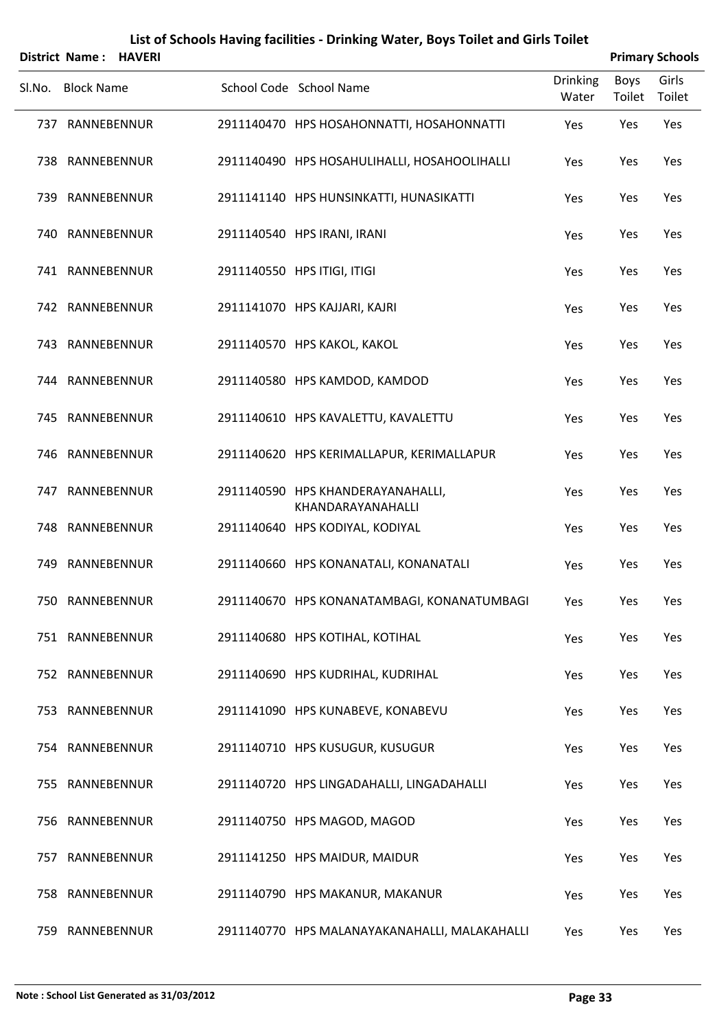|        | District Name:    | <b>HAVERI</b> |                                                        |                          | <b>Primary Schools</b> |                 |
|--------|-------------------|---------------|--------------------------------------------------------|--------------------------|------------------------|-----------------|
| Sl.No. | <b>Block Name</b> |               | School Code School Name                                | <b>Drinking</b><br>Water | Boys<br>Toilet         | Girls<br>Toilet |
|        | 737 RANNEBENNUR   |               | 2911140470 HPS HOSAHONNATTI, HOSAHONNATTI              | Yes                      | Yes                    | Yes             |
|        | 738 RANNEBENNUR   |               | 2911140490 HPS HOSAHULIHALLI, HOSAHOOLIHALLI           | Yes                      | Yes                    | Yes             |
|        | 739 RANNEBENNUR   |               | 2911141140 HPS HUNSINKATTI, HUNASIKATTI                | Yes                      | Yes                    | Yes             |
|        | 740 RANNEBENNUR   |               | 2911140540 HPS IRANI, IRANI                            | Yes                      | Yes                    | Yes             |
|        | 741 RANNEBENNUR   |               | 2911140550 HPS ITIGI, ITIGI                            | Yes                      | Yes                    | Yes             |
|        | 742 RANNEBENNUR   |               | 2911141070 HPS KAJJARI, KAJRI                          | Yes                      | Yes                    | Yes             |
|        | 743 RANNEBENNUR   |               | 2911140570 HPS KAKOL, KAKOL                            | Yes                      | Yes                    | Yes             |
|        | 744 RANNEBENNUR   |               | 2911140580 HPS KAMDOD, KAMDOD                          | Yes                      | Yes                    | Yes             |
|        | 745 RANNEBENNUR   |               | 2911140610 HPS KAVALETTU, KAVALETTU                    | Yes                      | Yes                    | Yes             |
|        | 746 RANNEBENNUR   |               | 2911140620 HPS KERIMALLAPUR, KERIMALLAPUR              | Yes                      | Yes                    | Yes             |
|        | 747 RANNEBENNUR   |               | 2911140590 HPS KHANDERAYANAHALLI,<br>KHANDARAYANAHALLI | Yes                      | Yes                    | Yes             |
|        | 748 RANNEBENNUR   |               | 2911140640 HPS KODIYAL, KODIYAL                        | Yes                      | Yes                    | Yes             |
|        | 749 RANNEBENNUR   |               | 2911140660 HPS KONANATALI, KONANATALI                  | Yes                      | Yes                    | Yes             |
|        | 750 RANNEBENNUR   |               | 2911140670 HPS KONANATAMBAGI, KONANATUMBAGI            | Yes                      | Yes                    | Yes             |
|        | 751 RANNEBENNUR   |               | 2911140680 HPS KOTIHAL, KOTIHAL                        | Yes                      | Yes                    | Yes             |
|        | 752 RANNEBENNUR   |               | 2911140690 HPS KUDRIHAL, KUDRIHAL                      | Yes                      | Yes                    | Yes             |
|        | 753 RANNEBENNUR   |               | 2911141090 HPS KUNABEVE, KONABEVU                      | Yes                      | Yes                    | Yes             |
|        | 754 RANNEBENNUR   |               | 2911140710 HPS KUSUGUR, KUSUGUR                        | Yes                      | Yes                    | Yes             |
|        | 755 RANNEBENNUR   |               | 2911140720 HPS LINGADAHALLI, LINGADAHALLI              | Yes                      | Yes                    | Yes             |
|        | 756 RANNEBENNUR   |               | 2911140750 HPS MAGOD, MAGOD                            | Yes                      | Yes                    | Yes             |
|        | 757 RANNEBENNUR   |               | 2911141250 HPS MAIDUR, MAIDUR                          | Yes                      | Yes                    | Yes             |
|        | 758 RANNEBENNUR   |               | 2911140790 HPS MAKANUR, MAKANUR                        | Yes                      | Yes                    | Yes             |
|        | 759 RANNEBENNUR   |               | 2911140770 HPS MALANAYAKANAHALLI, MALAKAHALLI          | Yes                      | Yes                    | Yes             |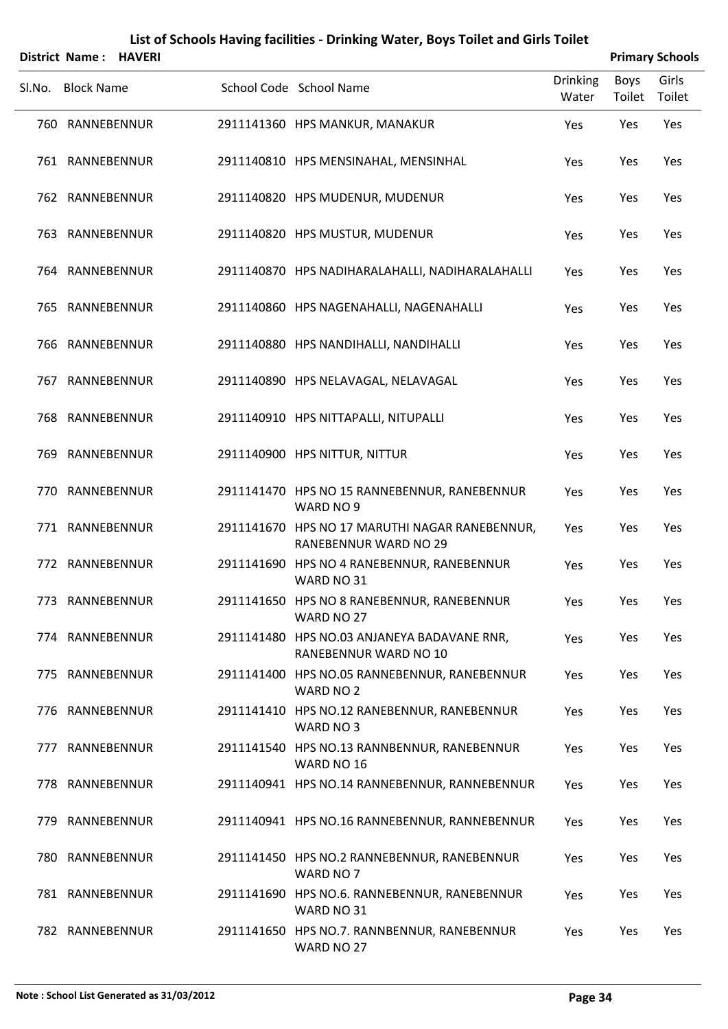|        | District Name:    | <b>HAVERI</b> |                                                                         |                          | <b>Primary Schools</b> |                 |
|--------|-------------------|---------------|-------------------------------------------------------------------------|--------------------------|------------------------|-----------------|
| Sl.No. | <b>Block Name</b> |               | School Code School Name                                                 | <b>Drinking</b><br>Water | <b>Boys</b><br>Toilet  | Girls<br>Toilet |
|        | 760 RANNEBENNUR   |               | 2911141360 HPS MANKUR, MANAKUR                                          | Yes                      | Yes                    | Yes             |
|        | 761 RANNEBENNUR   |               | 2911140810 HPS MENSINAHAL, MENSINHAL                                    | Yes                      | Yes                    | Yes             |
|        | 762 RANNEBENNUR   |               | 2911140820 HPS MUDENUR, MUDENUR                                         | Yes                      | Yes                    | Yes             |
|        | 763 RANNEBENNUR   |               | 2911140820 HPS MUSTUR, MUDENUR                                          | Yes                      | Yes                    | Yes             |
|        | 764 RANNEBENNUR   |               | 2911140870 HPS NADIHARALAHALLI, NADIHARALAHALLI                         | Yes                      | Yes                    | Yes             |
|        | 765 RANNEBENNUR   |               | 2911140860 HPS NAGENAHALLI, NAGENAHALLI                                 | Yes                      | Yes                    | Yes             |
|        | 766 RANNEBENNUR   |               | 2911140880 HPS NANDIHALLI, NANDIHALLI                                   | Yes                      | Yes                    | Yes             |
|        | 767 RANNEBENNUR   |               | 2911140890 HPS NELAVAGAL, NELAVAGAL                                     | Yes                      | Yes                    | Yes             |
|        | 768 RANNEBENNUR   |               | 2911140910 HPS NITTAPALLI, NITUPALLI                                    | Yes                      | Yes                    | Yes             |
|        | 769 RANNEBENNUR   |               | 2911140900 HPS NITTUR, NITTUR                                           | Yes                      | Yes                    | Yes             |
|        | 770 RANNEBENNUR   |               | 2911141470 HPS NO 15 RANNEBENNUR, RANEBENNUR<br>WARD NO 9               | Yes                      | Yes                    | Yes             |
|        | 771 RANNEBENNUR   |               | 2911141670 HPS NO 17 MARUTHI NAGAR RANEBENNUR,<br>RANEBENNUR WARD NO 29 | Yes                      | Yes                    | Yes             |
|        | 772 RANNEBENNUR   |               | 2911141690 HPS NO 4 RANEBENNUR, RANEBENNUR<br>WARD NO 31                | Yes                      | Yes                    | Yes             |
|        | 773 RANNEBENNUR   |               | 2911141650 HPS NO 8 RANEBENNUR, RANEBENNUR<br>WARD NO 27                | Yes                      | Yes                    | Yes             |
|        | 774 RANNEBENNUR   |               | 2911141480 HPS NO.03 ANJANEYA BADAVANE RNR,<br>RANEBENNUR WARD NO 10    | Yes                      | Yes                    | Yes             |
|        | 775 RANNEBENNUR   |               | 2911141400 HPS NO.05 RANNEBENNUR, RANEBENNUR<br>WARD NO 2               | Yes                      | Yes                    | Yes             |
|        | 776 RANNEBENNUR   |               | 2911141410 HPS NO.12 RANEBENNUR, RANEBENNUR<br>WARD NO 3                | Yes                      | Yes                    | Yes             |
|        | 777 RANNEBENNUR   |               | 2911141540 HPS NO.13 RANNBENNUR, RANEBENNUR<br>WARD NO 16               | Yes                      | Yes                    | Yes             |
|        | 778 RANNEBENNUR   |               | 2911140941 HPS NO.14 RANNEBENNUR, RANNEBENNUR                           | Yes                      | Yes                    | Yes             |
|        | 779 RANNEBENNUR   |               | 2911140941 HPS NO.16 RANNEBENNUR, RANNEBENNUR                           | Yes                      | Yes                    | Yes             |
|        | 780 RANNEBENNUR   |               | 2911141450 HPS NO.2 RANNEBENNUR, RANEBENNUR<br>WARD NO 7                | Yes                      | Yes                    | Yes             |
|        | 781 RANNEBENNUR   |               | 2911141690 HPS NO.6. RANNEBENNUR, RANEBENNUR<br>WARD NO 31              | Yes                      | Yes                    | Yes             |
|        | 782 RANNEBENNUR   |               | 2911141650 HPS NO.7. RANNBENNUR, RANEBENNUR                             | Yes                      | Yes                    | Yes             |

WARD NO 27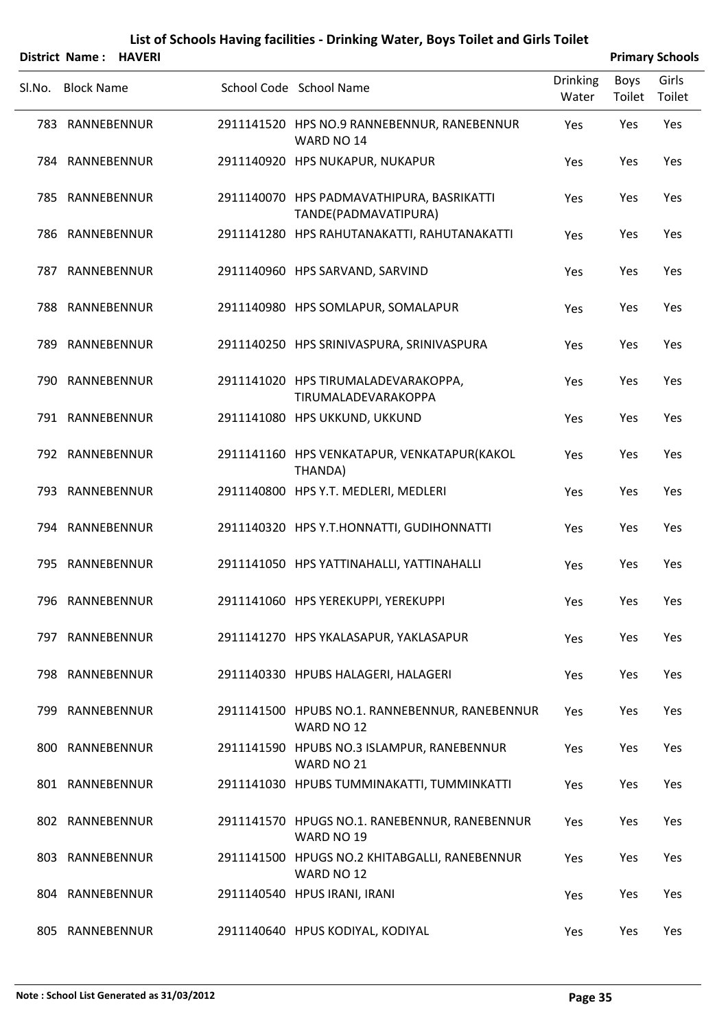Sl.No. Block Name School Code School Name Drinking

| District Name: HAVERI |  | <b>Primary Schools</b> |
|-----------------------|--|------------------------|
|                       |  |                        |

|     | 783 RANNEBENNUR | 2911141520 HPS NO.9 RANNEBENNUR, RANEBENNUR<br>WARD NO 14         | Yes | Yes | Yes |
|-----|-----------------|-------------------------------------------------------------------|-----|-----|-----|
|     | 784 RANNEBENNUR | 2911140920 HPS NUKAPUR, NUKAPUR                                   | Yes | Yes | Yes |
|     | 785 RANNEBENNUR | 2911140070 HPS PADMAVATHIPURA, BASRIKATTI<br>TANDE(PADMAVATIPURA) | Yes | Yes | Yes |
|     | 786 RANNEBENNUR | 2911141280 HPS RAHUTANAKATTI, RAHUTANAKATTI                       | Yes | Yes | Yes |
| 787 | RANNEBENNUR     | 2911140960 HPS SARVAND, SARVIND                                   | Yes | Yes | Yes |
|     | 788 RANNEBENNUR | 2911140980 HPS SOMLAPUR, SOMALAPUR                                | Yes | Yes | Yes |
| 789 | RANNEBENNUR     | 2911140250 HPS SRINIVASPURA, SRINIVASPURA                         | Yes | Yes | Yes |
|     | 790 RANNEBENNUR | 2911141020 HPS TIRUMALADEVARAKOPPA,<br>TIRUMALADEVARAKOPPA        | Yes | Yes | Yes |
|     | 791 RANNEBENNUR | 2911141080 HPS UKKUND, UKKUND                                     | Yes | Yes | Yes |
|     | 792 RANNEBENNUR | 2911141160 HPS VENKATAPUR, VENKATAPUR(KAKOL<br>THANDA)            | Yes | Yes | Yes |
|     | 793 RANNEBENNUR | 2911140800 HPS Y.T. MEDLERI, MEDLERI                              | Yes | Yes | Yes |
|     | 794 RANNEBENNUR | 2911140320 HPS Y.T.HONNATTI, GUDIHONNATTI                         | Yes | Yes | Yes |
| 795 | RANNEBENNUR     | 2911141050 HPS YATTINAHALLI, YATTINAHALLI                         | Yes | Yes | Yes |
|     | 796 RANNEBENNUR | 2911141060 HPS YEREKUPPI, YEREKUPPI                               | Yes | Yes | Yes |
| 797 | RANNEBENNUR     | 2911141270 HPS YKALASAPUR, YAKLASAPUR                             | Yes | Yes | Yes |
|     | 798 RANNEBENNUR | 2911140330 HPUBS HALAGERI, HALAGERI                               | Yes | Yes | Yes |
|     | 799 RANNEBENNUR | 2911141500 HPUBS NO.1. RANNEBENNUR, RANEBENNUR<br>WARD NO 12      | Yes | Yes | Yes |
|     | 800 RANNEBENNUR | 2911141590 HPUBS NO.3 ISLAMPUR, RANEBENNUR<br>WARD NO 21          | Yes | Yes | Yes |
|     | 801 RANNEBENNUR | 2911141030 HPUBS TUMMINAKATTI, TUMMINKATTI                        | Yes | Yes | Yes |
|     | 802 RANNEBENNUR | 2911141570 HPUGS NO.1. RANEBENNUR, RANEBENNUR<br>WARD NO 19       | Yes | Yes | Yes |
|     | 803 RANNEBENNUR | 2911141500 HPUGS NO.2 KHITABGALLI, RANEBENNUR<br>WARD NO 12       | Yes | Yes | Yes |
|     | 804 RANNEBENNUR | 2911140540 HPUS IRANI, IRANI                                      | Yes | Yes | Yes |
|     | 805 RANNEBENNUR | 2911140640 HPUS KODIYAL, KODIYAL                                  | Yes | Yes | Yes |

Water

Boys

Toilet Toilet

Girls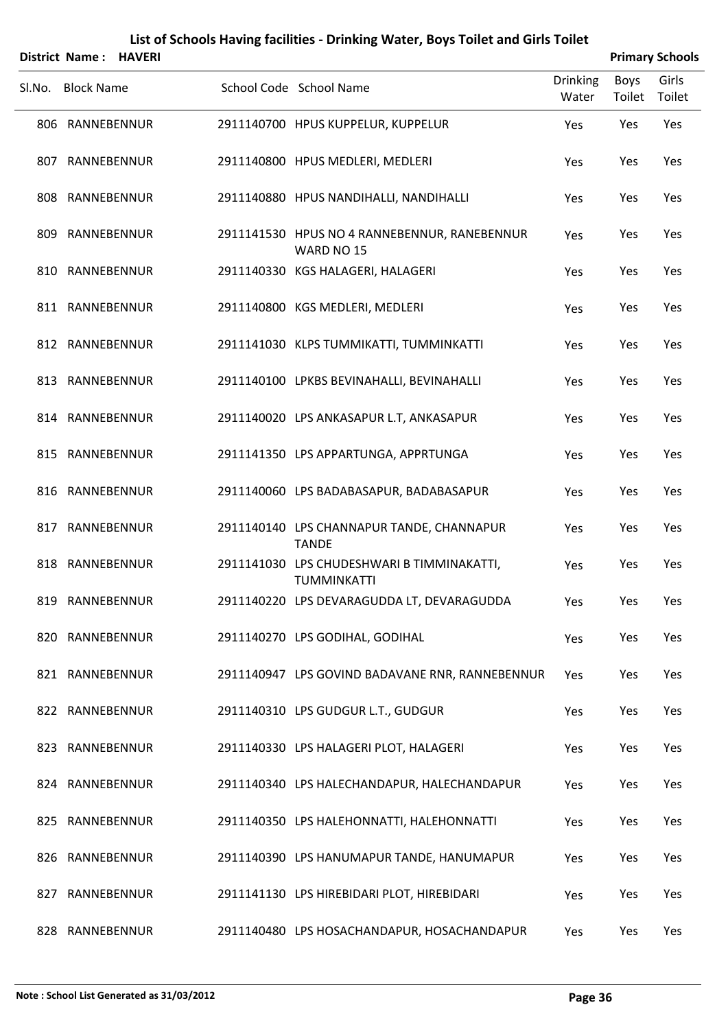| District Name: HAVERI |                                                                  |                          |                | <b>Primary Schools</b> |
|-----------------------|------------------------------------------------------------------|--------------------------|----------------|------------------------|
| Sl.No. Block Name     | School Code School Name                                          | <b>Drinking</b><br>Water | Boys<br>Toilet | Girls<br>Toilet        |
| 806 RANNEBENNUR       | 2911140700 HPUS KUPPELUR, KUPPELUR                               | Yes                      | Yes            | Yes                    |
| 807 RANNEBENNUR       | 2911140800 HPUS MEDLERI, MEDLERI                                 | Yes                      | Yes            | Yes                    |
| 808 RANNEBENNUR       | 2911140880 HPUS NANDIHALLI, NANDIHALLI                           | Yes                      | Yes            | Yes                    |
| 809 RANNEBENNUR       | 2911141530 HPUS NO 4 RANNEBENNUR, RANEBENNUR<br>WARD NO 15       | Yes                      | Yes            | Yes                    |
| 810 RANNEBENNUR       | 2911140330 KGS HALAGERI, HALAGERI                                | Yes                      | Yes            | Yes                    |
| 811 RANNEBENNUR       | 2911140800 KGS MEDLERI, MEDLERI                                  | Yes                      | Yes            | Yes                    |
| 812 RANNEBENNUR       | 2911141030 KLPS TUMMIKATTI, TUMMINKATTI                          | Yes                      | Yes            | Yes                    |
| 813 RANNEBENNUR       | 2911140100 LPKBS BEVINAHALLI, BEVINAHALLI                        | Yes                      | Yes            | Yes                    |
| 814 RANNEBENNUR       | 2911140020 LPS ANKASAPUR L.T, ANKASAPUR                          | Yes                      | Yes            | Yes                    |
| 815 RANNEBENNUR       | 2911141350 LPS APPARTUNGA, APPRTUNGA                             | Yes                      | Yes            | Yes                    |
| 816 RANNEBENNUR       | 2911140060 LPS BADABASAPUR, BADABASAPUR                          | Yes                      | Yes            | Yes                    |
| 817 RANNEBENNUR       | 2911140140 LPS CHANNAPUR TANDE, CHANNAPUR<br><b>TANDE</b>        | Yes                      | Yes            | Yes                    |
| 818 RANNEBENNUR       | 2911141030 LPS CHUDESHWARI B TIMMINAKATTI,<br><b>TUMMINKATTI</b> | Yes                      | Yes            | Yes                    |
| 819 RANNEBENNUR       | 2911140220 LPS DEVARAGUDDA LT, DEVARAGUDDA                       | Yes                      | Yes            | Yes                    |
| 820 RANNEBENNUR       | 2911140270 LPS GODIHAL, GODIHAL                                  | Yes                      | Yes            | Yes                    |
| 821 RANNEBENNUR       | 2911140947 LPS GOVIND BADAVANE RNR, RANNEBENNUR                  | Yes                      | Yes            | Yes                    |
| 822 RANNEBENNUR       | 2911140310 LPS GUDGUR L.T., GUDGUR                               | Yes                      | Yes            | Yes                    |
| 823 RANNEBENNUR       | 2911140330 LPS HALAGERI PLOT, HALAGERI                           | Yes                      | Yes            | Yes                    |
| 824 RANNEBENNUR       | 2911140340 LPS HALECHANDAPUR, HALECHANDAPUR                      | Yes                      | Yes            | Yes                    |
| 825 RANNEBENNUR       | 2911140350 LPS HALEHONNATTI, HALEHONNATTI                        | Yes                      | Yes            | Yes                    |
| 826 RANNEBENNUR       | 2911140390 LPS HANUMAPUR TANDE, HANUMAPUR                        | Yes                      | Yes            | Yes                    |
| 827 RANNEBENNUR       | 2911141130 LPS HIREBIDARI PLOT, HIREBIDARI                       | Yes                      | Yes            | Yes                    |
| 828 RANNEBENNUR       | 2911140480 LPS HOSACHANDAPUR, HOSACHANDAPUR                      | Yes                      | Yes            | Yes                    |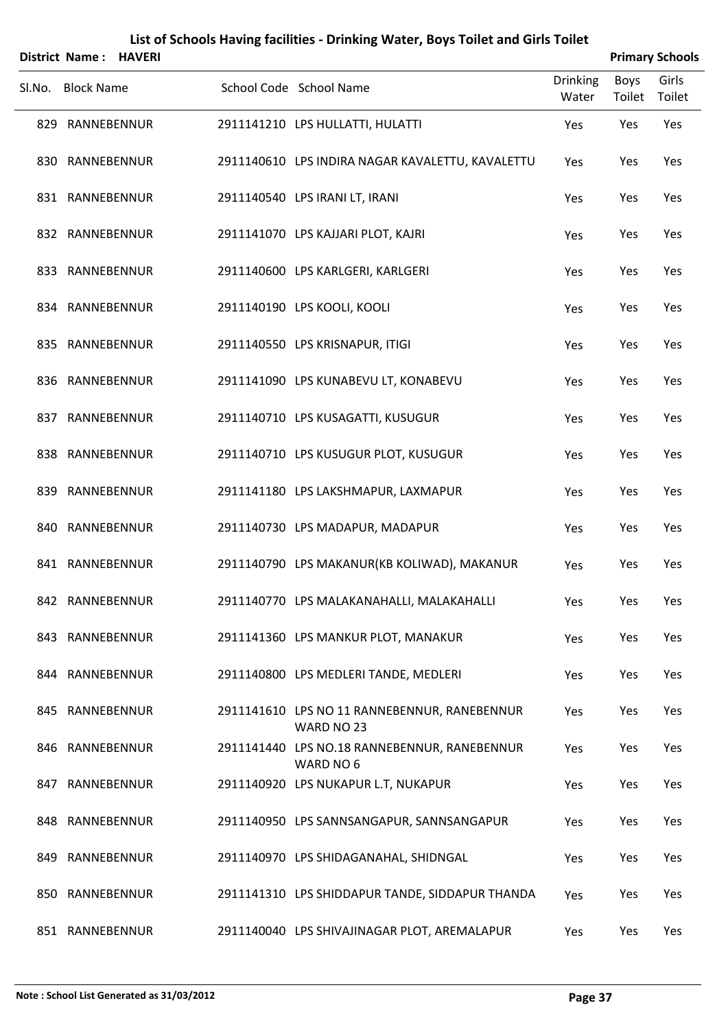|        | District Name: HAVERI |  |                                                            |                          |                       | <b>Primary Schools</b> |
|--------|-----------------------|--|------------------------------------------------------------|--------------------------|-----------------------|------------------------|
| SI.No. | <b>Block Name</b>     |  | School Code School Name                                    | <b>Drinking</b><br>Water | <b>Boys</b><br>Toilet | Girls<br>Toilet        |
|        | 829 RANNEBENNUR       |  | 2911141210 LPS HULLATTI, HULATTI                           | Yes                      | Yes                   | Yes                    |
|        | 830 RANNEBENNUR       |  | 2911140610 LPS INDIRA NAGAR KAVALETTU, KAVALETTU           | Yes                      | Yes                   | Yes                    |
|        | 831 RANNEBENNUR       |  | 2911140540 LPS IRANI LT, IRANI                             | Yes                      | Yes                   | Yes                    |
|        | 832 RANNEBENNUR       |  | 2911141070 LPS KAJJARI PLOT, KAJRI                         | Yes                      | Yes                   | Yes                    |
|        | 833 RANNEBENNUR       |  | 2911140600 LPS KARLGERI, KARLGERI                          | Yes                      | Yes                   | Yes                    |
|        | 834 RANNEBENNUR       |  | 2911140190 LPS KOOLI, KOOLI                                | Yes                      | Yes                   | Yes                    |
|        | 835 RANNEBENNUR       |  | 2911140550 LPS KRISNAPUR, ITIGI                            | Yes                      | Yes                   | Yes                    |
|        | 836 RANNEBENNUR       |  | 2911141090 LPS KUNABEVU LT, KONABEVU                       | Yes                      | Yes                   | Yes                    |
|        | 837 RANNEBENNUR       |  | 2911140710 LPS KUSAGATTI, KUSUGUR                          | Yes                      | Yes                   | Yes                    |
|        | 838 RANNEBENNUR       |  | 2911140710 LPS KUSUGUR PLOT, KUSUGUR                       | Yes                      | Yes                   | Yes                    |
|        | 839 RANNEBENNUR       |  | 2911141180 LPS LAKSHMAPUR, LAXMAPUR                        | Yes                      | Yes                   | Yes                    |
|        | 840 RANNEBENNUR       |  | 2911140730 LPS MADAPUR, MADAPUR                            | Yes                      | Yes                   | Yes                    |
|        | 841 RANNEBENNUR       |  | 2911140790 LPS MAKANUR(KB KOLIWAD), MAKANUR                | Yes                      | Yes                   | Yes                    |
|        | 842 RANNEBENNUR       |  | 2911140770 LPS MALAKANAHALLI, MALAKAHALLI                  | Yes                      | Yes                   | Yes                    |
|        | 843 RANNEBENNUR       |  | 2911141360 LPS MANKUR PLOT, MANAKUR                        | Yes                      | Yes                   | Yes                    |
|        | 844 RANNEBENNUR       |  | 2911140800 LPS MEDLERI TANDE, MEDLERI                      | Yes                      | Yes                   | Yes                    |
|        | 845 RANNEBENNUR       |  | 2911141610 LPS NO 11 RANNEBENNUR, RANEBENNUR<br>WARD NO 23 | Yes                      | Yes                   | Yes                    |
|        | 846 RANNEBENNUR       |  | 2911141440 LPS NO.18 RANNEBENNUR, RANEBENNUR<br>WARD NO 6  | Yes                      | Yes                   | Yes                    |
|        | 847 RANNEBENNUR       |  | 2911140920 LPS NUKAPUR L.T, NUKAPUR                        | Yes                      | Yes                   | Yes                    |
|        | 848 RANNEBENNUR       |  | 2911140950 LPS SANNSANGAPUR, SANNSANGAPUR                  | Yes                      | Yes                   | Yes                    |
|        | 849 RANNEBENNUR       |  | 2911140970 LPS SHIDAGANAHAL, SHIDNGAL                      | Yes                      | Yes                   | Yes                    |
|        | 850 RANNEBENNUR       |  | 2911141310 LPS SHIDDAPUR TANDE, SIDDAPUR THANDA            | Yes                      | Yes                   | Yes                    |
|        | 851 RANNEBENNUR       |  | 2911140040 LPS SHIVAJINAGAR PLOT, AREMALAPUR               | Yes                      | Yes                   | Yes                    |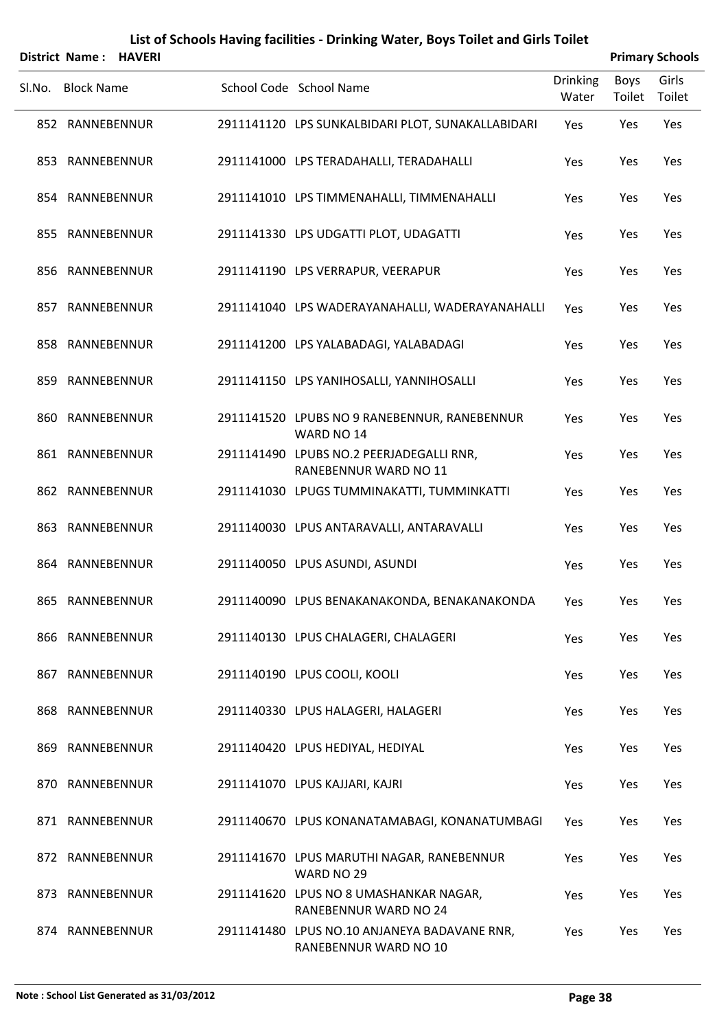|        | District Name: HAVERI |  |                                                                       |                          |                | <b>Primary Schools</b> |
|--------|-----------------------|--|-----------------------------------------------------------------------|--------------------------|----------------|------------------------|
| SI.No. | <b>Block Name</b>     |  | School Code School Name                                               | <b>Drinking</b><br>Water | Boys<br>Toilet | Girls<br>Toilet        |
|        | 852 RANNEBENNUR       |  | 2911141120 LPS SUNKALBIDARI PLOT, SUNAKALLABIDARI                     | Yes                      | Yes            | Yes                    |
|        | 853 RANNEBENNUR       |  | 2911141000 LPS TERADAHALLI, TERADAHALLI                               | Yes                      | Yes            | Yes                    |
|        | 854 RANNEBENNUR       |  | 2911141010 LPS TIMMENAHALLI, TIMMENAHALLI                             | Yes                      | Yes            | Yes                    |
|        | 855 RANNEBENNUR       |  | 2911141330 LPS UDGATTI PLOT, UDAGATTI                                 | Yes                      | Yes            | Yes                    |
|        | 856 RANNEBENNUR       |  | 2911141190 LPS VERRAPUR, VEERAPUR                                     | Yes                      | Yes            | Yes                    |
|        | 857 RANNEBENNUR       |  | 2911141040 LPS WADERAYANAHALLI, WADERAYANAHALLI                       | Yes                      | Yes            | Yes                    |
|        | 858 RANNEBENNUR       |  | 2911141200 LPS YALABADAGI, YALABADAGI                                 | Yes                      | Yes            | Yes                    |
|        | 859 RANNEBENNUR       |  | 2911141150 LPS YANIHOSALLI, YANNIHOSALLI                              | Yes                      | Yes            | Yes                    |
|        | 860 RANNEBENNUR       |  | 2911141520 LPUBS NO 9 RANEBENNUR, RANEBENNUR<br>WARD NO 14            | Yes                      | Yes            | Yes                    |
|        | 861 RANNEBENNUR       |  | 2911141490 LPUBS NO.2 PEERJADEGALLI RNR,<br>RANEBENNUR WARD NO 11     | Yes                      | Yes            | Yes                    |
|        | 862 RANNEBENNUR       |  | 2911141030 LPUGS TUMMINAKATTI, TUMMINKATTI                            | Yes                      | Yes            | Yes                    |
| 863    | RANNEBENNUR           |  | 2911140030 LPUS ANTARAVALLI, ANTARAVALLI                              | Yes                      | Yes            | Yes                    |
|        | 864 RANNEBENNUR       |  | 2911140050 LPUS ASUNDI, ASUNDI                                        | Yes                      | Yes            | Yes                    |
|        | 865 RANNEBENNUR       |  | 2911140090 LPUS BENAKANAKONDA, BENAKANAKONDA                          | Yes                      | Yes            | Yes                    |
|        | 866 RANNEBENNUR       |  | 2911140130 LPUS CHALAGERI, CHALAGERI                                  | Yes                      | Yes            | Yes                    |
|        | 867 RANNEBENNUR       |  | 2911140190 LPUS COOLI, KOOLI                                          | Yes                      | Yes            | Yes                    |
|        | 868 RANNEBENNUR       |  | 2911140330 LPUS HALAGERI, HALAGERI                                    | Yes                      | Yes            | Yes                    |
|        | 869 RANNEBENNUR       |  | 2911140420 LPUS HEDIYAL, HEDIYAL                                      | Yes                      | Yes            | Yes                    |
|        | 870 RANNEBENNUR       |  | 2911141070 LPUS KAJJARI, KAJRI                                        | Yes                      | Yes            | Yes                    |
|        | 871 RANNEBENNUR       |  | 2911140670 LPUS KONANATAMABAGI, KONANATUMBAGI                         | Yes                      | Yes            | Yes                    |
|        | 872 RANNEBENNUR       |  | 2911141670 LPUS MARUTHI NAGAR, RANEBENNUR<br>WARD NO 29               | Yes                      | Yes            | Yes                    |
|        | 873 RANNEBENNUR       |  | 2911141620 LPUS NO 8 UMASHANKAR NAGAR,<br>RANEBENNUR WARD NO 24       | Yes                      | Yes            | Yes                    |
|        | 874 RANNEBENNUR       |  | 2911141480 LPUS NO.10 ANJANEYA BADAVANE RNR,<br>RANEBENNUR WARD NO 10 | Yes                      | Yes            | Yes                    |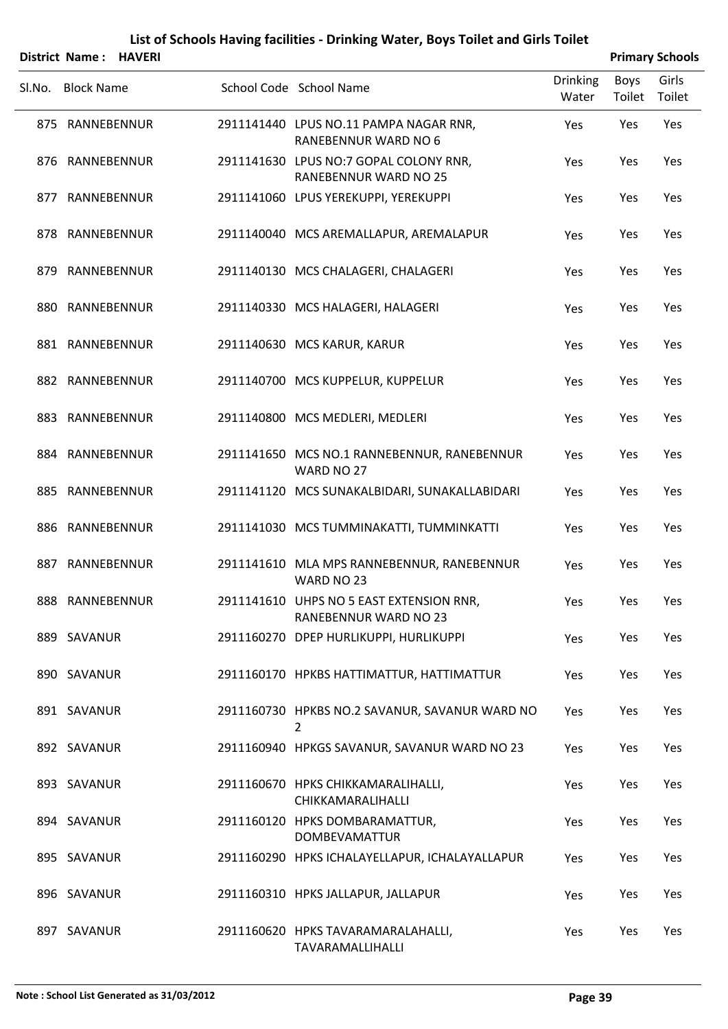### **List of Schools Having facilities ‐ Drinking Water, Boys Toilet and Girls Toilet District Name : HAVERI Primary Schools**

| District Name: |  |  | <b>HAVEF</b> |
|----------------|--|--|--------------|
|----------------|--|--|--------------|

| Sl.No. Block Name | School Code School Name                                                | Drinking<br>Water | <b>Boys</b><br>Toilet | Girls<br>Toilet |
|-------------------|------------------------------------------------------------------------|-------------------|-----------------------|-----------------|
| 875 RANNEBENNUR   | 2911141440 LPUS NO.11 PAMPA NAGAR RNR,<br>RANEBENNUR WARD NO 6         | Yes               | Yes                   | Yes             |
| 876 RANNEBENNUR   | 2911141630 LPUS NO:7 GOPAL COLONY RNR,<br><b>RANEBENNUR WARD NO 25</b> | Yes               | Yes                   | Yes             |
| 877 RANNEBENNUR   | 2911141060 LPUS YEREKUPPI, YEREKUPPI                                   | Yes               | Yes                   | Yes             |
| 878 RANNEBENNUR   | 2911140040 MCS AREMALLAPUR, AREMALAPUR                                 | Yes               | Yes                   | Yes             |
| 879 RANNEBENNUR   | 2911140130 MCS CHALAGERI, CHALAGERI                                    | Yes               | Yes                   | Yes             |
| 880 RANNEBENNUR   | 2911140330 MCS HALAGERI, HALAGERI                                      | Yes               | Yes                   | Yes             |
| 881 RANNEBENNUR   | 2911140630 MCS KARUR, KARUR                                            | Yes               | Yes                   | Yes             |
| 882 RANNEBENNUR   | 2911140700 MCS KUPPELUR, KUPPELUR                                      | Yes               | Yes                   | Yes             |
| 883 RANNEBENNUR   | 2911140800 MCS MEDLERI, MEDLERI                                        | Yes               | Yes                   | Yes             |
| 884 RANNEBENNUR   | 2911141650 MCS NO.1 RANNEBENNUR, RANEBENNUR<br>WARD NO 27              | Yes               | Yes                   | Yes             |
| 885 RANNEBENNUR   | 2911141120 MCS SUNAKALBIDARI, SUNAKALLABIDARI                          | Yes               | Yes                   | Yes             |
| 886 RANNEBENNUR   | 2911141030 MCS TUMMINAKATTI, TUMMINKATTI                               | Yes               | Yes                   | Yes             |
| 887 RANNEBENNUR   | 2911141610 MLA MPS RANNEBENNUR, RANEBENNUR<br>WARD NO 23               | Yes               | Yes                   | Yes             |
| 888 RANNEBENNUR   | 2911141610 UHPS NO 5 EAST EXTENSION RNR,<br>RANEBENNUR WARD NO 23      | Yes               | Yes                   | Yes             |
| 889 SAVANUR       | 2911160270 DPEP HURLIKUPPI, HURLIKUPPI                                 | Yes               | Yes                   | Yes             |
| 890 SAVANUR       | 2911160170 HPKBS HATTIMATTUR, HATTIMATTUR                              | Yes               | Yes                   | Yes             |
| 891 SAVANUR       | 2911160730 HPKBS NO.2 SAVANUR, SAVANUR WARD NO<br>2                    | Yes               | Yes                   | Yes             |
| 892 SAVANUR       | 2911160940 HPKGS SAVANUR, SAVANUR WARD NO 23                           | Yes               | Yes                   | Yes             |
| 893 SAVANUR       | 2911160670 HPKS CHIKKAMARALIHALLI,<br>CHIKKAMARALIHALLI                | Yes               | Yes                   | Yes             |
| 894 SAVANUR       | 2911160120 HPKS DOMBARAMATTUR,<br><b>DOMBEVAMATTUR</b>                 | Yes               | Yes                   | Yes             |
| 895 SAVANUR       | 2911160290 HPKS ICHALAYELLAPUR, ICHALAYALLAPUR                         | Yes               | Yes                   | Yes             |
| 896 SAVANUR       | 2911160310 HPKS JALLAPUR, JALLAPUR                                     | Yes               | Yes                   | Yes             |
| 897 SAVANUR       | 2911160620 HPKS TAVARAMARALAHALLI,<br>TAVARAMALLIHALLI                 | Yes               | Yes                   | Yes             |
|                   |                                                                        |                   |                       |                 |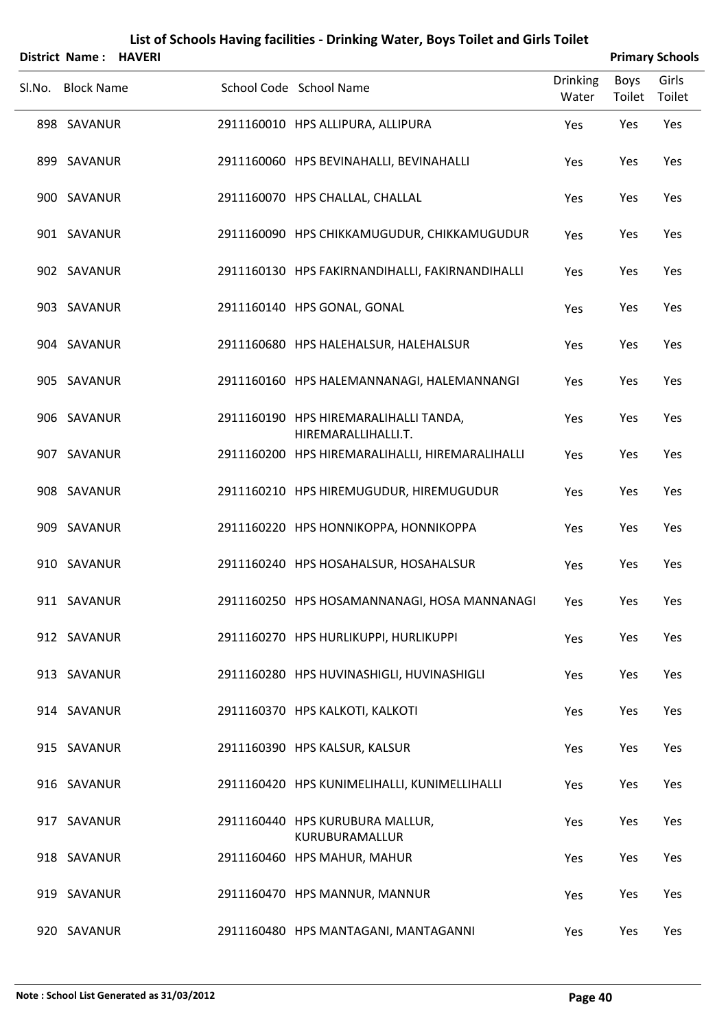| District Name: HAVERI |  |                                                              |                          | <b>Primary Schools</b> |                 |
|-----------------------|--|--------------------------------------------------------------|--------------------------|------------------------|-----------------|
| Sl.No. Block Name     |  | School Code School Name                                      | <b>Drinking</b><br>Water | Boys<br>Toilet         | Girls<br>Toilet |
| 898 SAVANUR           |  | 2911160010 HPS ALLIPURA, ALLIPURA                            | Yes                      | Yes                    | Yes             |
| 899 SAVANUR           |  | 2911160060 HPS BEVINAHALLI, BEVINAHALLI                      | Yes                      | Yes                    | Yes             |
| 900 SAVANUR           |  | 2911160070 HPS CHALLAL, CHALLAL                              | Yes                      | Yes                    | Yes             |
| 901 SAVANUR           |  | 2911160090 HPS CHIKKAMUGUDUR, CHIKKAMUGUDUR                  | Yes                      | Yes                    | Yes             |
| 902 SAVANUR           |  | 2911160130 HPS FAKIRNANDIHALLI, FAKIRNANDIHALLI              | Yes                      | Yes                    | Yes             |
| 903 SAVANUR           |  | 2911160140 HPS GONAL, GONAL                                  | Yes                      | Yes                    | Yes             |
| 904 SAVANUR           |  | 2911160680 HPS HALEHALSUR, HALEHALSUR                        | Yes                      | Yes                    | Yes             |
| 905 SAVANUR           |  | 2911160160 HPS HALEMANNANAGI, HALEMANNANGI                   | Yes                      | Yes                    | Yes             |
| 906 SAVANUR           |  | 2911160190 HPS HIREMARALIHALLI TANDA,<br>HIREMARALLIHALLI.T. | Yes                      | Yes                    | Yes             |
| 907 SAVANUR           |  | 2911160200 HPS HIREMARALIHALLI, HIREMARALIHALLI              | Yes                      | Yes                    | Yes             |
| 908 SAVANUR           |  | 2911160210 HPS HIREMUGUDUR, HIREMUGUDUR                      | Yes                      | Yes                    | Yes             |
| 909 SAVANUR           |  | 2911160220 HPS HONNIKOPPA, HONNIKOPPA                        | Yes                      | Yes                    | Yes             |
| 910 SAVANUR           |  | 2911160240 HPS HOSAHALSUR, HOSAHALSUR                        | Yes                      | Yes                    | Yes             |
| 911 SAVANUR           |  | 2911160250 HPS HOSAMANNANAGI, HOSA MANNANAGI                 | Yes                      | Yes                    | Yes             |
| 912 SAVANUR           |  | 2911160270 HPS HURLIKUPPI, HURLIKUPPI                        | Yes                      | Yes                    | Yes             |
| 913 SAVANUR           |  | 2911160280 HPS HUVINASHIGLI, HUVINASHIGLI                    | Yes                      | Yes                    | Yes             |
| 914 SAVANUR           |  | 2911160370 HPS KALKOTI, KALKOTI                              | Yes                      | Yes                    | Yes             |
| 915 SAVANUR           |  | 2911160390 HPS KALSUR, KALSUR                                | Yes                      | Yes                    | Yes             |
| 916 SAVANUR           |  | 2911160420 HPS KUNIMELIHALLI, KUNIMELLIHALLI                 | Yes                      | Yes                    | Yes             |
| 917 SAVANUR           |  | 2911160440 HPS KURUBURA MALLUR,<br>KURUBURAMALLUR            | Yes                      | Yes                    | Yes             |
| 918 SAVANUR           |  | 2911160460 HPS MAHUR, MAHUR                                  | Yes                      | Yes                    | Yes             |
| 919 SAVANUR           |  | 2911160470 HPS MANNUR, MANNUR                                | Yes                      | Yes                    | Yes             |
| 920 SAVANUR           |  | 2911160480 HPS MANTAGANI, MANTAGANNI                         | Yes                      | Yes                    | Yes             |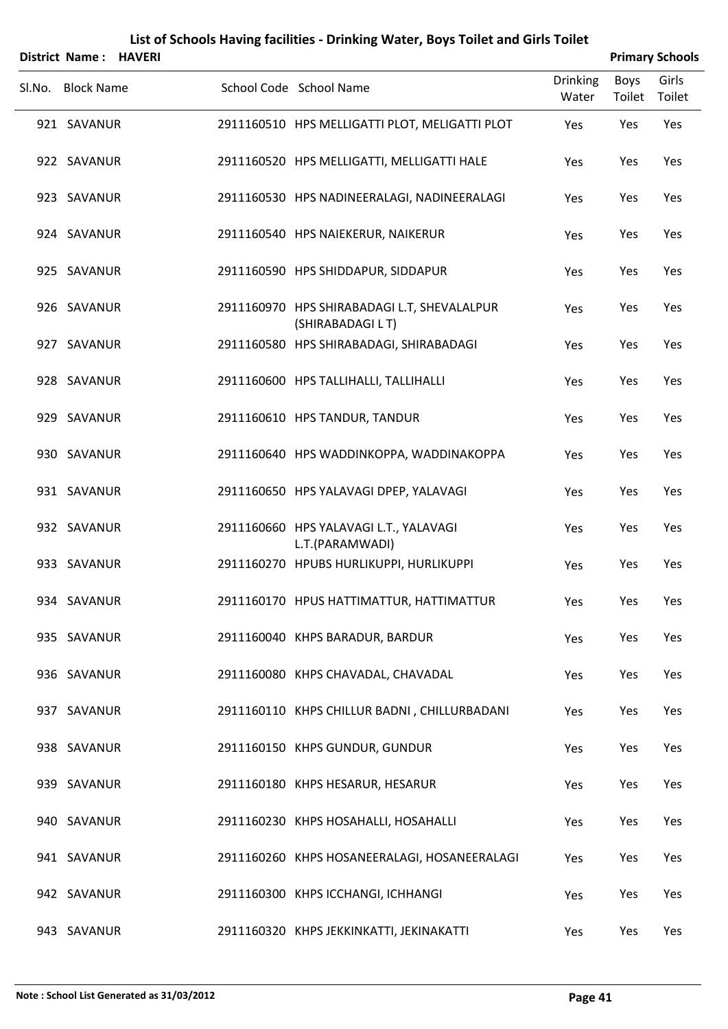|        | District Name:    | <b>HAVERI</b> |                                                                  |                          |                | <b>Primary Schools</b> |
|--------|-------------------|---------------|------------------------------------------------------------------|--------------------------|----------------|------------------------|
| Sl.No. | <b>Block Name</b> |               | School Code School Name                                          | <b>Drinking</b><br>Water | Boys<br>Toilet | Girls<br>Toilet        |
|        | 921 SAVANUR       |               | 2911160510 HPS MELLIGATTI PLOT, MELIGATTI PLOT                   | Yes                      | Yes            | Yes                    |
|        | 922 SAVANUR       |               | 2911160520 HPS MELLIGATTI, MELLIGATTI HALE                       | Yes                      | Yes            | Yes                    |
|        | 923 SAVANUR       |               | 2911160530 HPS NADINEERALAGI, NADINEERALAGI                      | Yes                      | Yes            | Yes                    |
|        | 924 SAVANUR       |               | 2911160540 HPS NAIEKERUR, NAIKERUR                               | Yes                      | Yes            | Yes                    |
|        | 925 SAVANUR       |               | 2911160590 HPS SHIDDAPUR, SIDDAPUR                               | Yes                      | Yes            | Yes                    |
|        | 926 SAVANUR       |               | 2911160970 HPS SHIRABADAGI L.T, SHEVALALPUR<br>(SHIRABADAGI L T) | Yes                      | Yes            | Yes                    |
|        | 927 SAVANUR       |               | 2911160580 HPS SHIRABADAGI, SHIRABADAGI                          | Yes                      | Yes            | Yes                    |
|        | 928 SAVANUR       |               | 2911160600 HPS TALLIHALLI, TALLIHALLI                            | Yes                      | Yes            | Yes                    |
|        | 929 SAVANUR       |               | 2911160610 HPS TANDUR, TANDUR                                    | Yes                      | Yes            | Yes                    |
|        | 930 SAVANUR       |               | 2911160640 HPS WADDINKOPPA, WADDINAKOPPA                         | Yes                      | Yes            | Yes                    |
|        | 931 SAVANUR       |               | 2911160650 HPS YALAVAGI DPEP, YALAVAGI                           | Yes                      | Yes            | Yes                    |
|        | 932 SAVANUR       |               | 2911160660 HPS YALAVAGI L.T., YALAVAGI<br>L.T.(PARAMWADI)        | Yes                      | Yes            | Yes                    |
|        | 933 SAVANUR       |               | 2911160270 HPUBS HURLIKUPPI, HURLIKUPPI                          | Yes                      | Yes            | Yes                    |
|        | 934 SAVANUR       |               | 2911160170 HPUS HATTIMATTUR, HATTIMATTUR                         | Yes                      | Yes            | Yes                    |
|        | 935 SAVANUR       |               | 2911160040 KHPS BARADUR, BARDUR                                  | Yes                      | Yes            | Yes                    |
|        | 936 SAVANUR       |               | 2911160080 KHPS CHAVADAL, CHAVADAL                               | Yes                      | Yes            | Yes                    |
|        | 937 SAVANUR       |               | 2911160110 KHPS CHILLUR BADNI, CHILLURBADANI                     | Yes                      | Yes            | Yes                    |
|        | 938 SAVANUR       |               | 2911160150 KHPS GUNDUR, GUNDUR                                   | Yes                      | Yes            | Yes                    |
|        | 939 SAVANUR       |               | 2911160180 KHPS HESARUR, HESARUR                                 | Yes                      | Yes            | Yes                    |
|        | 940 SAVANUR       |               | 2911160230 KHPS HOSAHALLI, HOSAHALLI                             | Yes                      | Yes            | Yes                    |
|        | 941 SAVANUR       |               | 2911160260 KHPS HOSANEERALAGI, HOSANEERALAGI                     | Yes                      | Yes            | Yes                    |
|        | 942 SAVANUR       |               | 2911160300 KHPS ICCHANGI, ICHHANGI                               | Yes                      | Yes            | Yes                    |
|        | 943 SAVANUR       |               | 2911160320 KHPS JEKKINKATTI, JEKINAKATTI                         | Yes                      | Yes            | Yes                    |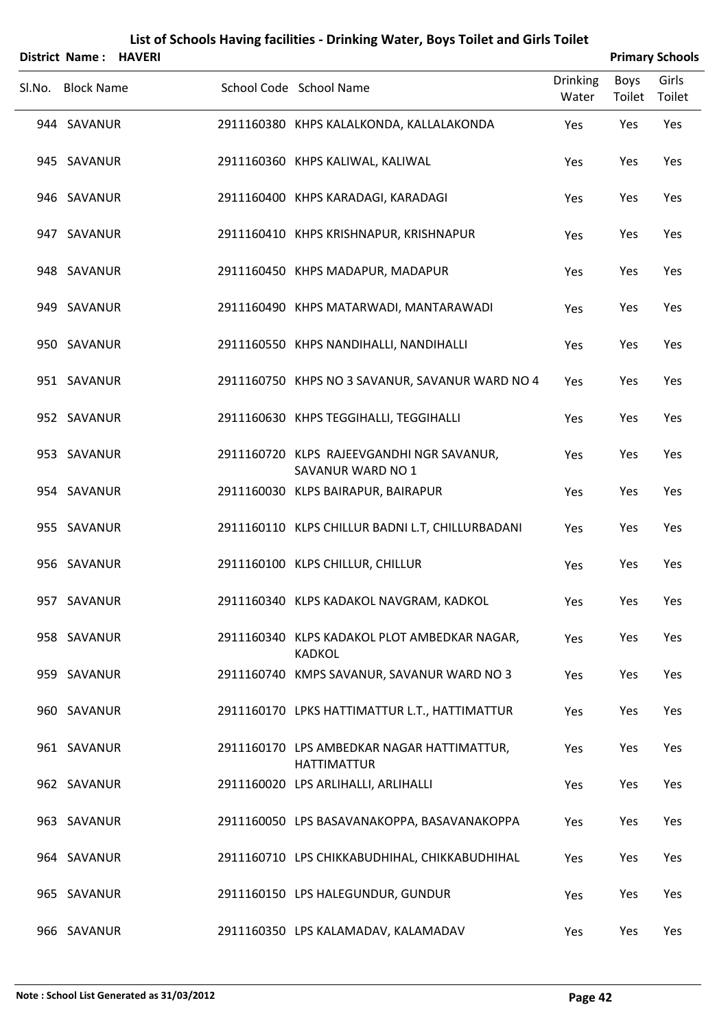| District Name: HAVERI |  |                                                                  |                          |                | <b>Primary Schools</b> |
|-----------------------|--|------------------------------------------------------------------|--------------------------|----------------|------------------------|
| Sl.No. Block Name     |  | School Code School Name                                          | <b>Drinking</b><br>Water | Boys<br>Toilet | Girls<br>Toilet        |
| 944 SAVANUR           |  | 2911160380 KHPS KALALKONDA, KALLALAKONDA                         | Yes                      | Yes            | Yes                    |
| 945 SAVANUR           |  | 2911160360 KHPS KALIWAL, KALIWAL                                 | Yes                      | Yes            | Yes                    |
| 946 SAVANUR           |  | 2911160400 KHPS KARADAGI, KARADAGI                               | Yes                      | Yes            | Yes                    |
| 947 SAVANUR           |  | 2911160410 KHPS KRISHNAPUR, KRISHNAPUR                           | Yes                      | Yes            | Yes                    |
| 948 SAVANUR           |  | 2911160450 KHPS MADAPUR, MADAPUR                                 | Yes                      | Yes            | Yes                    |
| 949 SAVANUR           |  | 2911160490 KHPS MATARWADI, MANTARAWADI                           | Yes                      | Yes            | Yes                    |
| 950 SAVANUR           |  | 2911160550 KHPS NANDIHALLI, NANDIHALLI                           | Yes                      | Yes            | Yes                    |
| 951 SAVANUR           |  | 2911160750 KHPS NO 3 SAVANUR, SAVANUR WARD NO 4                  | Yes                      | Yes            | Yes                    |
| 952 SAVANUR           |  | 2911160630 KHPS TEGGIHALLI, TEGGIHALLI                           | Yes                      | Yes            | Yes                    |
| 953 SAVANUR           |  | 2911160720 KLPS RAJEEVGANDHI NGR SAVANUR,<br>SAVANUR WARD NO 1   | Yes                      | Yes            | Yes                    |
| 954 SAVANUR           |  | 2911160030 KLPS BAIRAPUR, BAIRAPUR                               | Yes                      | Yes            | Yes                    |
| 955 SAVANUR           |  | 2911160110 KLPS CHILLUR BADNI L.T, CHILLURBADANI                 | Yes                      | Yes            | Yes                    |
| 956 SAVANUR           |  | 2911160100 KLPS CHILLUR, CHILLUR                                 | Yes                      | Yes            | Yes                    |
| 957 SAVANUR           |  | 2911160340 KLPS KADAKOL NAVGRAM, KADKOL                          | Yes                      | Yes            | Yes                    |
| 958 SAVANUR           |  | 2911160340 KLPS KADAKOL PLOT AMBEDKAR NAGAR,<br><b>KADKOL</b>    | Yes                      | Yes            | Yes                    |
| 959 SAVANUR           |  | 2911160740 KMPS SAVANUR, SAVANUR WARD NO 3                       | Yes                      | Yes            | Yes                    |
| 960 SAVANUR           |  | 2911160170 LPKS HATTIMATTUR L.T., HATTIMATTUR                    | Yes                      | Yes            | Yes                    |
| 961 SAVANUR           |  | 2911160170 LPS AMBEDKAR NAGAR HATTIMATTUR,<br><b>HATTIMATTUR</b> | Yes                      | Yes            | Yes                    |
| 962 SAVANUR           |  | 2911160020 LPS ARLIHALLI, ARLIHALLI                              | Yes                      | Yes            | Yes                    |
| 963 SAVANUR           |  | 2911160050 LPS BASAVANAKOPPA, BASAVANAKOPPA                      | Yes                      | Yes            | Yes                    |
| 964 SAVANUR           |  | 2911160710 LPS CHIKKABUDHIHAL, CHIKKABUDHIHAL                    | Yes                      | Yes            | Yes                    |
| 965 SAVANUR           |  | 2911160150 LPS HALEGUNDUR, GUNDUR                                | Yes                      | Yes            | Yes                    |
| 966 SAVANUR           |  | 2911160350 LPS KALAMADAV, KALAMADAV                              | Yes                      | Yes            | Yes                    |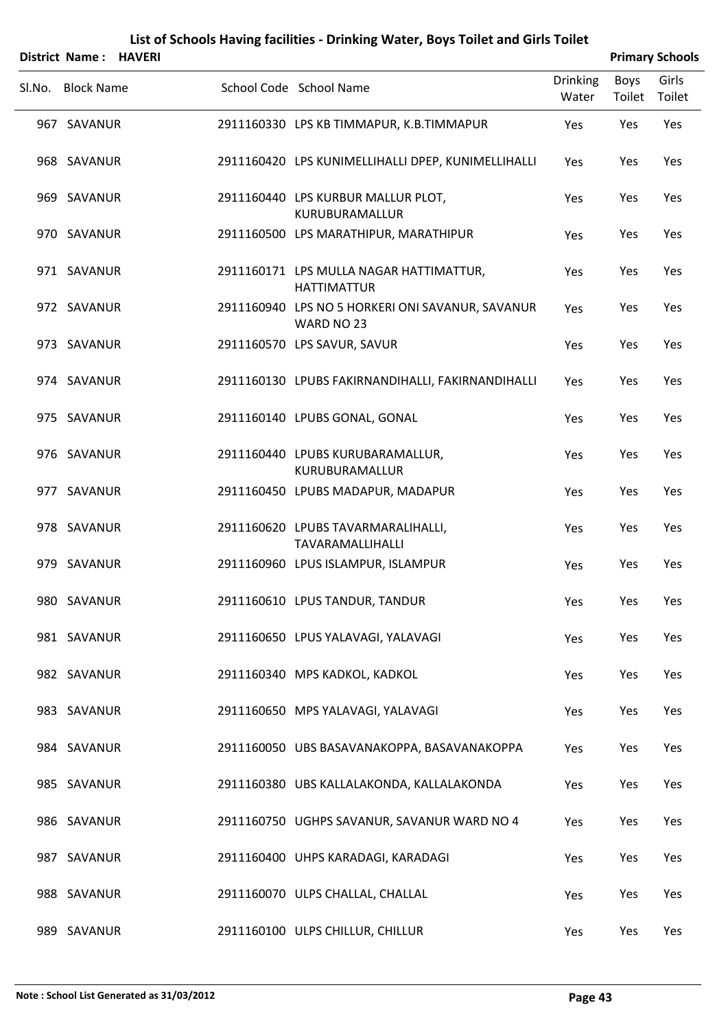|        | District Name:    | <b>HAVERI</b> |                                                                |                          |                | <b>Primary Schools</b> |
|--------|-------------------|---------------|----------------------------------------------------------------|--------------------------|----------------|------------------------|
| Sl.No. | <b>Block Name</b> |               | School Code School Name                                        | <b>Drinking</b><br>Water | Boys<br>Toilet | Girls<br>Toilet        |
|        | 967 SAVANUR       |               | 2911160330 LPS KB TIMMAPUR, K.B.TIMMAPUR                       | Yes                      | Yes            | Yes                    |
|        | 968 SAVANUR       |               | 2911160420 LPS KUNIMELLIHALLI DPEP, KUNIMELLIHALLI             | Yes                      | Yes            | Yes                    |
|        | 969 SAVANUR       |               | 2911160440 LPS KURBUR MALLUR PLOT,<br>KURUBURAMALLUR           | Yes                      | Yes            | Yes                    |
|        | 970 SAVANUR       |               | 2911160500 LPS MARATHIPUR, MARATHIPUR                          | Yes                      | Yes            | Yes                    |
|        | 971 SAVANUR       |               | 2911160171 LPS MULLA NAGAR HATTIMATTUR,<br><b>HATTIMATTUR</b>  | Yes                      | Yes            | Yes                    |
|        | 972 SAVANUR       |               | 2911160940 LPS NO 5 HORKERI ONI SAVANUR, SAVANUR<br>WARD NO 23 | Yes                      | Yes            | Yes                    |
|        | 973 SAVANUR       |               | 2911160570 LPS SAVUR, SAVUR                                    | Yes                      | Yes            | Yes                    |
|        | 974 SAVANUR       |               | 2911160130 LPUBS FAKIRNANDIHALLI, FAKIRNANDIHALLI              | Yes                      | Yes            | Yes                    |
|        | 975 SAVANUR       |               | 2911160140 LPUBS GONAL, GONAL                                  | Yes                      | Yes            | Yes                    |
|        | 976 SAVANUR       |               | 2911160440 LPUBS KURUBARAMALLUR,<br>KURUBURAMALLUR             | Yes                      | Yes            | Yes                    |
|        | 977 SAVANUR       |               | 2911160450 LPUBS MADAPUR, MADAPUR                              | Yes                      | Yes            | Yes                    |
|        | 978 SAVANUR       |               | 2911160620 LPUBS TAVARMARALIHALLI,<br>TAVARAMALLIHALLI         | Yes                      | Yes            | Yes                    |
|        | 979 SAVANUR       |               | 2911160960 LPUS ISLAMPUR, ISLAMPUR                             | Yes                      | Yes            | Yes                    |
|        | 980 SAVANUR       |               | 2911160610 LPUS TANDUR, TANDUR                                 | Yes                      | Yes            | Yes                    |
|        | 981 SAVANUR       |               | 2911160650 LPUS YALAVAGI, YALAVAGI                             | Yes                      | Yes            | Yes                    |
|        | 982 SAVANUR       |               | 2911160340 MPS KADKOL, KADKOL                                  | Yes                      | Yes            | Yes                    |
|        | 983 SAVANUR       |               | 2911160650 MPS YALAVAGI, YALAVAGI                              | Yes                      | Yes            | Yes                    |
|        | 984 SAVANUR       |               | 2911160050 UBS BASAVANAKOPPA, BASAVANAKOPPA                    | Yes                      | Yes            | Yes                    |
|        | 985 SAVANUR       |               | 2911160380 UBS KALLALAKONDA, KALLALAKONDA                      | Yes                      | Yes            | Yes                    |
|        | 986 SAVANUR       |               | 2911160750 UGHPS SAVANUR, SAVANUR WARD NO 4                    | Yes                      | Yes            | Yes                    |
|        | 987 SAVANUR       |               | 2911160400 UHPS KARADAGI, KARADAGI                             | Yes                      | Yes            | Yes                    |
|        | 988 SAVANUR       |               | 2911160070 ULPS CHALLAL, CHALLAL                               | Yes                      | Yes            | Yes                    |
|        |                   |               |                                                                |                          |                |                        |

989 SAVANUR 2911160100 ULPS CHILLUR, CHILLUR Yes Yes Yes Yes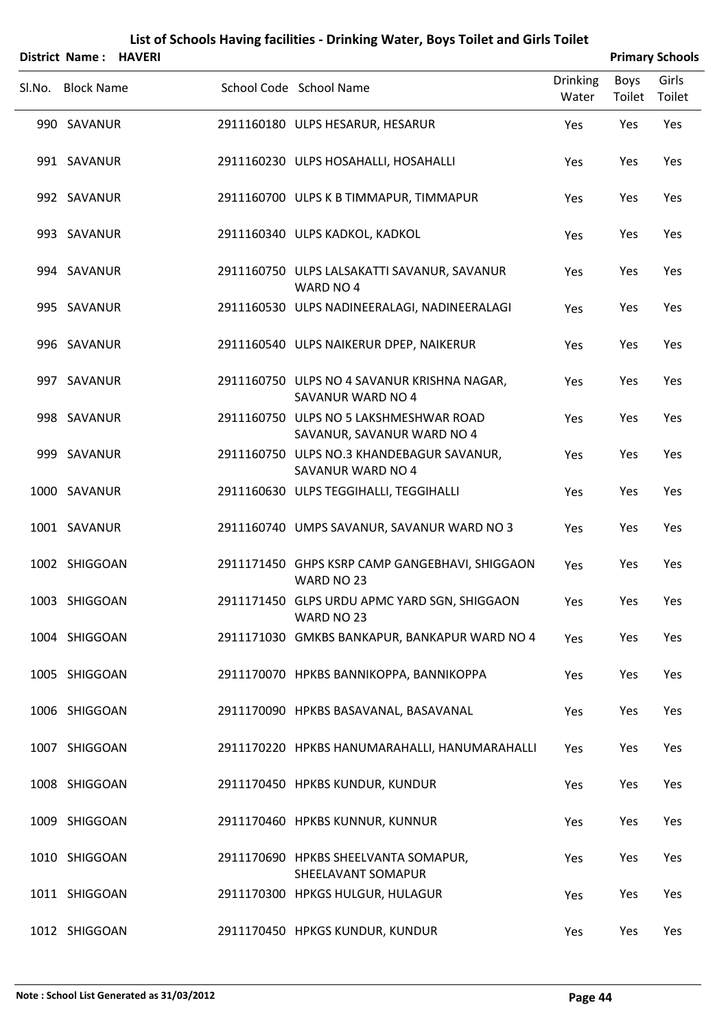|        | <b>District Name:</b> | <b>HAVERI</b> |                                                                      |                          | <b>Primary Schools</b> |                 |
|--------|-----------------------|---------------|----------------------------------------------------------------------|--------------------------|------------------------|-----------------|
| Sl.No. | <b>Block Name</b>     |               | School Code School Name                                              | <b>Drinking</b><br>Water | Boys<br>Toilet         | Girls<br>Toilet |
|        | 990 SAVANUR           |               | 2911160180 ULPS HESARUR, HESARUR                                     | Yes                      | Yes                    | Yes             |
|        | 991 SAVANUR           |               | 2911160230 ULPS HOSAHALLI, HOSAHALLI                                 | Yes                      | Yes                    | Yes             |
|        | 992 SAVANUR           |               | 2911160700 ULPS K B TIMMAPUR, TIMMAPUR                               | Yes                      | Yes                    | Yes             |
|        | 993 SAVANUR           |               | 2911160340 ULPS KADKOL, KADKOL                                       | Yes                      | Yes                    | Yes             |
|        | 994 SAVANUR           |               | 2911160750 ULPS LALSAKATTI SAVANUR, SAVANUR<br>WARD NO 4             | Yes                      | Yes                    | Yes             |
|        | 995 SAVANUR           |               | 2911160530 ULPS NADINEERALAGI, NADINEERALAGI                         | Yes                      | Yes                    | Yes             |
|        | 996 SAVANUR           |               | 2911160540 ULPS NAIKERUR DPEP, NAIKERUR                              | Yes                      | Yes                    | Yes             |
|        | 997 SAVANUR           |               | 2911160750 ULPS NO 4 SAVANUR KRISHNA NAGAR,<br>SAVANUR WARD NO 4     | Yes                      | Yes                    | Yes             |
|        | 998 SAVANUR           |               | 2911160750 ULPS NO 5 LAKSHMESHWAR ROAD<br>SAVANUR, SAVANUR WARD NO 4 | Yes                      | Yes                    | Yes             |
|        | 999 SAVANUR           |               | 2911160750 ULPS NO.3 KHANDEBAGUR SAVANUR,<br>SAVANUR WARD NO 4       | Yes                      | Yes                    | Yes             |
|        | 1000 SAVANUR          |               | 2911160630 ULPS TEGGIHALLI, TEGGIHALLI                               | Yes                      | Yes                    | Yes             |
|        | 1001 SAVANUR          |               | 2911160740 UMPS SAVANUR, SAVANUR WARD NO 3                           | Yes                      | Yes                    | Yes             |
|        | 1002 SHIGGOAN         |               | 2911171450 GHPS KSRP CAMP GANGEBHAVI, SHIGGAON<br>WARD NO 23         | Yes                      | Yes                    | Yes             |
|        | 1003 SHIGGOAN         |               | 2911171450 GLPS URDU APMC YARD SGN, SHIGGAON<br>WARD NO 23           | Yes                      | Yes                    | Yes             |
|        | 1004 SHIGGOAN         |               | 2911171030 GMKBS BANKAPUR, BANKAPUR WARD NO 4                        | Yes                      | Yes                    | Yes             |
|        | 1005 SHIGGOAN         |               | 2911170070 HPKBS BANNIKOPPA, BANNIKOPPA                              | Yes                      | Yes                    | Yes             |
|        | 1006 SHIGGOAN         |               | 2911170090 HPKBS BASAVANAL, BASAVANAL                                | Yes                      | Yes                    | Yes             |
|        | 1007 SHIGGOAN         |               | 2911170220 HPKBS HANUMARAHALLI, HANUMARAHALLI                        | Yes                      | Yes                    | Yes             |
|        | 1008 SHIGGOAN         |               | 2911170450 HPKBS KUNDUR, KUNDUR                                      | Yes                      | Yes                    | Yes             |
|        | 1009 SHIGGOAN         |               | 2911170460 HPKBS KUNNUR, KUNNUR                                      | Yes                      | Yes                    | Yes             |
|        | 1010 SHIGGOAN         |               | 2911170690 HPKBS SHEELVANTA SOMAPUR,<br>SHEELAVANT SOMAPUR           | Yes                      | Yes                    | Yes             |
|        | 1011 SHIGGOAN         |               | 2911170300 HPKGS HULGUR, HULAGUR                                     | Yes                      | Yes                    | Yes             |

1012 SHIGGOAN 2911170450 HPKGS KUNDUR, KUNDUR Yes Yes Yes Yes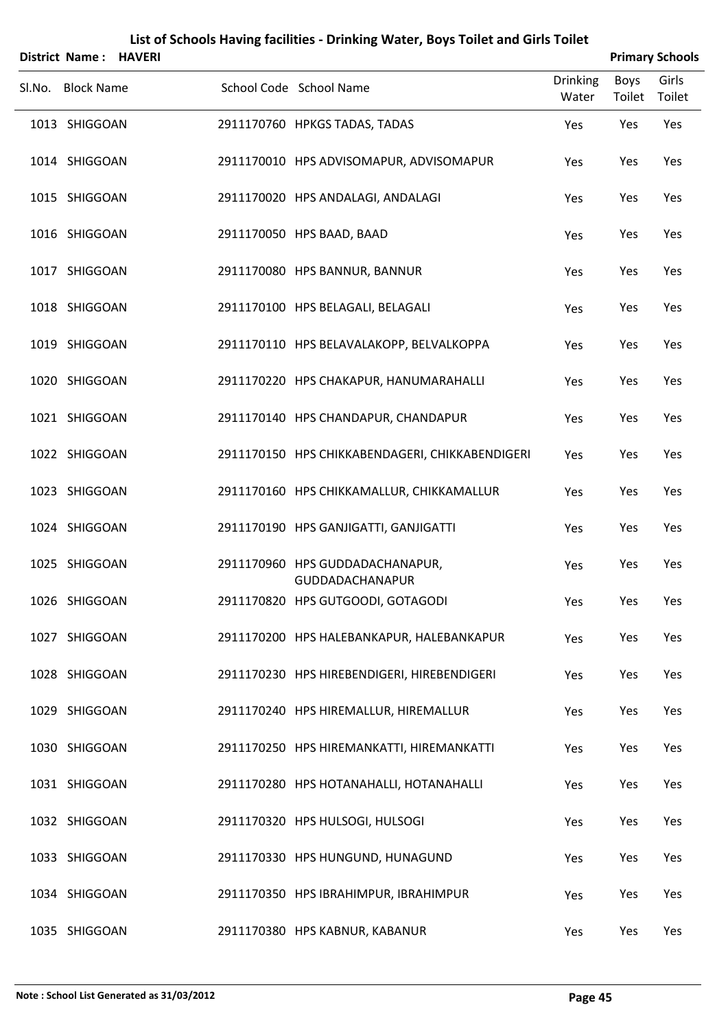|        | <b>District Name: HAVERI</b>   |  |                                                                                          |                          | <b>Primary Schools</b> |                 |
|--------|--------------------------------|--|------------------------------------------------------------------------------------------|--------------------------|------------------------|-----------------|
| Sl.No. | <b>Block Name</b>              |  | School Code School Name                                                                  | <b>Drinking</b><br>Water | Boys<br>Toilet         | Girls<br>Toilet |
|        | 1013 SHIGGOAN                  |  | 2911170760 HPKGS TADAS, TADAS                                                            | Yes                      | Yes                    | Yes             |
|        | 1014 SHIGGOAN                  |  | 2911170010 HPS ADVISOMAPUR, ADVISOMAPUR                                                  | Yes                      | Yes                    | Yes             |
|        | 1015 SHIGGOAN                  |  | 2911170020 HPS ANDALAGI, ANDALAGI                                                        | Yes                      | Yes                    | Yes             |
|        | 1016 SHIGGOAN                  |  | 2911170050 HPS BAAD, BAAD                                                                | Yes                      | Yes                    | Yes             |
|        | 1017 SHIGGOAN                  |  | 2911170080 HPS BANNUR, BANNUR                                                            | Yes                      | Yes                    | Yes             |
|        | 1018 SHIGGOAN                  |  | 2911170100 HPS BELAGALI, BELAGALI                                                        | Yes                      | Yes                    | Yes             |
|        | 1019 SHIGGOAN                  |  | 2911170110 HPS BELAVALAKOPP, BELVALKOPPA                                                 | Yes                      | Yes                    | Yes             |
|        | 1020 SHIGGOAN                  |  | 2911170220 HPS CHAKAPUR, HANUMARAHALLI                                                   | Yes                      | Yes                    | Yes             |
|        | 1021 SHIGGOAN                  |  | 2911170140 HPS CHANDAPUR, CHANDAPUR                                                      | Yes                      | Yes                    | Yes             |
|        | 1022 SHIGGOAN                  |  | 2911170150 HPS CHIKKABENDAGERI, CHIKKABENDIGERI                                          | Yes                      | Yes                    | Yes             |
|        | 1023 SHIGGOAN                  |  | 2911170160 HPS CHIKKAMALLUR, CHIKKAMALLUR                                                | Yes                      | Yes                    | Yes             |
|        | 1024 SHIGGOAN                  |  | 2911170190 HPS GANJIGATTI, GANJIGATTI                                                    | Yes                      | Yes                    | Yes             |
|        | 1025 SHIGGOAN                  |  | 2911170960 HPS GUDDADACHANAPUR,<br>GUDDADACHANAPUR                                       | Yes                      | Yes                    | Yes             |
|        | 1026 SHIGGOAN<br>1027 SHIGGOAN |  | 2911170820 HPS GUTGOODI, GOTAGODI                                                        | Yes                      | Yes                    | Yes             |
|        | 1028 SHIGGOAN                  |  | 2911170200 HPS HALEBANKAPUR, HALEBANKAPUR<br>2911170230 HPS HIREBENDIGERI, HIREBENDIGERI | Yes                      | Yes<br>Yes             | Yes<br>Yes      |
|        | 1029 SHIGGOAN                  |  | 2911170240 HPS HIREMALLUR, HIREMALLUR                                                    | Yes<br>Yes               | Yes                    | Yes             |
|        | 1030 SHIGGOAN                  |  | 2911170250 HPS HIREMANKATTI, HIREMANKATTI                                                | Yes                      | Yes                    | Yes             |
|        | 1031 SHIGGOAN                  |  | 2911170280 HPS HOTANAHALLI, HOTANAHALLI                                                  | Yes                      | Yes                    | Yes             |
|        | 1032 SHIGGOAN                  |  | 2911170320 HPS HULSOGI, HULSOGI                                                          | Yes                      | Yes                    | Yes             |
|        | 1033 SHIGGOAN                  |  | 2911170330 HPS HUNGUND, HUNAGUND                                                         | Yes                      | Yes                    | Yes             |
|        | 1034 SHIGGOAN                  |  | 2911170350 HPS IBRAHIMPUR, IBRAHIMPUR                                                    | Yes                      | Yes                    | Yes             |
|        | 1035 SHIGGOAN                  |  | 2911170380 HPS KABNUR, KABANUR                                                           | Yes                      | Yes                    | Yes             |
|        |                                |  |                                                                                          |                          |                        |                 |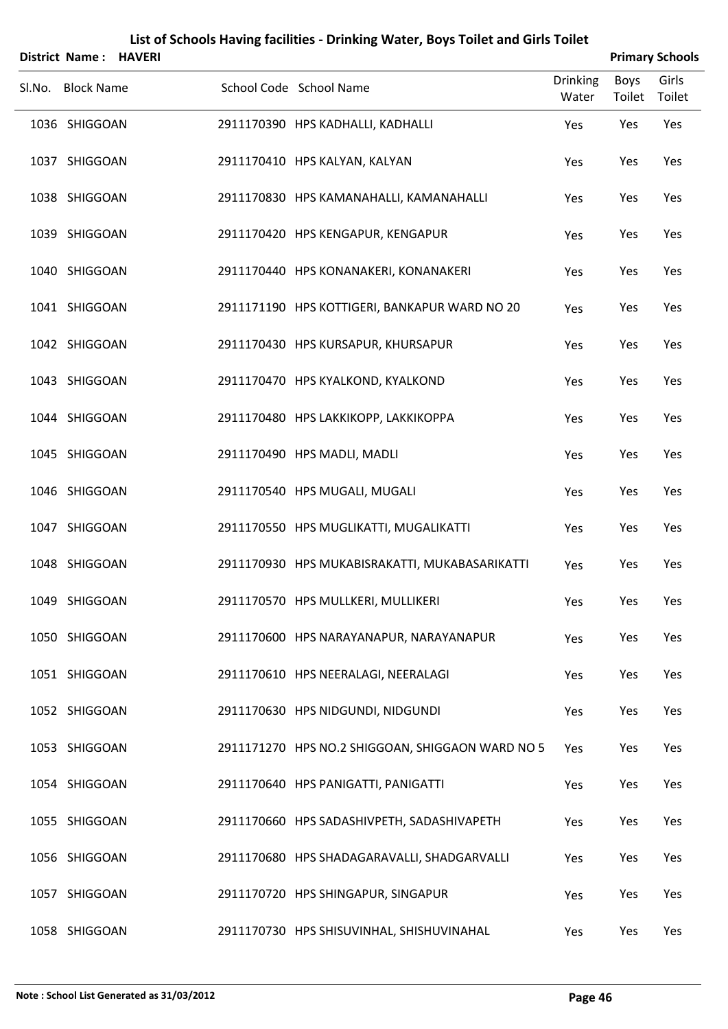| District Name: HAVERI |  |                                                  |                          |                | <b>Primary Schools</b> |
|-----------------------|--|--------------------------------------------------|--------------------------|----------------|------------------------|
| Sl.No. Block Name     |  | School Code School Name                          | <b>Drinking</b><br>Water | Boys<br>Toilet | Girls<br>Toilet        |
| 1036 SHIGGOAN         |  | 2911170390 HPS KADHALLI, KADHALLI                | Yes                      | Yes            | Yes                    |
| 1037 SHIGGOAN         |  | 2911170410 HPS KALYAN, KALYAN                    | Yes                      | Yes            | Yes                    |
| 1038 SHIGGOAN         |  | 2911170830 HPS KAMANAHALLI, KAMANAHALLI          | Yes                      | Yes            | Yes                    |
| 1039 SHIGGOAN         |  | 2911170420 HPS KENGAPUR, KENGAPUR                | Yes                      | Yes            | Yes                    |
| 1040 SHIGGOAN         |  | 2911170440 HPS KONANAKERI, KONANAKERI            | Yes                      | Yes            | Yes                    |
| 1041 SHIGGOAN         |  | 2911171190 HPS KOTTIGERI, BANKAPUR WARD NO 20    | Yes                      | Yes            | Yes                    |
| 1042 SHIGGOAN         |  | 2911170430 HPS KURSAPUR, KHURSAPUR               | Yes                      | Yes            | Yes                    |
| 1043 SHIGGOAN         |  | 2911170470 HPS KYALKOND, KYALKOND                | Yes                      | Yes            | Yes                    |
| 1044 SHIGGOAN         |  | 2911170480 HPS LAKKIKOPP, LAKKIKOPPA             | Yes                      | Yes            | Yes                    |
| 1045 SHIGGOAN         |  | 2911170490 HPS MADLI, MADLI                      | Yes                      | Yes            | Yes                    |
| 1046 SHIGGOAN         |  | 2911170540 HPS MUGALI, MUGALI                    | Yes                      | Yes            | Yes                    |
| 1047 SHIGGOAN         |  | 2911170550 HPS MUGLIKATTI, MUGALIKATTI           | Yes                      | Yes            | Yes                    |
| 1048 SHIGGOAN         |  | 2911170930 HPS MUKABISRAKATTI, MUKABASARIKATTI   | Yes                      | Yes            | Yes                    |
| 1049 SHIGGOAN         |  | 2911170570 HPS MULLKERI, MULLIKERI               | Yes                      | Yes            | Yes                    |
| 1050 SHIGGOAN         |  | 2911170600 HPS NARAYANAPUR, NARAYANAPUR          | Yes                      | Yes            | Yes                    |
| 1051 SHIGGOAN         |  | 2911170610 HPS NEERALAGI, NEERALAGI              | Yes                      | Yes            | Yes                    |
| 1052 SHIGGOAN         |  | 2911170630 HPS NIDGUNDI, NIDGUNDI                | Yes                      | Yes            | Yes                    |
| 1053 SHIGGOAN         |  | 2911171270 HPS NO.2 SHIGGOAN, SHIGGAON WARD NO 5 | Yes                      | Yes            | Yes                    |
| 1054 SHIGGOAN         |  | 2911170640 HPS PANIGATTI, PANIGATTI              | Yes                      | Yes            | Yes                    |
| 1055 SHIGGOAN         |  | 2911170660 HPS SADASHIVPETH, SADASHIVAPETH       | Yes                      | Yes            | Yes                    |
| 1056 SHIGGOAN         |  | 2911170680 HPS SHADAGARAVALLI, SHADGARVALLI      | Yes                      | Yes            | Yes                    |
| 1057 SHIGGOAN         |  | 2911170720 HPS SHINGAPUR, SINGAPUR               | Yes                      | Yes            | Yes                    |
| 1058 SHIGGOAN         |  | 2911170730 HPS SHISUVINHAL, SHISHUVINAHAL        | Yes                      | Yes            | Yes                    |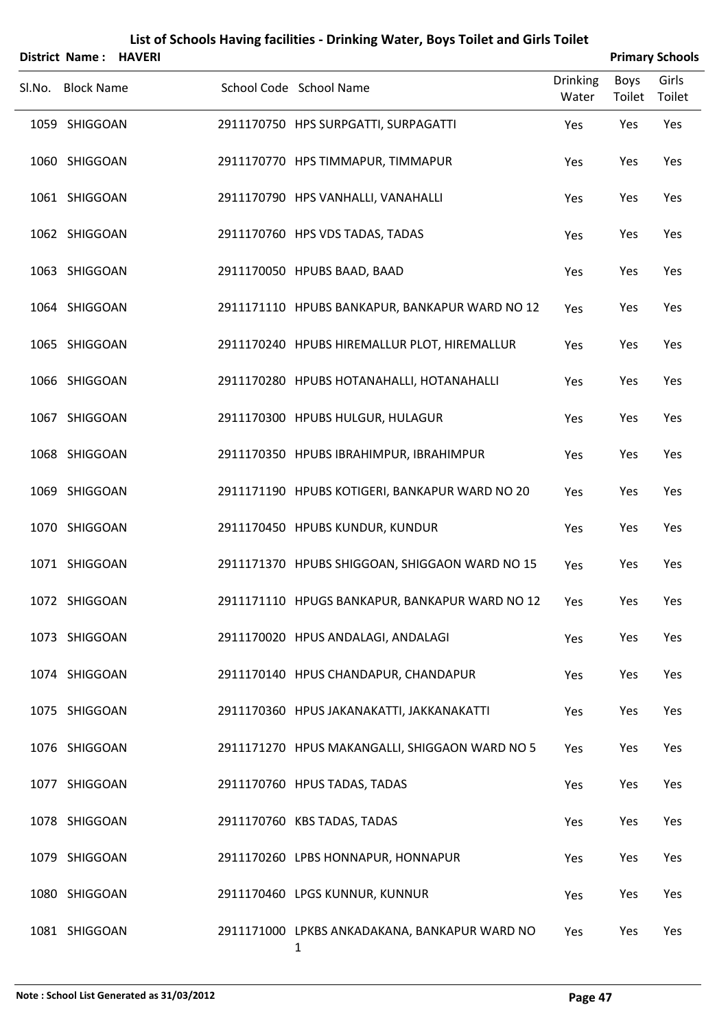| District Name: HAVERI |  |                                                               |                          |                       | <b>Primary Schools</b> |
|-----------------------|--|---------------------------------------------------------------|--------------------------|-----------------------|------------------------|
| Sl.No. Block Name     |  | School Code School Name                                       | <b>Drinking</b><br>Water | <b>Boys</b><br>Toilet | Girls<br>Toilet        |
| 1059 SHIGGOAN         |  | 2911170750 HPS SURPGATTI, SURPAGATTI                          | Yes                      | Yes                   | Yes                    |
| 1060 SHIGGOAN         |  | 2911170770 HPS TIMMAPUR, TIMMAPUR                             | Yes                      | Yes                   | Yes                    |
| 1061 SHIGGOAN         |  | 2911170790 HPS VANHALLI, VANAHALLI                            | Yes                      | Yes                   | Yes                    |
| 1062 SHIGGOAN         |  | 2911170760 HPS VDS TADAS, TADAS                               | Yes                      | Yes                   | Yes                    |
| 1063 SHIGGOAN         |  | 2911170050 HPUBS BAAD, BAAD                                   | Yes                      | Yes                   | Yes                    |
| 1064 SHIGGOAN         |  | 2911171110 HPUBS BANKAPUR, BANKAPUR WARD NO 12                | Yes                      | Yes                   | Yes                    |
| 1065 SHIGGOAN         |  | 2911170240 HPUBS HIREMALLUR PLOT, HIREMALLUR                  | Yes                      | Yes                   | Yes                    |
| 1066 SHIGGOAN         |  | 2911170280 HPUBS HOTANAHALLI, HOTANAHALLI                     | Yes                      | Yes                   | Yes                    |
| 1067 SHIGGOAN         |  | 2911170300 HPUBS HULGUR, HULAGUR                              | Yes                      | Yes                   | Yes                    |
| 1068 SHIGGOAN         |  | 2911170350 HPUBS IBRAHIMPUR, IBRAHIMPUR                       | Yes                      | Yes                   | Yes                    |
| 1069 SHIGGOAN         |  | 2911171190 HPUBS KOTIGERI, BANKAPUR WARD NO 20                | Yes                      | Yes                   | Yes                    |
| 1070 SHIGGOAN         |  | 2911170450 HPUBS KUNDUR, KUNDUR                               | Yes                      | Yes                   | Yes                    |
| 1071 SHIGGOAN         |  | 2911171370 HPUBS SHIGGOAN, SHIGGAON WARD NO 15                | Yes                      | Yes                   | Yes                    |
| 1072 SHIGGOAN         |  | 2911171110 HPUGS BANKAPUR, BANKAPUR WARD NO 12                | Yes                      | Yes                   | Yes                    |
| 1073 SHIGGOAN         |  | 2911170020 HPUS ANDALAGI, ANDALAGI                            | Yes                      | Yes                   | Yes                    |
| 1074 SHIGGOAN         |  | 2911170140 HPUS CHANDAPUR, CHANDAPUR                          | Yes                      | Yes                   | Yes                    |
| 1075 SHIGGOAN         |  | 2911170360 HPUS JAKANAKATTI, JAKKANAKATTI                     | Yes                      | Yes                   | Yes                    |
| 1076 SHIGGOAN         |  | 2911171270 HPUS MAKANGALLI, SHIGGAON WARD NO 5                | Yes                      | Yes                   | Yes                    |
| 1077 SHIGGOAN         |  | 2911170760 HPUS TADAS, TADAS                                  | Yes                      | Yes                   | Yes                    |
| 1078 SHIGGOAN         |  | 2911170760 KBS TADAS, TADAS                                   | Yes                      | Yes                   | Yes                    |
| 1079 SHIGGOAN         |  | 2911170260 LPBS HONNAPUR, HONNAPUR                            | Yes                      | Yes                   | Yes                    |
| 1080 SHIGGOAN         |  | 2911170460 LPGS KUNNUR, KUNNUR                                | Yes                      | Yes                   | Yes                    |
| 1081 SHIGGOAN         |  | 2911171000 LPKBS ANKADAKANA, BANKAPUR WARD NO<br>$\mathbf{1}$ | Yes                      | Yes                   | Yes                    |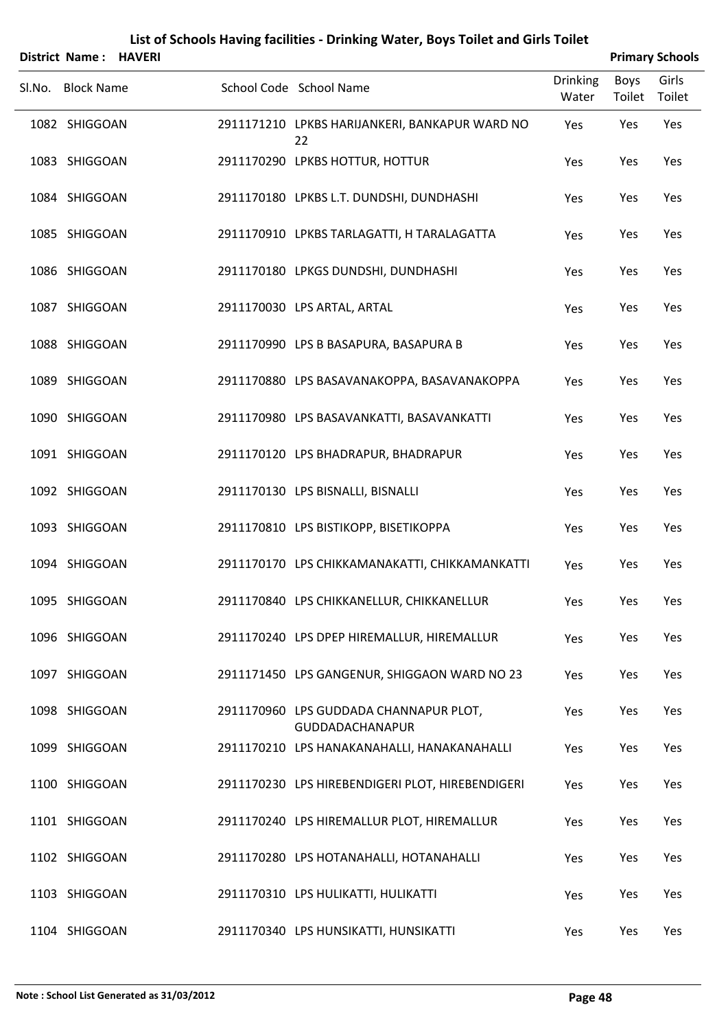| District Name: HAVERI |  |                                                           |                          |                | <b>Primary Schools</b> |
|-----------------------|--|-----------------------------------------------------------|--------------------------|----------------|------------------------|
| Sl.No. Block Name     |  | School Code School Name                                   | <b>Drinking</b><br>Water | Boys<br>Toilet | Girls<br>Toilet        |
| 1082 SHIGGOAN         |  | 2911171210 LPKBS HARIJANKERI, BANKAPUR WARD NO<br>22      | Yes                      | Yes            | Yes                    |
| 1083 SHIGGOAN         |  | 2911170290 LPKBS HOTTUR, HOTTUR                           | Yes                      | Yes            | Yes                    |
| 1084 SHIGGOAN         |  | 2911170180 LPKBS L.T. DUNDSHI, DUNDHASHI                  | Yes                      | Yes            | Yes                    |
| 1085 SHIGGOAN         |  | 2911170910 LPKBS TARLAGATTI, H TARALAGATTA                | Yes                      | Yes            | Yes                    |
| 1086 SHIGGOAN         |  | 2911170180 LPKGS DUNDSHI, DUNDHASHI                       | Yes                      | Yes            | Yes                    |
| 1087 SHIGGOAN         |  | 2911170030 LPS ARTAL, ARTAL                               | Yes                      | Yes            | Yes                    |
| 1088 SHIGGOAN         |  | 2911170990 LPS B BASAPURA, BASAPURA B                     | Yes                      | Yes            | Yes                    |
| 1089 SHIGGOAN         |  | 2911170880 LPS BASAVANAKOPPA, BASAVANAKOPPA               | Yes                      | Yes            | Yes                    |
| 1090 SHIGGOAN         |  | 2911170980 LPS BASAVANKATTI, BASAVANKATTI                 | Yes                      | Yes            | Yes                    |
| 1091 SHIGGOAN         |  | 2911170120 LPS BHADRAPUR, BHADRAPUR                       | Yes                      | Yes            | Yes                    |
| 1092 SHIGGOAN         |  | 2911170130 LPS BISNALLI, BISNALLI                         | Yes                      | Yes            | Yes                    |
| 1093 SHIGGOAN         |  | 2911170810 LPS BISTIKOPP, BISETIKOPPA                     | Yes                      | Yes            | Yes                    |
| 1094 SHIGGOAN         |  | 2911170170 LPS CHIKKAMANAKATTI, CHIKKAMANKATTI            | Yes                      | Yes            | Yes                    |
| 1095 SHIGGOAN         |  | 2911170840 LPS CHIKKANELLUR, CHIKKANELLUR                 | Yes                      | Yes            | Yes                    |
| 1096 SHIGGOAN         |  | 2911170240 LPS DPEP HIREMALLUR, HIREMALLUR                | Yes                      | Yes            | Yes                    |
| 1097 SHIGGOAN         |  | 2911171450 LPS GANGENUR, SHIGGAON WARD NO 23              | Yes                      | Yes            | Yes                    |
| 1098 SHIGGOAN         |  | 2911170960 LPS GUDDADA CHANNAPUR PLOT,<br>GUDDADACHANAPUR | Yes                      | Yes            | Yes                    |
| 1099 SHIGGOAN         |  | 2911170210 LPS HANAKANAHALLI, HANAKANAHALLI               | Yes                      | Yes            | Yes                    |
| 1100 SHIGGOAN         |  | 2911170230 LPS HIREBENDIGERI PLOT, HIREBENDIGERI          | Yes                      | Yes            | Yes                    |
| 1101 SHIGGOAN         |  | 2911170240 LPS HIREMALLUR PLOT, HIREMALLUR                | Yes                      | Yes            | Yes                    |
| 1102 SHIGGOAN         |  | 2911170280 LPS HOTANAHALLI, HOTANAHALLI                   | Yes                      | Yes            | Yes                    |
| 1103 SHIGGOAN         |  | 2911170310 LPS HULIKATTI, HULIKATTI                       | Yes                      | Yes            | Yes                    |
| 1104 SHIGGOAN         |  | 2911170340 LPS HUNSIKATTI, HUNSIKATTI                     | Yes                      | Yes            | Yes                    |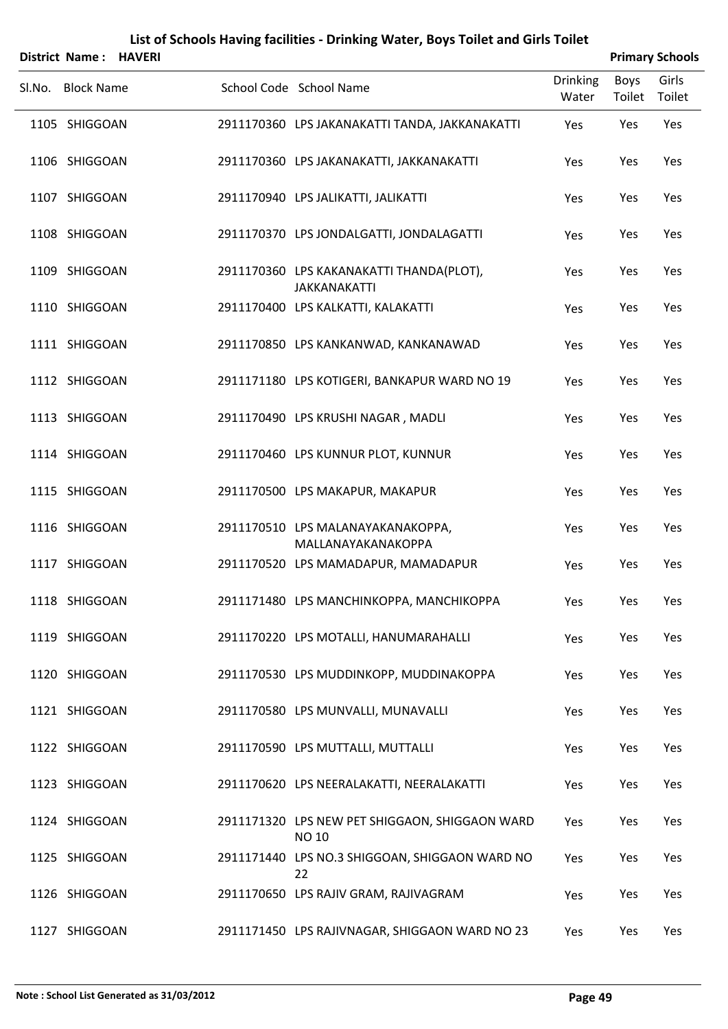|        | District Name: HAVERI |  |                                                                 |                          |                | <b>Primary Schools</b> |
|--------|-----------------------|--|-----------------------------------------------------------------|--------------------------|----------------|------------------------|
| Sl.No. | <b>Block Name</b>     |  | School Code School Name                                         | <b>Drinking</b><br>Water | Boys<br>Toilet | Girls<br>Toilet        |
|        | 1105 SHIGGOAN         |  | 2911170360 LPS JAKANAKATTI TANDA, JAKKANAKATTI                  | Yes                      | Yes            | Yes                    |
|        | 1106 SHIGGOAN         |  | 2911170360 LPS JAKANAKATTI, JAKKANAKATTI                        | Yes                      | Yes            | Yes                    |
|        | 1107 SHIGGOAN         |  | 2911170940 LPS JALIKATTI, JALIKATTI                             | Yes                      | Yes            | Yes                    |
|        | 1108 SHIGGOAN         |  | 2911170370 LPS JONDALGATTI, JONDALAGATTI                        | Yes                      | Yes            | Yes                    |
|        | 1109 SHIGGOAN         |  | 2911170360 LPS KAKANAKATTI THANDA(PLOT),<br><b>JAKKANAKATTI</b> | Yes                      | Yes            | Yes                    |
|        | 1110 SHIGGOAN         |  | 2911170400 LPS KALKATTI, KALAKATTI                              | Yes                      | Yes            | Yes                    |
|        | 1111 SHIGGOAN         |  | 2911170850 LPS KANKANWAD, KANKANAWAD                            | Yes                      | Yes            | Yes                    |
|        | 1112 SHIGGOAN         |  | 2911171180 LPS KOTIGERI, BANKAPUR WARD NO 19                    | Yes                      | Yes            | Yes                    |
|        | 1113 SHIGGOAN         |  | 2911170490 LPS KRUSHI NAGAR, MADLI                              | Yes                      | Yes            | Yes                    |
|        | 1114 SHIGGOAN         |  | 2911170460 LPS KUNNUR PLOT, KUNNUR                              | Yes                      | Yes            | Yes                    |
|        | 1115 SHIGGOAN         |  | 2911170500 LPS MAKAPUR, MAKAPUR                                 | Yes                      | Yes            | Yes                    |
|        | 1116 SHIGGOAN         |  | 2911170510 LPS MALANAYAKANAKOPPA,<br>MALLANAYAKANAKOPPA         | Yes                      | Yes            | Yes                    |
|        | 1117 SHIGGOAN         |  | 2911170520 LPS MAMADAPUR, MAMADAPUR                             | Yes                      | Yes            | Yes                    |
|        | 1118 SHIGGOAN         |  | 2911171480 LPS MANCHINKOPPA, MANCHIKOPPA                        | Yes                      | Yes            | Yes                    |
|        | 1119 SHIGGOAN         |  | 2911170220 LPS MOTALLI, HANUMARAHALLI                           | Yes                      | Yes            | Yes                    |
|        | 1120 SHIGGOAN         |  | 2911170530 LPS MUDDINKOPP, MUDDINAKOPPA                         | Yes                      | Yes            | Yes                    |
|        | 1121 SHIGGOAN         |  | 2911170580 LPS MUNVALLI, MUNAVALLI                              | Yes                      | Yes            | Yes                    |
|        | 1122 SHIGGOAN         |  | 2911170590 LPS MUTTALLI, MUTTALLI                               | Yes                      | Yes            | Yes                    |
|        | 1123 SHIGGOAN         |  | 2911170620 LPS NEERALAKATTI, NEERALAKATTI                       | Yes                      | Yes            | Yes                    |
|        | 1124 SHIGGOAN         |  | 2911171320 LPS NEW PET SHIGGAON, SHIGGAON WARD<br><b>NO 10</b>  | Yes                      | Yes            | Yes                    |
|        | 1125 SHIGGOAN         |  | 2911171440 LPS NO.3 SHIGGOAN, SHIGGAON WARD NO<br>22            | Yes                      | Yes            | Yes                    |
|        | 1126 SHIGGOAN         |  | 2911170650 LPS RAJIV GRAM, RAJIVAGRAM                           | Yes                      | Yes            | Yes                    |
|        | 1127 SHIGGOAN         |  | 2911171450 LPS RAJIVNAGAR, SHIGGAON WARD NO 23                  | Yes                      | Yes            | Yes                    |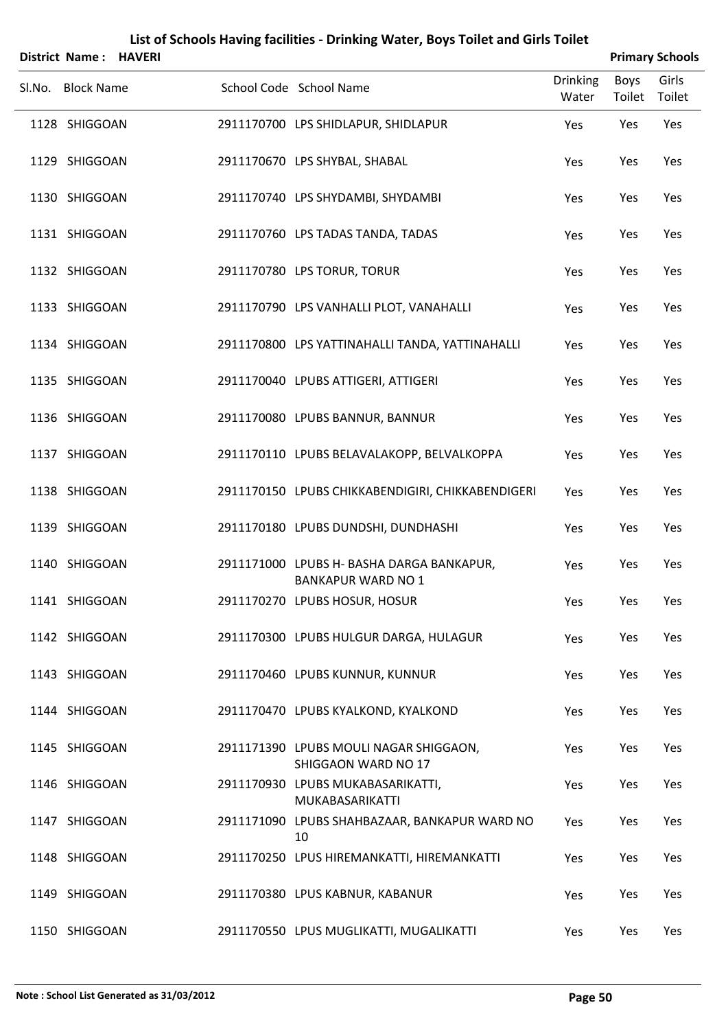|        | District Name: HAVERI |  |                                                                        |                          |                | <b>Primary Schools</b> |
|--------|-----------------------|--|------------------------------------------------------------------------|--------------------------|----------------|------------------------|
| Sl.No. | <b>Block Name</b>     |  | School Code School Name                                                | <b>Drinking</b><br>Water | Boys<br>Toilet | Girls<br>Toilet        |
|        | 1128 SHIGGOAN         |  | 2911170700 LPS SHIDLAPUR, SHIDLAPUR                                    | Yes                      | Yes            | Yes                    |
|        | 1129 SHIGGOAN         |  | 2911170670 LPS SHYBAL, SHABAL                                          | Yes                      | Yes            | Yes                    |
|        | 1130 SHIGGOAN         |  | 2911170740 LPS SHYDAMBI, SHYDAMBI                                      | Yes                      | Yes            | Yes                    |
|        | 1131 SHIGGOAN         |  | 2911170760 LPS TADAS TANDA, TADAS                                      | Yes                      | Yes            | Yes                    |
|        | 1132 SHIGGOAN         |  | 2911170780 LPS TORUR, TORUR                                            | Yes                      | Yes            | Yes                    |
|        | 1133 SHIGGOAN         |  | 2911170790 LPS VANHALLI PLOT, VANAHALLI                                | Yes                      | Yes            | Yes                    |
|        | 1134 SHIGGOAN         |  | 2911170800 LPS YATTINAHALLI TANDA, YATTINAHALLI                        | Yes                      | Yes            | Yes                    |
|        | 1135 SHIGGOAN         |  | 2911170040 LPUBS ATTIGERI, ATTIGERI                                    | Yes                      | Yes            | Yes                    |
|        | 1136 SHIGGOAN         |  | 2911170080 LPUBS BANNUR, BANNUR                                        | Yes                      | Yes            | Yes                    |
|        | 1137 SHIGGOAN         |  | 2911170110 LPUBS BELAVALAKOPP, BELVALKOPPA                             | Yes                      | Yes            | Yes                    |
|        | 1138 SHIGGOAN         |  | 2911170150 LPUBS CHIKKABENDIGIRI, CHIKKABENDIGERI                      | Yes                      | Yes            | Yes                    |
|        | 1139 SHIGGOAN         |  | 2911170180 LPUBS DUNDSHI, DUNDHASHI                                    | Yes                      | Yes            | Yes                    |
|        | 1140 SHIGGOAN         |  | 2911171000 LPUBS H- BASHA DARGA BANKAPUR,<br><b>BANKAPUR WARD NO 1</b> | Yes                      | Yes            | Yes                    |
|        | 1141 SHIGGOAN         |  | 2911170270 LPUBS HOSUR, HOSUR                                          | Yes                      | Yes            | Yes                    |
|        | 1142 SHIGGOAN         |  | 2911170300 LPUBS HULGUR DARGA, HULAGUR                                 | Yes                      | Yes            | Yes                    |
|        | 1143 SHIGGOAN         |  | 2911170460 LPUBS KUNNUR, KUNNUR                                        | Yes                      | Yes            | Yes                    |
|        | 1144 SHIGGOAN         |  | 2911170470 LPUBS KYALKOND, KYALKOND                                    | Yes                      | Yes            | Yes                    |
|        | 1145 SHIGGOAN         |  | 2911171390 LPUBS MOULI NAGAR SHIGGAON,<br>SHIGGAON WARD NO 17          | Yes                      | Yes            | Yes                    |
|        | 1146 SHIGGOAN         |  | 2911170930 LPUBS MUKABASARIKATTI,<br>MUKABASARIKATTI                   | Yes                      | Yes            | Yes                    |
|        | 1147 SHIGGOAN         |  | 2911171090 LPUBS SHAHBAZAAR, BANKAPUR WARD NO<br>10                    | Yes                      | Yes            | Yes                    |
|        | 1148 SHIGGOAN         |  | 2911170250 LPUS HIREMANKATTI, HIREMANKATTI                             | Yes                      | Yes            | Yes                    |
|        | 1149 SHIGGOAN         |  | 2911170380 LPUS KABNUR, KABANUR                                        | Yes                      | Yes            | Yes                    |
|        | 1150 SHIGGOAN         |  | 2911170550 LPUS MUGLIKATTI, MUGALIKATTI                                | Yes                      | Yes            | Yes                    |